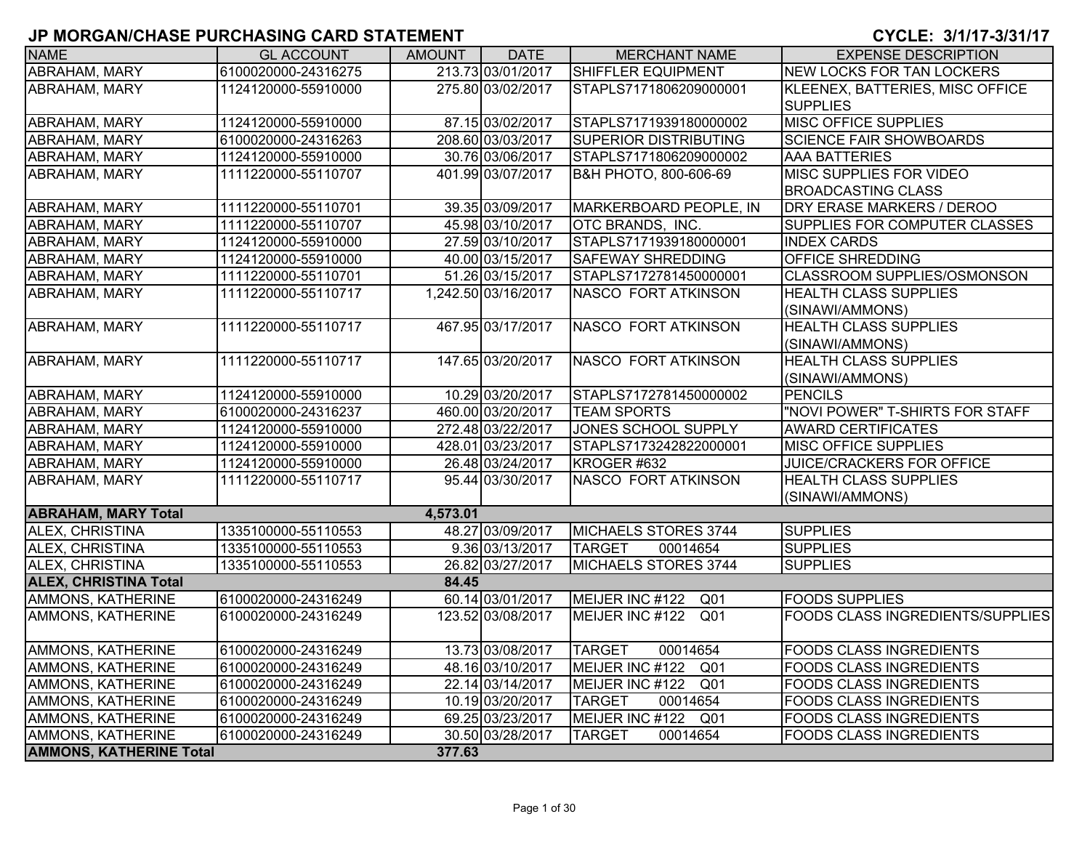| <b>NAME</b>                    | <b>GL ACCOUNT</b>   | AMOUNT   | <b>DATE</b>         | <b>MERCHANT NAME</b>               | <b>EXPENSE DESCRIPTION</b>                                  |
|--------------------------------|---------------------|----------|---------------------|------------------------------------|-------------------------------------------------------------|
| ABRAHAM, MARY                  | 6100020000-24316275 |          | 213.73 03/01/2017   | SHIFFLER EQUIPMENT                 | <b>NEW LOCKS FOR TAN LOCKERS</b>                            |
| ABRAHAM, MARY                  | 1124120000-55910000 |          | 275.80 03/02/2017   | STAPLS7171806209000001             | KLEENEX, BATTERIES, MISC OFFICE<br><b>SUPPLIES</b>          |
| ABRAHAM, MARY                  | 1124120000-55910000 |          | 87.15 03/02/2017    | STAPLS7171939180000002             | MISC OFFICE SUPPLIES                                        |
| ABRAHAM, MARY                  | 6100020000-24316263 |          | 208.60 03/03/2017   | <b>SUPERIOR DISTRIBUTING</b>       | <b>SCIENCE FAIR SHOWBOARDS</b>                              |
| ABRAHAM, MARY                  | 1124120000-55910000 |          | 30.76 03/06/2017    | STAPLS7171806209000002             | AAA BATTERIES                                               |
| ABRAHAM, MARY                  | 1111220000-55110707 |          | 401.99 03/07/2017   | B&H PHOTO, 800-606-69              | <b>MISC SUPPLIES FOR VIDEO</b><br><b>BROADCASTING CLASS</b> |
| ABRAHAM, MARY                  | 1111220000-55110701 |          | 39.35 03/09/2017    | MARKERBOARD PEOPLE, IN             | DRY ERASE MARKERS / DEROO                                   |
| ABRAHAM, MARY                  | 1111220000-55110707 |          | 45.98 03/10/2017    | OTC BRANDS, INC.                   | SUPPLIES FOR COMPUTER CLASSES                               |
| ABRAHAM, MARY                  | 1124120000-55910000 |          | 27.59 03/10/2017    | STAPLS7171939180000001             | <b>INDEX CARDS</b>                                          |
| ABRAHAM, MARY                  | 1124120000-55910000 |          | 40.00 03/15/2017    | <b>SAFEWAY SHREDDING</b>           | OFFICE SHREDDING                                            |
| ABRAHAM, MARY                  | 1111220000-55110701 |          | 51.26 03/15/2017    | STAPLS7172781450000001             | <b>CLASSROOM SUPPLIES/OSMONSON</b>                          |
| ABRAHAM, MARY                  | 1111220000-55110717 |          | 1,242.50 03/16/2017 | NASCO FORT ATKINSON                | HEALTH CLASS SUPPLIES<br>(SINAWI/AMMONS)                    |
| <b>ABRAHAM, MARY</b>           | 1111220000-55110717 |          | 467.95 03/17/2017   | <b>NASCO FORT ATKINSON</b>         | <b>HEALTH CLASS SUPPLIES</b><br>(SINAWI/AMMONS)             |
| ABRAHAM, MARY                  | 1111220000-55110717 |          | 147.65 03/20/2017   | <b>NASCO FORT ATKINSON</b>         | <b>HEALTH CLASS SUPPLIES</b><br>(SINAWI/AMMONS)             |
| <b>ABRAHAM, MARY</b>           | 1124120000-55910000 |          | 10.29 03/20/2017    | STAPLS7172781450000002             | <b>PENCILS</b>                                              |
| <b>ABRAHAM, MARY</b>           | 6100020000-24316237 |          | 460.00 03/20/2017   | <b>TEAM SPORTS</b>                 | "NOVI POWER" T-SHIRTS FOR STAFF                             |
| ABRAHAM, MARY                  | 1124120000-55910000 |          | 272.48 03/22/2017   | <b>JONES SCHOOL SUPPLY</b>         | <b>AWARD CERTIFICATES</b>                                   |
| ABRAHAM, MARY                  | 1124120000-55910000 |          | 428.01 03/23/2017   | STAPLS7173242822000001             | MISC OFFICE SUPPLIES                                        |
| ABRAHAM, MARY                  | 1124120000-55910000 |          | 26.48 03/24/2017    | KROGER #632                        | JUICE/CRACKERS FOR OFFICE                                   |
| ABRAHAM, MARY                  | 1111220000-55110717 |          | 95.44 03/30/2017    | <b>NASCO FORT ATKINSON</b>         | <b>HEALTH CLASS SUPPLIES</b><br>(SINAWI/AMMONS)             |
| <b>ABRAHAM, MARY Total</b>     |                     | 4,573.01 |                     |                                    |                                                             |
| ALEX, CHRISTINA                | 1335100000-55110553 |          | 48.27 03/09/2017    | MICHAELS STORES 3744               | <b>SUPPLIES</b>                                             |
| ALEX, CHRISTINA                | 1335100000-55110553 |          | 9.36 03/13/2017     | <b>TARGET</b><br>00014654          | <b>SUPPLIES</b>                                             |
| ALEX, CHRISTINA                | 1335100000-55110553 |          | 26.82 03/27/2017    | MICHAELS STORES 3744               | <b>SUPPLIES</b>                                             |
| <b>ALEX, CHRISTINA Total</b>   |                     | 84.45    |                     |                                    |                                                             |
| AMMONS, KATHERINE              | 6100020000-24316249 |          | 60.14 03/01/2017    | MEIJER INC #122<br>Q <sub>01</sub> | <b>FOODS SUPPLIES</b>                                       |
| AMMONS, KATHERINE              | 6100020000-24316249 |          | 123.52 03/08/2017   | MEIJER INC #122<br>Q <sub>01</sub> | <b>FOODS CLASS INGREDIENTS/SUPPLIES</b>                     |
| <b>AMMONS, KATHERINE</b>       | 6100020000-24316249 |          | 13.73 03/08/2017    | <b>TARGET</b><br>00014654          | <b>FOODS CLASS INGREDIENTS</b>                              |
| <b>AMMONS, KATHERINE</b>       | 6100020000-24316249 |          | 48.16 03/10/2017    | MEIJER INC #122<br>Q <sub>01</sub> | <b>FOODS CLASS INGREDIENTS</b>                              |
| AMMONS, KATHERINE              | 6100020000-24316249 |          | 22.14 03/14/2017    | Q <sub>01</sub><br>MEIJER INC #122 | <b>FOODS CLASS INGREDIENTS</b>                              |
| <b>AMMONS, KATHERINE</b>       | 6100020000-24316249 |          | 10.19 03/20/2017    | 00014654<br><b>TARGET</b>          | <b>FOODS CLASS INGREDIENTS</b>                              |
| <b>AMMONS, KATHERINE</b>       | 6100020000-24316249 |          | 69.25 03/23/2017    | MEIJER INC #122 Q01                | <b>FOODS CLASS INGREDIENTS</b>                              |
| AMMONS, KATHERINE              | 6100020000-24316249 |          | 30.50 03/28/2017    | <b>TARGET</b><br>00014654          | <b>FOODS CLASS INGREDIENTS</b>                              |
| <b>AMMONS, KATHERINE Total</b> |                     | 377.63   |                     |                                    |                                                             |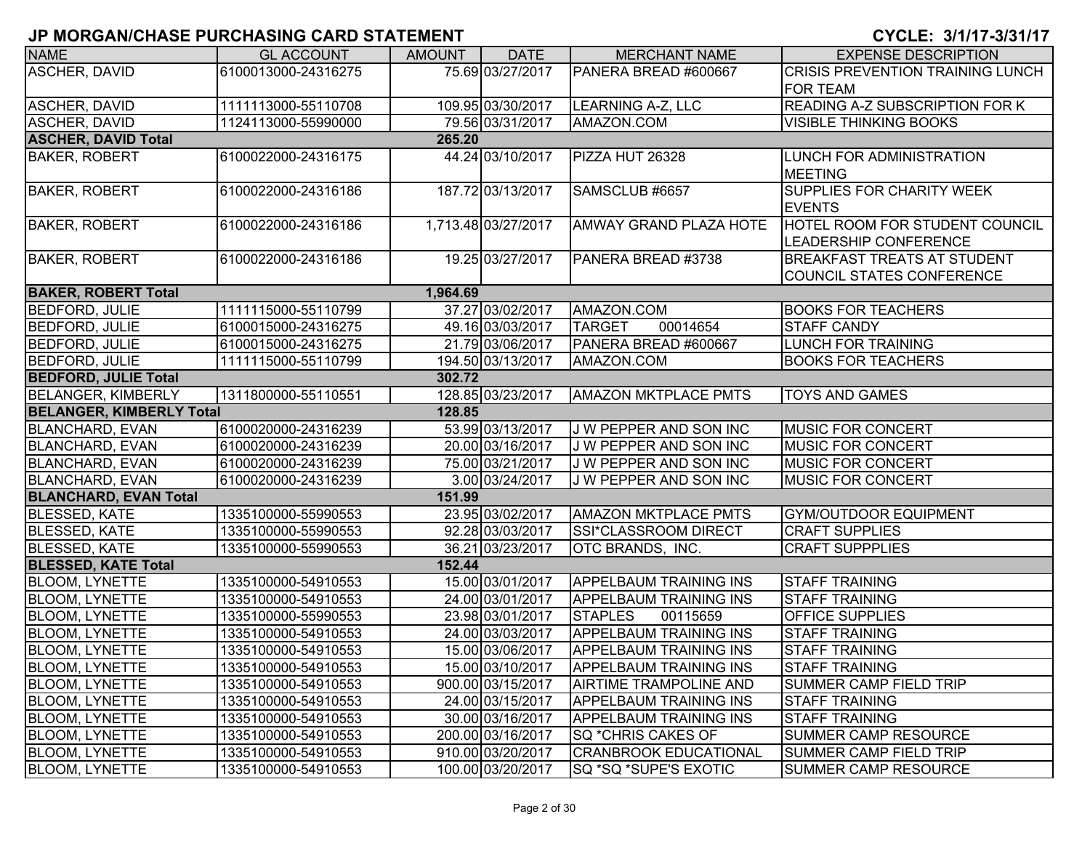| <b>NAME</b>                     | <b>GL ACCOUNT</b>   | <b>AMOUNT</b> | <b>DATE</b>         | <b>MERCHANT NAME</b>          | <b>EXPENSE DESCRIPTION</b>            |
|---------------------------------|---------------------|---------------|---------------------|-------------------------------|---------------------------------------|
| ASCHER, DAVID                   | 6100013000-24316275 |               | 75.69 03/27/2017    | PANERA BREAD #600667          | CRISIS PREVENTION TRAINING LUNCH      |
|                                 |                     |               |                     |                               | <b>FOR TEAM</b>                       |
| ASCHER, DAVID                   | 1111113000-55110708 |               | 109.95 03/30/2017   | <b>LEARNING A-Z, LLC</b>      | <b>READING A-Z SUBSCRIPTION FOR K</b> |
| <b>ASCHER, DAVID</b>            | 1124113000-55990000 |               | 79.56 03/31/2017    | AMAZON.COM                    | <b>VISIBLE THINKING BOOKS</b>         |
| <b>ASCHER, DAVID Total</b>      |                     | 265.20        |                     |                               |                                       |
| <b>BAKER, ROBERT</b>            | 6100022000-24316175 |               | 44.24 03/10/2017    | PIZZA HUT 26328               | LUNCH FOR ADMINISTRATION              |
|                                 |                     |               |                     |                               | <b>MEETING</b>                        |
| <b>BAKER, ROBERT</b>            | 6100022000-24316186 |               | 187.72 03/13/2017   | SAMSCLUB #6657                | SUPPLIES FOR CHARITY WEEK             |
|                                 |                     |               |                     |                               | <b>EVENTS</b>                         |
| <b>BAKER, ROBERT</b>            | 6100022000-24316186 |               | 1,713.48 03/27/2017 | <b>AMWAY GRAND PLAZA HOTE</b> | HOTEL ROOM FOR STUDENT COUNCIL        |
|                                 |                     |               |                     |                               | LEADERSHIP CONFERENCE                 |
| <b>BAKER, ROBERT</b>            | 6100022000-24316186 |               | 19.25 03/27/2017    | PANERA BREAD #3738            | <b>BREAKFAST TREATS AT STUDENT</b>    |
|                                 |                     |               |                     |                               | COUNCIL STATES CONFERENCE             |
| <b>BAKER, ROBERT Total</b>      |                     | 1,964.69      |                     |                               |                                       |
| <b>BEDFORD, JULIE</b>           | 1111115000-55110799 |               | 37.27 03/02/2017    | AMAZON.COM                    | <b>BOOKS FOR TEACHERS</b>             |
| <b>BEDFORD, JULIE</b>           | 6100015000-24316275 |               | 49.16 03/03/2017    | <b>TARGET</b><br>00014654     | <b>STAFF CANDY</b>                    |
| <b>BEDFORD, JULIE</b>           | 6100015000-24316275 |               | 21.79 03/06/2017    | PANERA BREAD #600667          | LUNCH FOR TRAINING                    |
| <b>BEDFORD, JULIE</b>           | 1111115000-55110799 |               | 194.50 03/13/2017   | AMAZON.COM                    | <b>BOOKS FOR TEACHERS</b>             |
| <b>BEDFORD, JULIE Total</b>     |                     | 302.72        |                     |                               |                                       |
| <b>BELANGER, KIMBERLY</b>       | 1311800000-55110551 |               | 128.85 03/23/2017   | <b>AMAZON MKTPLACE PMTS</b>   | <b>TOYS AND GAMES</b>                 |
| <b>BELANGER, KIMBERLY Total</b> |                     | 128.85        |                     |                               |                                       |
| <b>BLANCHARD, EVAN</b>          | 6100020000-24316239 |               | 53.99 03/13/2017    | J W PEPPER AND SON INC        | <b>MUSIC FOR CONCERT</b>              |
| <b>BLANCHARD, EVAN</b>          | 6100020000-24316239 |               | 20.00 03/16/2017    | J W PEPPER AND SON INC        | <b>MUSIC FOR CONCERT</b>              |
| <b>BLANCHARD, EVAN</b>          | 6100020000-24316239 |               | 75.00 03/21/2017    | J W PEPPER AND SON INC        | <b>MUSIC FOR CONCERT</b>              |
| <b>BLANCHARD, EVAN</b>          | 6100020000-24316239 |               | 3.00 03/24/2017     | J W PEPPER AND SON INC        | <b>MUSIC FOR CONCERT</b>              |
| <b>BLANCHARD, EVAN Total</b>    |                     | 151.99        |                     |                               |                                       |
| <b>BLESSED, KATE</b>            | 1335100000-55990553 |               | 23.95 03/02/2017    | <b>AMAZON MKTPLACE PMTS</b>   | <b>GYM/OUTDOOR EQUIPMENT</b>          |
| <b>BLESSED, KATE</b>            | 1335100000-55990553 |               | 92.28 03/03/2017    | SSI*CLASSROOM DIRECT          | <b>CRAFT SUPPLIES</b>                 |
| <b>BLESSED, KATE</b>            | 1335100000-55990553 |               | 36.21 03/23/2017    | OTC BRANDS, INC.              | <b>CRAFT SUPPPLIES</b>                |
| <b>BLESSED, KATE Total</b>      |                     | 152.44        |                     |                               |                                       |
| <b>BLOOM, LYNETTE</b>           | 1335100000-54910553 |               | 15.00 03/01/2017    | <b>APPELBAUM TRAINING INS</b> | <b>STAFF TRAINING</b>                 |
| <b>BLOOM, LYNETTE</b>           | 1335100000-54910553 |               | 24.00 03/01/2017    | <b>APPELBAUM TRAINING INS</b> | <b>STAFF TRAINING</b>                 |
| <b>BLOOM, LYNETTE</b>           | 1335100000-55990553 |               | 23.98 03/01/2017    | <b>STAPLES</b><br>00115659    | <b>OFFICE SUPPLIES</b>                |
| <b>BLOOM, LYNETTE</b>           | 1335100000-54910553 |               | 24.00 03/03/2017    | <b>APPELBAUM TRAINING INS</b> | <b>STAFF TRAINING</b>                 |
| <b>BLOOM, LYNETTE</b>           | 1335100000-54910553 |               | 15.00 03/06/2017    | <b>APPELBAUM TRAINING INS</b> | <b>STAFF TRAINING</b>                 |
| <b>BLOOM, LYNETTE</b>           | 1335100000-54910553 |               | 15.00 03/10/2017    | <b>APPELBAUM TRAINING INS</b> | <b>STAFF TRAINING</b>                 |
| <b>BLOOM, LYNETTE</b>           | 1335100000-54910553 |               | 900.00 03/15/2017   | <b>AIRTIME TRAMPOLINE AND</b> | SUMMER CAMP FIELD TRIP                |
| <b>BLOOM, LYNETTE</b>           | 1335100000-54910553 |               | 24.00 03/15/2017    | <b>APPELBAUM TRAINING INS</b> | <b>STAFF TRAINING</b>                 |
| <b>BLOOM, LYNETTE</b>           | 1335100000-54910553 |               | 30.00 03/16/2017    | <b>APPELBAUM TRAINING INS</b> | <b>STAFF TRAINING</b>                 |
| <b>BLOOM, LYNETTE</b>           | 1335100000-54910553 |               | 200.00 03/16/2017   | SQ *CHRIS CAKES OF            | SUMMER CAMP RESOURCE                  |
| <b>BLOOM, LYNETTE</b>           | 1335100000-54910553 |               | 910.00 03/20/2017   | <b>CRANBROOK EDUCATIONAL</b>  | SUMMER CAMP FIELD TRIP                |
| <b>BLOOM, LYNETTE</b>           | 1335100000-54910553 |               | 100.00 03/20/2017   | <b>SQ *SQ *SUPE'S EXOTIC</b>  | <b>SUMMER CAMP RESOURCE</b>           |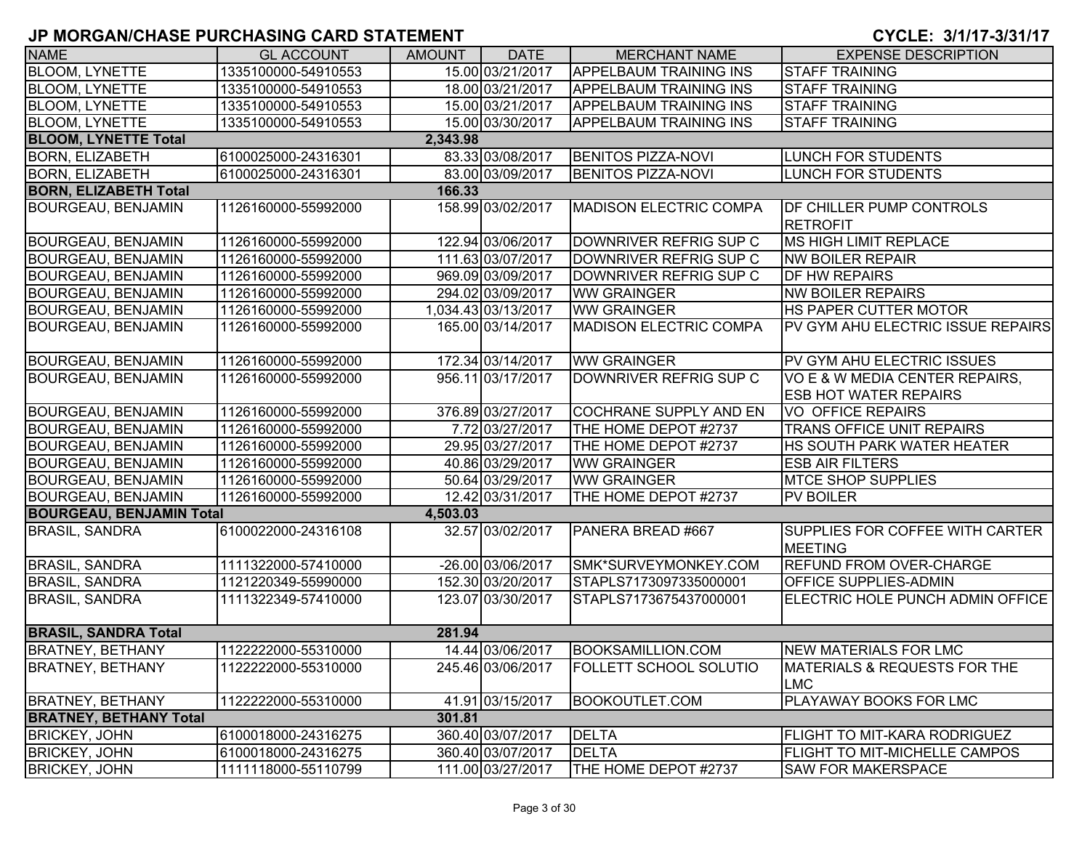| <b>NAME</b>                     | <b>GL ACCOUNT</b>   | <b>AMOUNT</b> | <b>DATE</b>         | <b>MERCHANT NAME</b>          | <b>EXPENSE DESCRIPTION</b>                                     |
|---------------------------------|---------------------|---------------|---------------------|-------------------------------|----------------------------------------------------------------|
| <b>BLOOM, LYNETTE</b>           | 1335100000-54910553 |               | 15.00 03/21/2017    | <b>APPELBAUM TRAINING INS</b> | <b>STAFF TRAINING</b>                                          |
| <b>BLOOM, LYNETTE</b>           | 1335100000-54910553 |               | 18.00 03/21/2017    | <b>APPELBAUM TRAINING INS</b> | <b>STAFF TRAINING</b>                                          |
| <b>BLOOM, LYNETTE</b>           | 1335100000-54910553 |               | 15.00 03/21/2017    | <b>APPELBAUM TRAINING INS</b> | <b>STAFF TRAINING</b>                                          |
| <b>BLOOM, LYNETTE</b>           | 1335100000-54910553 |               | 15.00 03/30/2017    | <b>APPELBAUM TRAINING INS</b> | <b>STAFF TRAINING</b>                                          |
| <b>BLOOM, LYNETTE Total</b>     |                     | 2,343.98      |                     |                               |                                                                |
| <b>BORN, ELIZABETH</b>          | 6100025000-24316301 |               | 83.33 03/08/2017    | <b>BENITOS PIZZA-NOVI</b>     | LUNCH FOR STUDENTS                                             |
| <b>BORN, ELIZABETH</b>          | 6100025000-24316301 |               | 83.00 03/09/2017    | <b>BENITOS PIZZA-NOVI</b>     | LUNCH FOR STUDENTS                                             |
| <b>BORN, ELIZABETH Total</b>    |                     | 166.33        |                     |                               |                                                                |
| <b>BOURGEAU, BENJAMIN</b>       | 1126160000-55992000 |               | 158.99 03/02/2017   | <b>MADISON ELECTRIC COMPA</b> | <b>DF CHILLER PUMP CONTROLS</b><br><b>RETROFIT</b>             |
| <b>BOURGEAU, BENJAMIN</b>       | 1126160000-55992000 |               | 122.94 03/06/2017   | DOWNRIVER REFRIG SUP C        | <b>MS HIGH LIMIT REPLACE</b>                                   |
| <b>BOURGEAU, BENJAMIN</b>       | 1126160000-55992000 |               | 111.63 03/07/2017   | DOWNRIVER REFRIG SUP C        | <b>NW BOILER REPAIR</b>                                        |
| <b>BOURGEAU, BENJAMIN</b>       | 1126160000-55992000 |               | 969.09 03/09/2017   | DOWNRIVER REFRIG SUP C        | <b>DF HW REPAIRS</b>                                           |
| <b>BOURGEAU, BENJAMIN</b>       | 1126160000-55992000 |               | 294.02 03/09/2017   | <b>WW GRAINGER</b>            | <b>NW BOILER REPAIRS</b>                                       |
| <b>BOURGEAU, BENJAMIN</b>       | 1126160000-55992000 |               | 1,034.43 03/13/2017 | <b>WW GRAINGER</b>            | <b>HS PAPER CUTTER MOTOR</b>                                   |
| <b>BOURGEAU, BENJAMIN</b>       | 1126160000-55992000 |               | 165.00 03/14/2017   | <b>MADISON ELECTRIC COMPA</b> | PV GYM AHU ELECTRIC ISSUE REPAIRS                              |
| <b>BOURGEAU, BENJAMIN</b>       | 1126160000-55992000 |               | 172.34 03/14/2017   | <b>WW GRAINGER</b>            | PV GYM AHU ELECTRIC ISSUES                                     |
| <b>BOURGEAU, BENJAMIN</b>       | 1126160000-55992000 |               | 956.11 03/17/2017   | DOWNRIVER REFRIG SUP C        | VO E & W MEDIA CENTER REPAIRS,<br><b>ESB HOT WATER REPAIRS</b> |
| <b>BOURGEAU, BENJAMIN</b>       | 1126160000-55992000 |               | 376.89 03/27/2017   | <b>COCHRANE SUPPLY AND EN</b> | <b>VO OFFICE REPAIRS</b>                                       |
| <b>BOURGEAU, BENJAMIN</b>       | 1126160000-55992000 |               | 7.72 03/27/2017     | THE HOME DEPOT #2737          | <b>TRANS OFFICE UNIT REPAIRS</b>                               |
| <b>BOURGEAU, BENJAMIN</b>       | 1126160000-55992000 |               | 29.95 03/27/2017    | THE HOME DEPOT #2737          | <b>HS SOUTH PARK WATER HEATER</b>                              |
| <b>BOURGEAU, BENJAMIN</b>       | 1126160000-55992000 |               | 40.86 03/29/2017    | <b>WW GRAINGER</b>            | <b>ESB AIR FILTERS</b>                                         |
| <b>BOURGEAU, BENJAMIN</b>       | 1126160000-55992000 |               | 50.64 03/29/2017    | <b>WW GRAINGER</b>            | <b>MTCE SHOP SUPPLIES</b>                                      |
| <b>BOURGEAU, BENJAMIN</b>       | 1126160000-55992000 |               | 12.42 03/31/2017    | THE HOME DEPOT #2737          | PV BOILER                                                      |
| <b>BOURGEAU, BENJAMIN Total</b> |                     | 4,503.03      |                     |                               |                                                                |
| <b>BRASIL, SANDRA</b>           | 6100022000-24316108 |               | 32.57 03/02/2017    | PANERA BREAD #667             | SUPPLIES FOR COFFEE WITH CARTER<br><b>MEETING</b>              |
| <b>BRASIL, SANDRA</b>           | 1111322000-57410000 |               | -26.00 03/06/2017   | SMK*SURVEYMONKEY.COM          | <b>REFUND FROM OVER-CHARGE</b>                                 |
| <b>BRASIL, SANDRA</b>           | 1121220349-55990000 |               | 152.30 03/20/2017   | STAPLS7173097335000001        | <b>OFFICE SUPPLIES-ADMIN</b>                                   |
| <b>BRASIL, SANDRA</b>           | 1111322349-57410000 |               | 123.07 03/30/2017   | STAPLS7173675437000001        | ELECTRIC HOLE PUNCH ADMIN OFFICE                               |
| <b>BRASIL, SANDRA Total</b>     |                     | 281.94        |                     |                               |                                                                |
| <b>BRATNEY, BETHANY</b>         | 1122222000-55310000 |               | 14.44 03/06/2017    | <b>BOOKSAMILLION.COM</b>      | NEW MATERIALS FOR LMC                                          |
| <b>BRATNEY, BETHANY</b>         | 1122222000-55310000 |               | 245.46 03/06/2017   | <b>FOLLETT SCHOOL SOLUTIO</b> | MATERIALS & REQUESTS FOR THE<br><b>LMC</b>                     |
| <b>BRATNEY, BETHANY</b>         | 1122222000-55310000 |               | 41.91 03/15/2017    | <b>BOOKOUTLET.COM</b>         | <b>PLAYAWAY BOOKS FOR LMC</b>                                  |
| <b>BRATNEY, BETHANY Total</b>   |                     | 301.81        |                     |                               |                                                                |
| <b>BRICKEY, JOHN</b>            | 6100018000-24316275 |               | 360.40 03/07/2017   | <b>DELTA</b>                  | <b>FLIGHT TO MIT-KARA RODRIGUEZ</b>                            |
| <b>BRICKEY, JOHN</b>            | 6100018000-24316275 |               | 360.40 03/07/2017   | <b>DELTA</b>                  | FLIGHT TO MIT-MICHELLE CAMPOS                                  |
| <b>BRICKEY, JOHN</b>            | 1111118000-55110799 |               | 111.00 03/27/2017   | THE HOME DEPOT #2737          | <b>SAW FOR MAKERSPACE</b>                                      |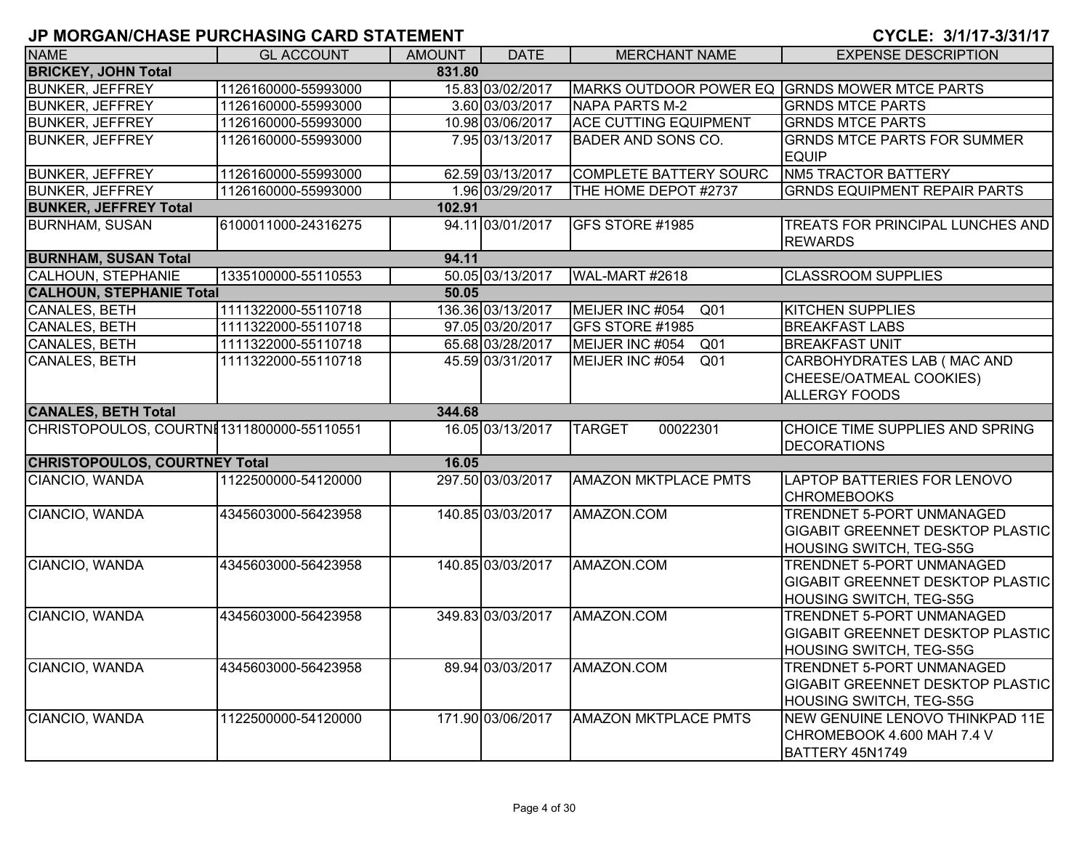| <b>NAME</b>                                | <b>GL ACCOUNT</b>                          | <b>AMOUNT</b> | <b>DATE</b>       | <b>MERCHANT NAME</b>                          | <b>EXPENSE DESCRIPTION</b>                                                                             |
|--------------------------------------------|--------------------------------------------|---------------|-------------------|-----------------------------------------------|--------------------------------------------------------------------------------------------------------|
| <b>BRICKEY, JOHN Total</b>                 |                                            | 831.80        |                   |                                               |                                                                                                        |
| <b>BUNKER, JEFFREY</b>                     | 1126160000-55993000                        |               | 15.83 03/02/2017  | MARKS OUTDOOR POWER EQ GRNDS MOWER MTCE PARTS |                                                                                                        |
| <b>BUNKER, JEFFREY</b>                     | 1126160000-55993000                        |               | 3.60 03/03/2017   | <b>NAPA PARTS M-2</b>                         | <b>GRNDS MTCE PARTS</b>                                                                                |
| <b>BUNKER, JEFFREY</b>                     | 1126160000-55993000                        |               | 10.98 03/06/2017  | <b>ACE CUTTING EQUIPMENT</b>                  | <b>GRNDS MTCE PARTS</b>                                                                                |
| <b>BUNKER, JEFFREY</b>                     | 1126160000-55993000                        |               | 7.95 03/13/2017   | <b>BADER AND SONS CO.</b>                     | <b>GRNDS MTCE PARTS FOR SUMMER</b><br><b>EQUIP</b>                                                     |
| <b>BUNKER, JEFFREY</b>                     | 1126160000-55993000                        |               | 62.59 03/13/2017  | <b>COMPLETE BATTERY SOURC</b>                 | <b>NM5 TRACTOR BATTERY</b>                                                                             |
| <b>BUNKER, JEFFREY</b>                     | 1126160000-55993000                        |               | 1.96 03/29/2017   | THE HOME DEPOT #2737                          | <b>GRNDS EQUIPMENT REPAIR PARTS</b>                                                                    |
| <b>BUNKER, JEFFREY Total</b>               |                                            | 102.91        |                   |                                               |                                                                                                        |
| <b>BURNHAM, SUSAN</b>                      | 6100011000-24316275                        |               | 94.11 03/01/2017  | GFS STORE #1985                               | TREATS FOR PRINCIPAL LUNCHES AND<br><b>REWARDS</b>                                                     |
| <b>BURNHAM, SUSAN Total</b>                |                                            | 94.11         |                   |                                               |                                                                                                        |
| <b>CALHOUN, STEPHANIE</b>                  | 1335100000-55110553                        |               | 50.05 03/13/2017  | WAL-MART #2618                                | <b>CLASSROOM SUPPLIES</b>                                                                              |
| <b>CALHOUN, STEPHANIE Total</b>            |                                            | 50.05         |                   |                                               |                                                                                                        |
| <b>CANALES, BETH</b>                       | 1111322000-55110718                        |               | 136.36 03/13/2017 | MEIJER INC #054<br>Q <sub>01</sub>            | <b>KITCHEN SUPPLIES</b>                                                                                |
| <b>CANALES, BETH</b>                       | 1111322000-55110718                        |               | 97.05 03/20/2017  | GFS STORE #1985                               | <b>BREAKFAST LABS</b>                                                                                  |
| <b>CANALES, BETH</b>                       | 1111322000-55110718                        |               | 65.68 03/28/2017  | MEIJER INC #054<br>Q <sub>01</sub>            | <b>BREAKFAST UNIT</b>                                                                                  |
| CANALES, BETH                              | 1111322000-55110718                        |               | 45.59 03/31/2017  | MEIJER INC #054<br>Q <sub>01</sub>            | CARBOHYDRATES LAB (MAC AND<br>CHEESE/OATMEAL COOKIES)<br><b>ALLERGY FOODS</b>                          |
| <b>CANALES, BETH Total</b>                 |                                            | 344.68        |                   |                                               |                                                                                                        |
| CHRISTOPOULOS, COURTNE 1311800000-55110551 |                                            |               | 16.05 03/13/2017  | <b>TARGET</b><br>00022301                     | CHOICE TIME SUPPLIES AND SPRING<br><b>DECORATIONS</b>                                                  |
| <b>CHRISTOPOULOS, COURTNEY Total</b>       |                                            | 16.05         |                   |                                               |                                                                                                        |
| CIANCIO, WANDA                             | 1122500000-54120000                        |               | 297.50 03/03/2017 | <b>AMAZON MKTPLACE PMTS</b>                   | <b>LAPTOP BATTERIES FOR LENOVO</b><br><b>CHROMEBOOKS</b>                                               |
| CIANCIO, WANDA                             | 4345603000-56423958                        |               | 140.85 03/03/2017 | AMAZON.COM                                    | <b>TRENDNET 5-PORT UNMANAGED</b><br>GIGABIT GREENNET DESKTOP PLASTIC<br>HOUSING SWITCH, TEG-S5G        |
| CIANCIO, WANDA                             | 4345603000-56423958                        |               | 140.85 03/03/2017 | AMAZON.COM                                    | TRENDNET 5-PORT UNMANAGED<br><b>GIGABIT GREENNET DESKTOP PLASTIC</b><br>HOUSING SWITCH, TEG-S5G        |
| CIANCIO, WANDA                             | 4345603000-56423958                        |               | 349.83 03/03/2017 | AMAZON.COM                                    | <b>TRENDNET 5-PORT UNMANAGED</b><br><b>GIGABIT GREENNET DESKTOP PLASTIC</b><br>HOUSING SWITCH, TEG-S5G |
| CIANCIO, WANDA                             |                                            |               | 89.94 03/03/2017  | AMAZON.COM                                    | <b>TRENDNET 5-PORT UNMANAGED</b>                                                                       |
| CIANCIO, WANDA                             | 4345603000-56423958<br>1122500000-54120000 |               | 171.90 03/06/2017 | <b>AMAZON MKTPLACE PMTS</b>                   | GIGABIT GREENNET DESKTOP PLASTIC<br>HOUSING SWITCH, TEG-S5G<br>NEW GENUINE LENOVO THINKPAD 11E         |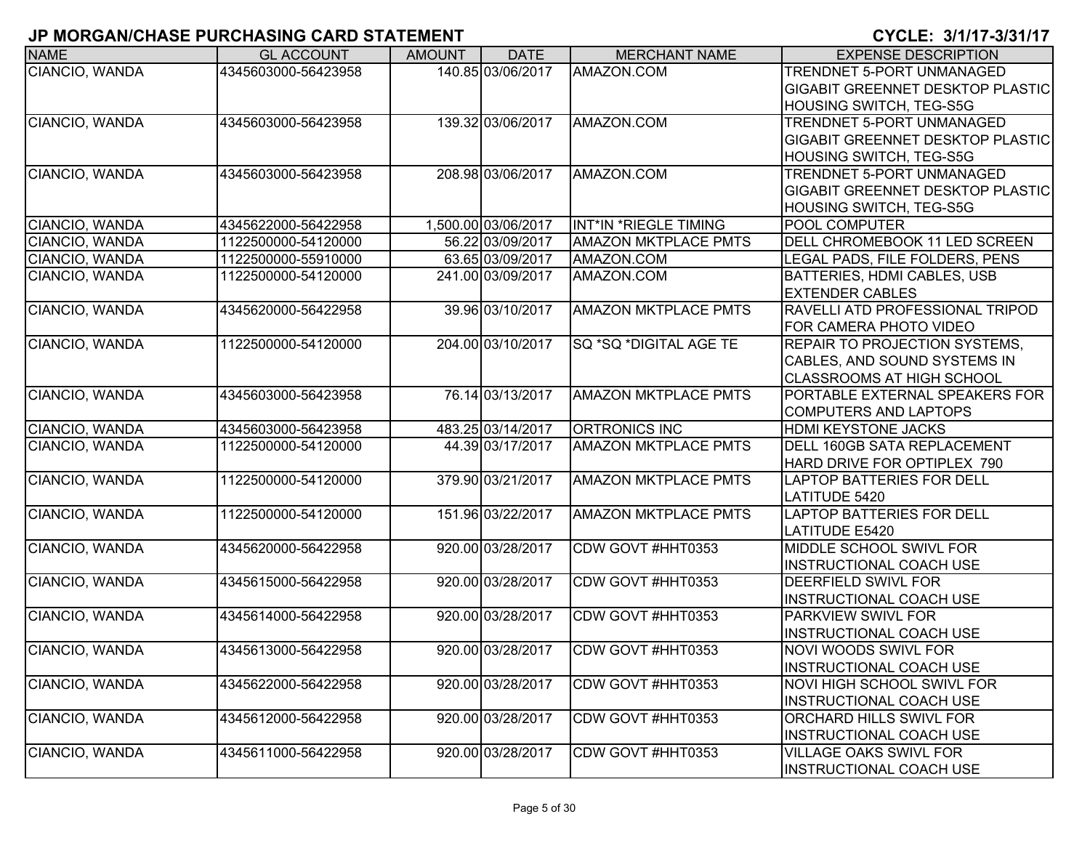| <b>NAME</b>    | <b>GL ACCOUNT</b>   | <b>AMOUNT</b> | <b>DATE</b>         | <b>MERCHANT NAME</b>        | <b>EXPENSE DESCRIPTION</b>              |
|----------------|---------------------|---------------|---------------------|-----------------------------|-----------------------------------------|
| CIANCIO, WANDA | 4345603000-56423958 |               | 140.85 03/06/2017   | AMAZON.COM                  | TRENDNET 5-PORT UNMANAGED               |
|                |                     |               |                     |                             | <b>GIGABIT GREENNET DESKTOP PLASTIC</b> |
|                |                     |               |                     |                             | <b>HOUSING SWITCH, TEG-S5G</b>          |
| CIANCIO, WANDA | 4345603000-56423958 |               | 139.32 03/06/2017   | AMAZON.COM                  | TRENDNET 5-PORT UNMANAGED               |
|                |                     |               |                     |                             | <b>GIGABIT GREENNET DESKTOP PLASTIC</b> |
|                |                     |               |                     |                             | HOUSING SWITCH, TEG-S5G                 |
| CIANCIO, WANDA | 4345603000-56423958 |               | 208.98 03/06/2017   | AMAZON.COM                  | TRENDNET 5-PORT UNMANAGED               |
|                |                     |               |                     |                             | <b>GIGABIT GREENNET DESKTOP PLASTIC</b> |
|                |                     |               |                     |                             | HOUSING SWITCH, TEG-S5G                 |
| CIANCIO, WANDA | 4345622000-56422958 |               | 1,500.00 03/06/2017 | INT*IN *RIEGLE TIMING       | POOL COMPUTER                           |
| CIANCIO, WANDA | 1122500000-54120000 |               | 56.22 03/09/2017    | <b>AMAZON MKTPLACE PMTS</b> | DELL CHROMEBOOK 11 LED SCREEN           |
| CIANCIO, WANDA | 1122500000-55910000 |               | 63.65 03/09/2017    | AMAZON.COM                  | LEGAL PADS, FILE FOLDERS, PENS          |
| CIANCIO, WANDA | 1122500000-54120000 |               | 241.00 03/09/2017   | AMAZON.COM                  | BATTERIES, HDMI CABLES, USB             |
|                |                     |               |                     |                             | <b>EXTENDER CABLES</b>                  |
| CIANCIO, WANDA | 4345620000-56422958 |               | 39.96 03/10/2017    | <b>AMAZON MKTPLACE PMTS</b> | <b>RAVELLI ATD PROFESSIONAL TRIPOD</b>  |
|                |                     |               |                     |                             | <b>FOR CAMERA PHOTO VIDEO</b>           |
| CIANCIO, WANDA | 1122500000-54120000 |               | 204.00 03/10/2017   | SQ *SQ *DIGITAL AGE TE      | REPAIR TO PROJECTION SYSTEMS,           |
|                |                     |               |                     |                             | CABLES, AND SOUND SYSTEMS IN            |
|                |                     |               |                     |                             | <b>CLASSROOMS AT HIGH SCHOOL</b>        |
| CIANCIO, WANDA | 4345603000-56423958 |               | 76.14 03/13/2017    | <b>AMAZON MKTPLACE PMTS</b> | PORTABLE EXTERNAL SPEAKERS FOR          |
|                |                     |               |                     |                             | <b>COMPUTERS AND LAPTOPS</b>            |
| CIANCIO, WANDA | 4345603000-56423958 |               | 483.25 03/14/2017   | <b>ORTRONICS INC</b>        | <b>HDMI KEYSTONE JACKS</b>              |
| CIANCIO, WANDA | 1122500000-54120000 |               | 44.39 03/17/2017    | <b>AMAZON MKTPLACE PMTS</b> | DELL 160GB SATA REPLACEMENT             |
|                |                     |               |                     |                             | HARD DRIVE FOR OPTIPLEX 790             |
| CIANCIO, WANDA | 1122500000-54120000 |               | 379.90 03/21/2017   | <b>AMAZON MKTPLACE PMTS</b> | <b>LAPTOP BATTERIES FOR DELL</b>        |
|                |                     |               |                     |                             | LATITUDE 5420                           |
| CIANCIO, WANDA | 1122500000-54120000 |               | 151.96 03/22/2017   | <b>AMAZON MKTPLACE PMTS</b> | <b>LAPTOP BATTERIES FOR DELL</b>        |
|                |                     |               |                     |                             | <b>LATITUDE E5420</b>                   |
| CIANCIO, WANDA | 4345620000-56422958 |               | 920.00 03/28/2017   | CDW GOVT #HHT0353           | MIDDLE SCHOOL SWIVL FOR                 |
|                |                     |               |                     |                             | <b>INSTRUCTIONAL COACH USE</b>          |
| CIANCIO, WANDA | 4345615000-56422958 |               | 920.00 03/28/2017   | CDW GOVT #HHT0353           | <b>DEERFIELD SWIVL FOR</b>              |
|                |                     |               |                     |                             | <b>INSTRUCTIONAL COACH USE</b>          |
| CIANCIO, WANDA | 4345614000-56422958 |               | 920.00 03/28/2017   | CDW GOVT #HHT0353           | <b>PARKVIEW SWIVL FOR</b>               |
|                |                     |               |                     |                             | <b>INSTRUCTIONAL COACH USE</b>          |
| CIANCIO, WANDA | 4345613000-56422958 |               | 920.00 03/28/2017   | CDW GOVT #HHT0353           | NOVI WOODS SWIVL FOR                    |
|                |                     |               |                     |                             | <b>INSTRUCTIONAL COACH USE</b>          |
| CIANCIO, WANDA | 4345622000-56422958 |               | 920.00 03/28/2017   | CDW GOVT #HHT0353           | NOVI HIGH SCHOOL SWIVL FOR              |
|                |                     |               |                     |                             | <b>INSTRUCTIONAL COACH USE</b>          |
| CIANCIO, WANDA | 4345612000-56422958 |               | 920.00 03/28/2017   | CDW GOVT #HHT0353           | <b>ORCHARD HILLS SWIVL FOR</b>          |
|                |                     |               |                     |                             | <b>INSTRUCTIONAL COACH USE</b>          |
| CIANCIO, WANDA | 4345611000-56422958 |               | 920.00 03/28/2017   | CDW GOVT #HHT0353           | <b>VILLAGE OAKS SWIVL FOR</b>           |
|                |                     |               |                     |                             | <b>INSTRUCTIONAL COACH USE</b>          |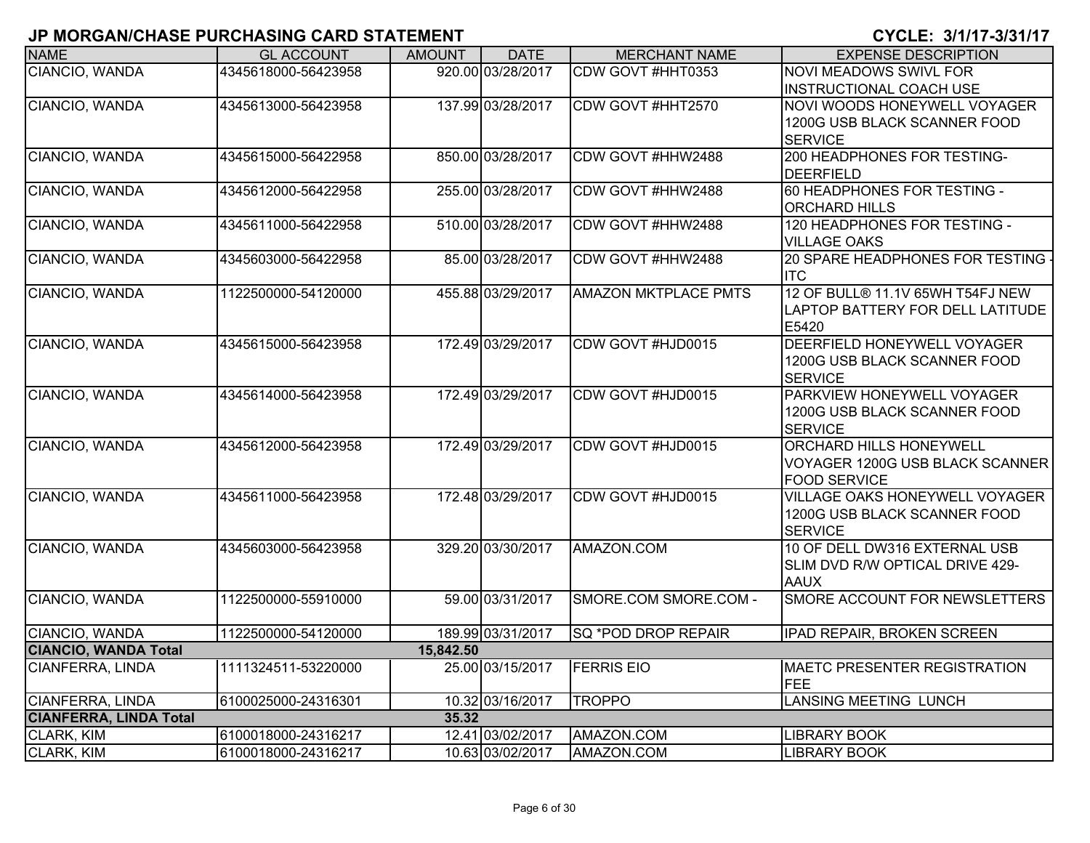| <b>NAME</b>                   | <b>GL ACCOUNT</b>   | <b>AMOUNT</b> | <b>DATE</b>       | <b>MERCHANT NAME</b>        | <b>EXPENSE DESCRIPTION</b>                                                               |
|-------------------------------|---------------------|---------------|-------------------|-----------------------------|------------------------------------------------------------------------------------------|
| CIANCIO, WANDA                | 4345618000-56423958 |               | 920.00 03/28/2017 | CDW GOVT #HHT0353           | <b>NOVI MEADOWS SWIVL FOR</b><br><b>INSTRUCTIONAL COACH USE</b>                          |
| CIANCIO, WANDA                | 4345613000-56423958 |               | 137.99 03/28/2017 | CDW GOVT #HHT2570           | NOVI WOODS HONEYWELL VOYAGER<br>1200G USB BLACK SCANNER FOOD<br><b>SERVICE</b>           |
| CIANCIO, WANDA                | 4345615000-56422958 |               | 850.00 03/28/2017 | CDW GOVT #HHW2488           | 200 HEADPHONES FOR TESTING-<br><b>DEERFIELD</b>                                          |
| CIANCIO, WANDA                | 4345612000-56422958 |               | 255.00 03/28/2017 | CDW GOVT #HHW2488           | 60 HEADPHONES FOR TESTING -<br><b>ORCHARD HILLS</b>                                      |
| CIANCIO, WANDA                | 4345611000-56422958 |               | 510.00 03/28/2017 | CDW GOVT #HHW2488           | 120 HEADPHONES FOR TESTING -<br><b>VILLAGE OAKS</b>                                      |
| CIANCIO, WANDA                | 4345603000-56422958 |               | 85.00 03/28/2017  | CDW GOVT #HHW2488           | 20 SPARE HEADPHONES FOR TESTING -<br><b>ITC</b>                                          |
| CIANCIO, WANDA                | 1122500000-54120000 |               | 455.88 03/29/2017 | <b>AMAZON MKTPLACE PMTS</b> | 12 OF BULL® 11.1V 65WH T54FJ NEW<br>LAPTOP BATTERY FOR DELL LATITUDE<br>E5420            |
| CIANCIO, WANDA                | 4345615000-56423958 |               | 172.49 03/29/2017 | CDW GOVT #HJD0015           | DEERFIELD HONEYWELL VOYAGER<br>1200G USB BLACK SCANNER FOOD<br><b>SERVICE</b>            |
| CIANCIO, WANDA                | 4345614000-56423958 |               | 172.49 03/29/2017 | CDW GOVT #HJD0015           | PARKVIEW HONEYWELL VOYAGER<br>1200G USB BLACK SCANNER FOOD<br><b>SERVICE</b>             |
| CIANCIO, WANDA                | 4345612000-56423958 |               | 172.49 03/29/2017 | CDW GOVT #HJD0015           | <b>ORCHARD HILLS HONEYWELL</b><br>VOYAGER 1200G USB BLACK SCANNER<br><b>FOOD SERVICE</b> |
| CIANCIO, WANDA                | 4345611000-56423958 |               | 172.48 03/29/2017 | CDW GOVT #HJD0015           | <b>VILLAGE OAKS HONEYWELL VOYAGER</b><br>1200G USB BLACK SCANNER FOOD<br><b>SERVICE</b>  |
| CIANCIO, WANDA                | 4345603000-56423958 |               | 329.20 03/30/2017 | AMAZON.COM                  | 10 OF DELL DW316 EXTERNAL USB<br>SLIM DVD R/W OPTICAL DRIVE 429-<br><b>AAUX</b>          |
| CIANCIO, WANDA                | 1122500000-55910000 |               | 59.00 03/31/2017  | SMORE.COM SMORE.COM -       | SMORE ACCOUNT FOR NEWSLETTERS                                                            |
| CIANCIO, WANDA                | 1122500000-54120000 |               | 189.99 03/31/2017 | SQ *POD DROP REPAIR         | <b>IPAD REPAIR, BROKEN SCREEN</b>                                                        |
| <b>CIANCIO, WANDA Total</b>   |                     | 15,842.50     |                   |                             |                                                                                          |
| CIANFERRA, LINDA              | 1111324511-53220000 |               | 25.00 03/15/2017  | <b>FERRIS EIO</b>           | <b>MAETC PRESENTER REGISTRATION</b><br>FEE                                               |
| <b>CIANFERRA, LINDA</b>       | 6100025000-24316301 |               | 10.32 03/16/2017  | <b>TROPPO</b>               | <b>LANSING MEETING LUNCH</b>                                                             |
| <b>CIANFERRA, LINDA Total</b> |                     | 35.32         |                   |                             |                                                                                          |
| CLARK, KIM                    | 6100018000-24316217 |               | 12.41 03/02/2017  | AMAZON.COM                  | <b>LIBRARY BOOK</b>                                                                      |
| CLARK, KIM                    | 6100018000-24316217 |               | 10.63 03/02/2017  | AMAZON.COM                  | <b>LIBRARY BOOK</b>                                                                      |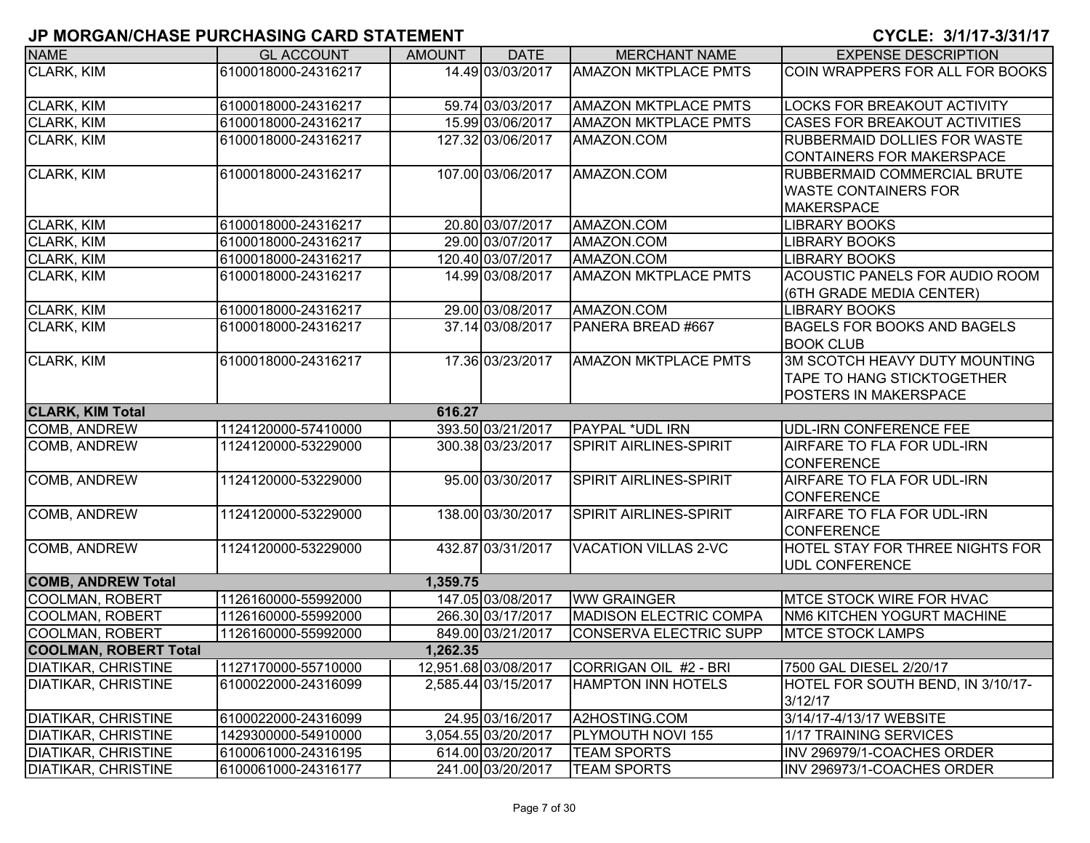| <b>NAME</b>                  | <b>GL ACCOUNT</b>   | <b>AMOUNT</b> | <b>DATE</b>          | <b>MERCHANT NAME</b>          | <b>EXPENSE DESCRIPTION</b>          |
|------------------------------|---------------------|---------------|----------------------|-------------------------------|-------------------------------------|
| CLARK, KIM                   | 6100018000-24316217 |               | 14.49 03/03/2017     | <b>AMAZON MKTPLACE PMTS</b>   | COIN WRAPPERS FOR ALL FOR BOOKS     |
|                              |                     |               |                      |                               |                                     |
| CLARK, KIM                   | 6100018000-24316217 |               | 59.74 03/03/2017     | <b>AMAZON MKTPLACE PMTS</b>   | LOCKS FOR BREAKOUT ACTIVITY         |
| CLARK, KIM                   | 6100018000-24316217 |               | 15.99 03/06/2017     | <b>AMAZON MKTPLACE PMTS</b>   | CASES FOR BREAKOUT ACTIVITIES       |
| CLARK, KIM                   | 6100018000-24316217 |               | 127.32 03/06/2017    | AMAZON.COM                    | <b>RUBBERMAID DOLLIES FOR WASTE</b> |
|                              |                     |               |                      |                               | CONTAINERS FOR MAKERSPACE           |
| CLARK, KIM                   | 6100018000-24316217 |               | 107.00 03/06/2017    | AMAZON.COM                    | RUBBERMAID COMMERCIAL BRUTE         |
|                              |                     |               |                      |                               | <b>WASTE CONTAINERS FOR</b>         |
|                              |                     |               |                      |                               | <b>MAKERSPACE</b>                   |
| CLARK, KIM                   | 6100018000-24316217 |               | 20.80 03/07/2017     | AMAZON.COM                    | <b>LIBRARY BOOKS</b>                |
| CLARK, KIM                   | 6100018000-24316217 |               | 29.00 03/07/2017     | AMAZON.COM                    | <b>LIBRARY BOOKS</b>                |
| CLARK, KIM                   | 6100018000-24316217 |               | 120.40 03/07/2017    | AMAZON.COM                    | <b>LIBRARY BOOKS</b>                |
| <b>CLARK, KIM</b>            | 6100018000-24316217 |               | 14.99 03/08/2017     | <b>AMAZON MKTPLACE PMTS</b>   | ACOUSTIC PANELS FOR AUDIO ROOM      |
|                              |                     |               |                      |                               | (6TH GRADE MEDIA CENTER)            |
| CLARK, KIM                   | 6100018000-24316217 |               | 29.00 03/08/2017     | AMAZON.COM                    | <b>LIBRARY BOOKS</b>                |
| <b>CLARK, KIM</b>            | 6100018000-24316217 |               | 37.14 03/08/2017     | PANERA BREAD #667             | <b>BAGELS FOR BOOKS AND BAGELS</b>  |
|                              |                     |               |                      |                               | <b>BOOK CLUB</b>                    |
| CLARK, KIM                   | 6100018000-24316217 |               | 17.36 03/23/2017     | <b>AMAZON MKTPLACE PMTS</b>   | 3M SCOTCH HEAVY DUTY MOUNTING       |
|                              |                     |               |                      |                               | <b>TAPE TO HANG STICKTOGETHER</b>   |
|                              |                     |               |                      |                               | POSTERS IN MAKERSPACE               |
| <b>CLARK, KIM Total</b>      |                     | 616.27        |                      |                               |                                     |
| COMB, ANDREW                 | 1124120000-57410000 |               | 393.50 03/21/2017    | <b>PAYPAL *UDL IRN</b>        | <b>UDL-IRN CONFERENCE FEE</b>       |
| COMB, ANDREW                 | 1124120000-53229000 |               | 300.38 03/23/2017    | <b>SPIRIT AIRLINES-SPIRIT</b> | AIRFARE TO FLA FOR UDL-IRN          |
|                              |                     |               |                      |                               | <b>CONFERENCE</b>                   |
| COMB, ANDREW                 | 1124120000-53229000 |               | 95.00 03/30/2017     | <b>SPIRIT AIRLINES-SPIRIT</b> | AIRFARE TO FLA FOR UDL-IRN          |
|                              |                     |               |                      |                               | <b>CONFERENCE</b>                   |
| COMB, ANDREW                 | 1124120000-53229000 |               | 138.00 03/30/2017    | SPIRIT AIRLINES-SPIRIT        | AIRFARE TO FLA FOR UDL-IRN          |
|                              |                     |               |                      |                               | <b>CONFERENCE</b>                   |
| COMB, ANDREW                 | 1124120000-53229000 |               | 432.87 03/31/2017    | <b>VACATION VILLAS 2-VC</b>   | HOTEL STAY FOR THREE NIGHTS FOR     |
|                              |                     |               |                      |                               | <b>UDL CONFERENCE</b>               |
| <b>COMB, ANDREW Total</b>    |                     | 1,359.75      |                      |                               |                                     |
| <b>COOLMAN, ROBERT</b>       | 1126160000-55992000 |               | 147.05 03/08/2017    | <b>WW GRAINGER</b>            | <b>IMTCE STOCK WIRE FOR HVAC</b>    |
| <b>COOLMAN, ROBERT</b>       | 1126160000-55992000 |               | 266.30 03/17/2017    | <b>MADISON ELECTRIC COMPA</b> | NM6 KITCHEN YOGURT MACHINE          |
| <b>COOLMAN, ROBERT</b>       | 1126160000-55992000 |               | 849.00 03/21/2017    | <b>CONSERVA ELECTRIC SUPP</b> | <b>MTCE STOCK LAMPS</b>             |
| <b>COOLMAN, ROBERT Total</b> |                     | 1,262.35      |                      |                               |                                     |
| <b>DIATIKAR, CHRISTINE</b>   | 1127170000-55710000 |               | 12,951.68 03/08/2017 | CORRIGAN OIL #2 - BRI         | 7500 GAL DIESEL 2/20/17             |
| <b>DIATIKAR, CHRISTINE</b>   | 6100022000-24316099 |               | 2,585.44 03/15/2017  | <b>HAMPTON INN HOTELS</b>     | HOTEL FOR SOUTH BEND, IN 3/10/17-   |
|                              |                     |               |                      |                               | 3/12/17                             |
| <b>DIATIKAR, CHRISTINE</b>   | 6100022000-24316099 |               | 24.95 03/16/2017     | A2HOSTING.COM                 | 3/14/17-4/13/17 WEBSITE             |
| <b>DIATIKAR, CHRISTINE</b>   | 1429300000-54910000 |               | 3,054.55 03/20/2017  | PLYMOUTH NOVI 155             | 1/17 TRAINING SERVICES              |
| DIATIKAR, CHRISTINE          | 6100061000-24316195 |               | 614.00 03/20/2017    | <b>TEAM SPORTS</b>            | INV 296979/1-COACHES ORDER          |
| <b>DIATIKAR, CHRISTINE</b>   | 6100061000-24316177 |               | 241.00 03/20/2017    | <b>TEAM SPORTS</b>            | INV 296973/1-COACHES ORDER          |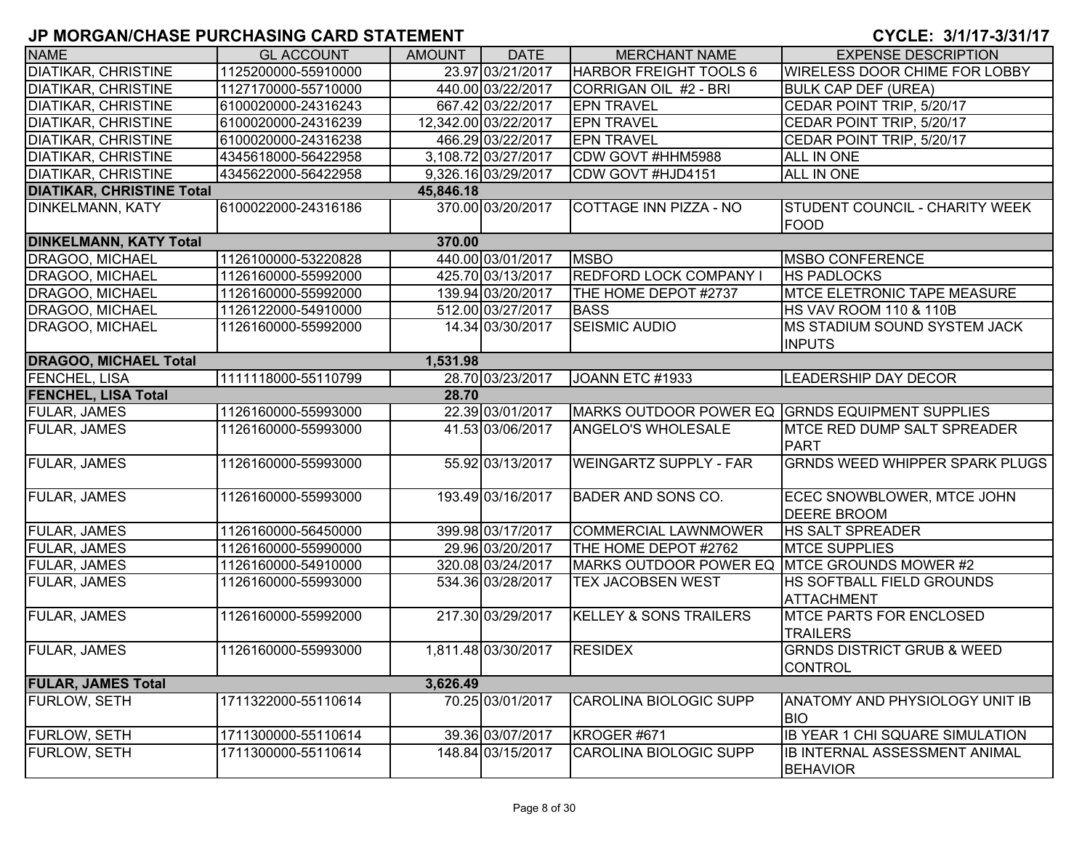| <b>NAME</b>                      | <b>GL ACCOUNT</b>   | <b>AMOUNT</b> | <b>DATE</b>          | <b>MERCHANT NAME</b>                            | <b>EXPENSE DESCRIPTION</b>                              |  |  |  |  |  |
|----------------------------------|---------------------|---------------|----------------------|-------------------------------------------------|---------------------------------------------------------|--|--|--|--|--|
| <b>DIATIKAR, CHRISTINE</b>       | 1125200000-55910000 |               | 23.97 03/21/2017     | <b>HARBOR FREIGHT TOOLS 6</b>                   | WIRELESS DOOR CHIME FOR LOBBY                           |  |  |  |  |  |
| <b>DIATIKAR, CHRISTINE</b>       | 1127170000-55710000 |               | 440.00 03/22/2017    | CORRIGAN OIL #2 - BRI                           | <b>BULK CAP DEF (UREA)</b>                              |  |  |  |  |  |
| <b>DIATIKAR, CHRISTINE</b>       | 6100020000-24316243 |               | 667.42 03/22/2017    | <b>EPN TRAVEL</b>                               | CEDAR POINT TRIP, 5/20/17                               |  |  |  |  |  |
| <b>DIATIKAR, CHRISTINE</b>       | 6100020000-24316239 |               | 12,342.00 03/22/2017 | <b>EPN TRAVEL</b>                               | CEDAR POINT TRIP, 5/20/17                               |  |  |  |  |  |
| <b>DIATIKAR, CHRISTINE</b>       | 6100020000-24316238 |               | 466.29 03/22/2017    | <b>EPN TRAVEL</b>                               | CEDAR POINT TRIP, 5/20/17                               |  |  |  |  |  |
| <b>DIATIKAR, CHRISTINE</b>       | 4345618000-56422958 |               | 3,108.72 03/27/2017  | CDW GOVT #HHM5988                               | ALL IN ONE                                              |  |  |  |  |  |
| <b>DIATIKAR, CHRISTINE</b>       | 4345622000-56422958 |               | 9,326.16 03/29/2017  | CDW GOVT #HJD4151                               | ALL IN ONE                                              |  |  |  |  |  |
| <b>DIATIKAR, CHRISTINE Total</b> |                     | 45,846.18     |                      |                                                 |                                                         |  |  |  |  |  |
| <b>DINKELMANN, KATY</b>          | 6100022000-24316186 |               | 370.00 03/20/2017    | COTTAGE INN PIZZA - NO                          | <b>STUDENT COUNCIL - CHARITY WEEK</b><br>FOOD           |  |  |  |  |  |
| <b>DINKELMANN, KATY Total</b>    |                     | 370.00        |                      |                                                 |                                                         |  |  |  |  |  |
| <b>DRAGOO, MICHAEL</b>           | 1126100000-53220828 |               | 440.00 03/01/2017    | <b>MSBO</b>                                     | <b>MSBO CONFERENCE</b>                                  |  |  |  |  |  |
| DRAGOO, MICHAEL                  | 1126160000-55992000 |               | 425.70 03/13/2017    | <b>REDFORD LOCK COMPANY I</b>                   | <b>HS PADLOCKS</b>                                      |  |  |  |  |  |
| DRAGOO, MICHAEL                  | 1126160000-55992000 |               | 139.94 03/20/2017    | THE HOME DEPOT #2737                            | <b>MTCE ELETRONIC TAPE MEASURE</b>                      |  |  |  |  |  |
| DRAGOO, MICHAEL                  | 1126122000-54910000 |               | 512.00 03/27/2017    | <b>BASS</b>                                     | <b>HS VAV ROOM 110 &amp; 110B</b>                       |  |  |  |  |  |
| DRAGOO, MICHAEL                  | 1126160000-55992000 |               | 14.34 03/30/2017     | <b>SEISMIC AUDIO</b>                            | <b>MS STADIUM SOUND SYSTEM JACK</b><br><b>INPUTS</b>    |  |  |  |  |  |
| <b>DRAGOO, MICHAEL Total</b>     |                     | 1,531.98      |                      |                                                 |                                                         |  |  |  |  |  |
| <b>FENCHEL, LISA</b>             | 1111118000-55110799 |               | 28.70 03/23/2017     | JOANN ETC #1933                                 | <b>LEADERSHIP DAY DECOR</b>                             |  |  |  |  |  |
| <b>FENCHEL, LISA Total</b>       | 28.70               |               |                      |                                                 |                                                         |  |  |  |  |  |
| <b>FULAR, JAMES</b>              | 1126160000-55993000 |               | 22.39 03/01/2017     | MARKS OUTDOOR POWER EQ GRNDS EQUIPMENT SUPPLIES |                                                         |  |  |  |  |  |
| <b>FULAR, JAMES</b>              | 1126160000-55993000 |               | 41.53 03/06/2017     | <b>ANGELO'S WHOLESALE</b>                       | <b>MTCE RED DUMP SALT SPREADER</b><br>PART              |  |  |  |  |  |
| FULAR, JAMES                     | 1126160000-55993000 |               | 55.92 03/13/2017     | <b>WEINGARTZ SUPPLY - FAR</b>                   | <b>GRNDS WEED WHIPPER SPARK PLUGS</b>                   |  |  |  |  |  |
| FULAR, JAMES                     | 1126160000-55993000 |               | 193.49 03/16/2017    | <b>BADER AND SONS CO.</b>                       | ECEC SNOWBLOWER, MTCE JOHN<br><b>DEERE BROOM</b>        |  |  |  |  |  |
| <b>FULAR, JAMES</b>              | 1126160000-56450000 |               | 399.98 03/17/2017    | <b>COMMERCIAL LAWNMOWER</b>                     | <b>HS SALT SPREADER</b>                                 |  |  |  |  |  |
| <b>FULAR, JAMES</b>              | 1126160000-55990000 |               | 29.96 03/20/2017     | THE HOME DEPOT #2762                            | <b>MTCE SUPPLIES</b>                                    |  |  |  |  |  |
| <b>FULAR, JAMES</b>              | 1126160000-54910000 |               | 320.08 03/24/2017    | MARKS OUTDOOR POWER EQ MITCE GROUNDS MOWER #2   |                                                         |  |  |  |  |  |
| <b>FULAR, JAMES</b>              | 1126160000-55993000 |               | 534.36 03/28/2017    | TEX JACOBSEN WEST                               | HS SOFTBALL FIELD GROUNDS<br><b>ATTACHMENT</b>          |  |  |  |  |  |
| <b>FULAR, JAMES</b>              | 1126160000-55992000 |               | 217.30 03/29/2017    | <b>KELLEY &amp; SONS TRAILERS</b>               | <b>MTCE PARTS FOR ENCLOSED</b><br><b>TRAILERS</b>       |  |  |  |  |  |
| <b>FULAR, JAMES</b>              | 1126160000-55993000 |               | 1,811.48 03/30/2017  | <b>RESIDEX</b>                                  | <b>GRNDS DISTRICT GRUB &amp; WEED</b><br><b>CONTROL</b> |  |  |  |  |  |
| <b>FULAR, JAMES Total</b>        |                     | 3,626.49      |                      |                                                 |                                                         |  |  |  |  |  |
| <b>FURLOW, SETH</b>              | 1711322000-55110614 |               | 70.25 03/01/2017     | <b>CAROLINA BIOLOGIC SUPP</b>                   | ANATOMY AND PHYSIOLOGY UNIT IB<br><b>BIO</b>            |  |  |  |  |  |
| FURLOW, SETH                     | 1711300000-55110614 |               | 39.36 03/07/2017     | KROGER #671                                     | <b>IB YEAR 1 CHI SQUARE SIMULATION</b>                  |  |  |  |  |  |
| FURLOW, SETH                     | 1711300000-55110614 |               | 148.84 03/15/2017    | CAROLINA BIOLOGIC SUPP                          | IB INTERNAL ASSESSMENT ANIMAL<br><b>BEHAVIOR</b>        |  |  |  |  |  |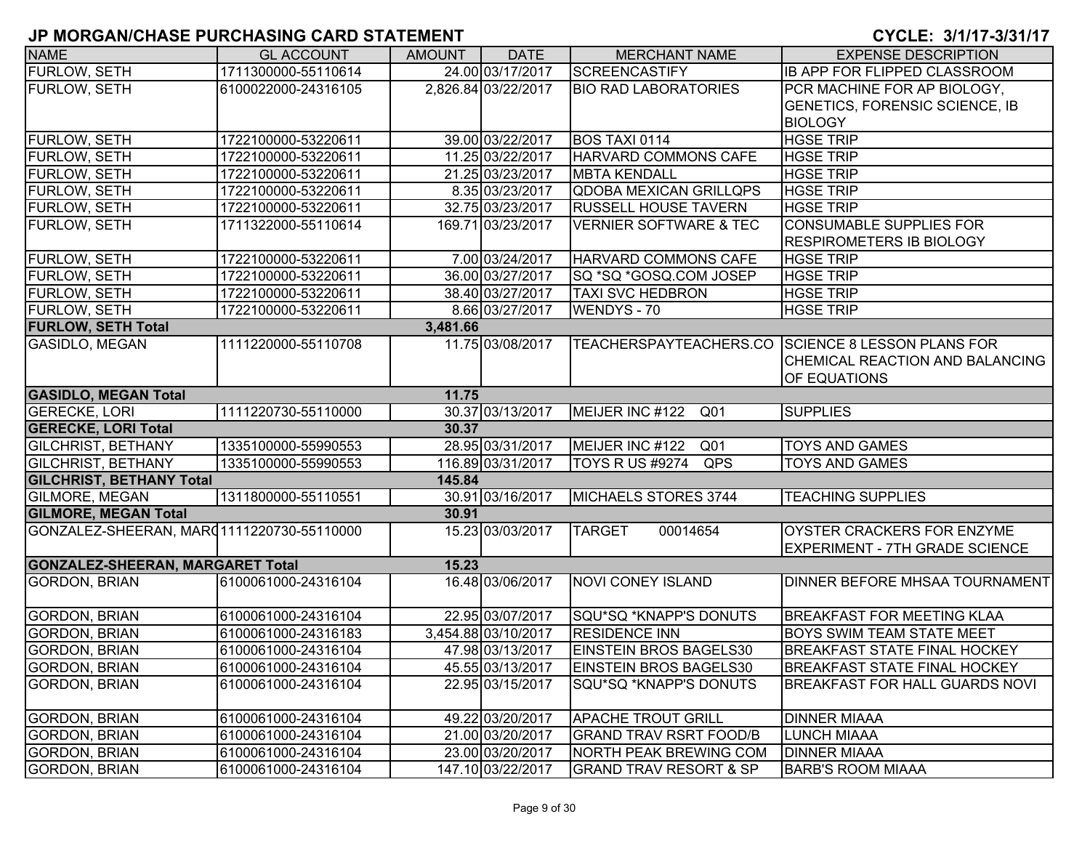| <b>NAME</b>                               | <b>GL ACCOUNT</b>   | <b>AMOUNT</b> | <b>DATE</b>         | <b>MERCHANT NAME</b>              | <b>EXPENSE DESCRIPTION</b>                        |
|-------------------------------------------|---------------------|---------------|---------------------|-----------------------------------|---------------------------------------------------|
| FURLOW, SETH                              | 1711300000-55110614 |               | 24.00 03/17/2017    | <b>SCREENCASTIFY</b>              | <b>IB APP FOR FLIPPED CLASSROOM</b>               |
| <b>FURLOW, SETH</b>                       | 6100022000-24316105 |               | 2,826.84 03/22/2017 | <b>BIO RAD LABORATORIES</b>       | PCR MACHINE FOR AP BIOLOGY,                       |
|                                           |                     |               |                     |                                   | <b>GENETICS, FORENSIC SCIENCE, IB</b>             |
|                                           |                     |               |                     |                                   | <b>BIOLOGY</b>                                    |
| <b>FURLOW, SETH</b>                       | 1722100000-53220611 |               | 39.00 03/22/2017    | <b>BOS TAXI 0114</b>              | <b>HGSE TRIP</b>                                  |
| FURLOW, SETH                              | 1722100000-53220611 |               | 11.25 03/22/2017    | HARVARD COMMONS CAFE              | <b>HGSE TRIP</b>                                  |
| FURLOW, SETH                              | 1722100000-53220611 |               | 21.25 03/23/2017    | <b>MBTA KENDALL</b>               | <b>HGSE TRIP</b>                                  |
| FURLOW, SETH                              | 1722100000-53220611 |               | 8.35 03/23/2017     | <b>QDOBA MEXICAN GRILLQPS</b>     | <b>HGSE TRIP</b>                                  |
| FURLOW, SETH                              | 1722100000-53220611 |               | 32.75 03/23/2017    | <b>RUSSELL HOUSE TAVERN</b>       | <b>HGSE TRIP</b>                                  |
| FURLOW, SETH                              | 1711322000-55110614 |               | 169.71 03/23/2017   | <b>VERNIER SOFTWARE &amp; TEC</b> | <b>CONSUMABLE SUPPLIES FOR</b>                    |
|                                           |                     |               |                     |                                   | <b>RESPIROMETERS IB BIOLOGY</b>                   |
| FURLOW, SETH                              | 1722100000-53220611 |               | 7.00 03/24/2017     | HARVARD COMMONS CAFE              | <b>HGSE TRIP</b>                                  |
| FURLOW, SETH                              | 1722100000-53220611 |               | 36.00 03/27/2017    | SQ *SQ *GOSQ.COM JOSEP            | <b>HGSE TRIP</b>                                  |
| <b>FURLOW, SETH</b>                       | 1722100000-53220611 |               | 38.40 03/27/2017    | <b>TAXI SVC HEDBRON</b>           | <b>HGSE TRIP</b>                                  |
| <b>FURLOW, SETH</b>                       | 1722100000-53220611 |               | 8.66 03/27/2017     | <b>WENDYS-70</b>                  | <b>HGSE TRIP</b>                                  |
| <b>FURLOW, SETH Total</b>                 |                     | 3,481.66      |                     |                                   |                                                   |
| <b>GASIDLO, MEGAN</b>                     | 1111220000-55110708 |               | 11.75 03/08/2017    |                                   | TEACHERSPAYTEACHERS.CO SCIENCE 8 LESSON PLANS FOR |
|                                           |                     |               |                     |                                   | <b>CHEMICAL REACTION AND BALANCING</b>            |
|                                           |                     |               |                     |                                   | OF EQUATIONS                                      |
| <b>GASIDLO, MEGAN Total</b>               |                     | 11.75         |                     |                                   |                                                   |
| <b>GERECKE, LORI</b>                      | 1111220730-55110000 |               | 30.37 03/13/2017    | MEIJER INC #122<br>Q01            | <b>SUPPLIES</b>                                   |
| <b>GERECKE, LORI Total</b>                |                     | 30.37         |                     |                                   |                                                   |
| <b>GILCHRIST, BETHANY</b>                 | 1335100000-55990553 |               | 28.95 03/31/2017    | MEIJER INC #122 Q01               | <b>TOYS AND GAMES</b>                             |
| <b>GILCHRIST, BETHANY</b>                 | 1335100000-55990553 |               | 116.89 03/31/2017   | QPS<br>TOYS R US #9274            | <b>TOYS AND GAMES</b>                             |
| <b>GILCHRIST, BETHANY Total</b>           |                     | 145.84        |                     |                                   |                                                   |
| <b>GILMORE, MEGAN</b>                     | 1311800000-55110551 |               | 30.91 03/16/2017    | MICHAELS STORES 3744              | <b>TEACHING SUPPLIES</b>                          |
| <b>GILMORE, MEGAN Total</b>               |                     | 30.91         |                     |                                   |                                                   |
| GONZALEZ-SHEERAN, MAR01111220730-55110000 |                     |               | 15.23 03/03/2017    | <b>TARGET</b><br>00014654         | <b>OYSTER CRACKERS FOR ENZYME</b>                 |
|                                           |                     |               |                     |                                   | <b>EXPERIMENT - 7TH GRADE SCIENCE</b>             |
| <b>GONZALEZ-SHEERAN, MARGARET Total</b>   |                     | 15.23         |                     |                                   |                                                   |
| <b>GORDON, BRIAN</b>                      | 6100061000-24316104 |               | 16.48 03/06/2017    | <b>NOVI CONEY ISLAND</b>          | <b>DINNER BEFORE MHSAA TOURNAMENT</b>             |
|                                           |                     |               |                     |                                   |                                                   |
| <b>GORDON, BRIAN</b>                      | 6100061000-24316104 |               | 22.95 03/07/2017    | SQU*SQ *KNAPP'S DONUTS            | <b>BREAKFAST FOR MEETING KLAA</b>                 |
| <b>GORDON, BRIAN</b>                      | 6100061000-24316183 |               | 3,454.88 03/10/2017 | <b>RESIDENCE INN</b>              | <b>BOYS SWIM TEAM STATE MEET</b>                  |
| <b>GORDON, BRIAN</b>                      | 6100061000-24316104 |               | 47.98 03/13/2017    | <b>EINSTEIN BROS BAGELS30</b>     | <b>BREAKFAST STATE FINAL HOCKEY</b>               |
| <b>GORDON, BRIAN</b>                      | 6100061000-24316104 |               | 45.55 03/13/2017    | EINSTEIN BROS BAGELS30            | <b>BREAKFAST STATE FINAL HOCKEY</b>               |
| <b>GORDON, BRIAN</b>                      | 6100061000-24316104 |               | 22.95 03/15/2017    | SQU*SQ *KNAPP'S DONUTS            | BREAKFAST FOR HALL GUARDS NOVI                    |
|                                           |                     |               |                     |                                   |                                                   |
| <b>GORDON, BRIAN</b>                      | 6100061000-24316104 |               | 49.22 03/20/2017    | <b>APACHE TROUT GRILL</b>         | <b>DINNER MIAAA</b>                               |
| <b>GORDON, BRIAN</b>                      | 6100061000-24316104 |               | 21.00 03/20/2017    | <b>GRAND TRAV RSRT FOOD/B</b>     | <b>LUNCH MIAAA</b>                                |
| <b>GORDON, BRIAN</b>                      | 6100061000-24316104 |               | 23.00 03/20/2017    | <b>NORTH PEAK BREWING COM</b>     | <b>DINNER MIAAA</b>                               |
| GORDON, BRIAN                             | 6100061000-24316104 |               | 147.10 03/22/2017   | <b>GRAND TRAV RESORT &amp; SP</b> | <b>BARB'S ROOM MIAAA</b>                          |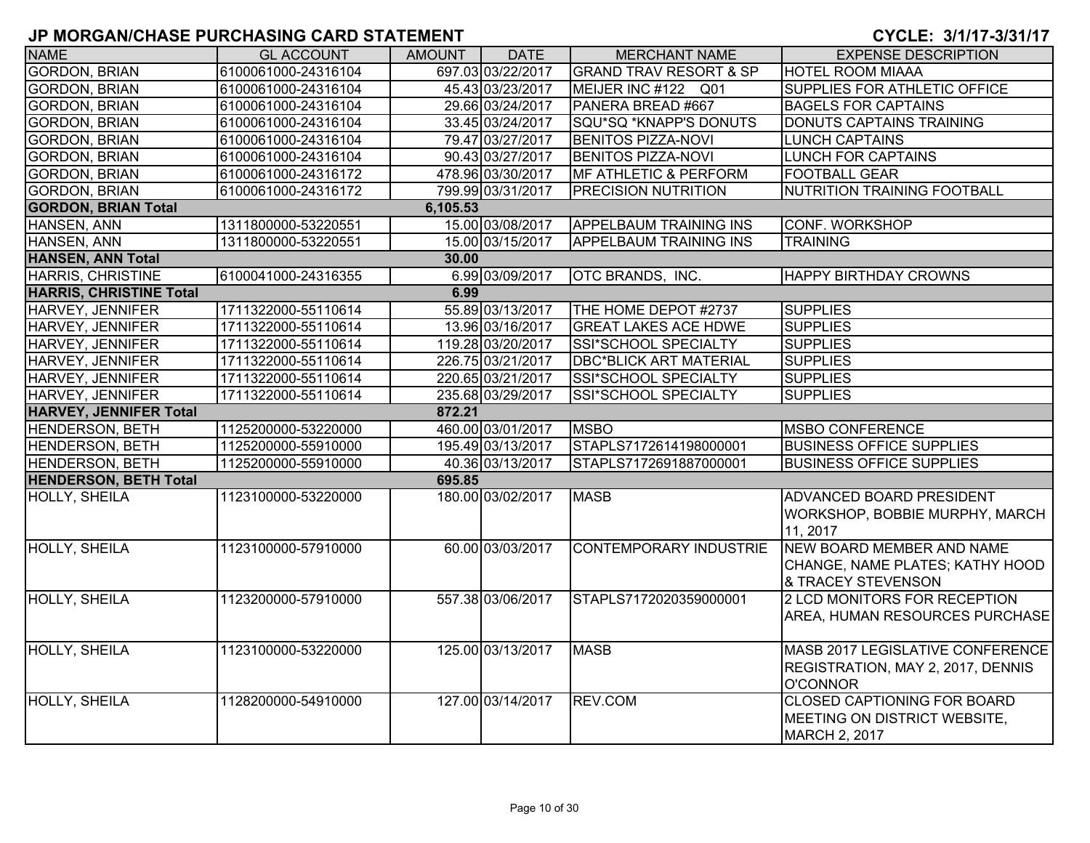| <b>NAME</b>                    | <b>GL ACCOUNT</b>   | AMOUNT   | <b>DATE</b>       | <b>MERCHANT NAME</b>              | <b>EXPENSE DESCRIPTION</b>                                                               |
|--------------------------------|---------------------|----------|-------------------|-----------------------------------|------------------------------------------------------------------------------------------|
| <b>GORDON, BRIAN</b>           | 6100061000-24316104 |          | 697.03 03/22/2017 | <b>GRAND TRAV RESORT &amp; SP</b> | <b>HOTEL ROOM MIAAA</b>                                                                  |
| <b>GORDON, BRIAN</b>           | 6100061000-24316104 |          | 45.43 03/23/2017  | MEIJER INC #122 Q01               | SUPPLIES FOR ATHLETIC OFFICE                                                             |
| <b>GORDON, BRIAN</b>           | 6100061000-24316104 |          | 29.66 03/24/2017  | PANERA BREAD #667                 | <b>BAGELS FOR CAPTAINS</b>                                                               |
| <b>GORDON, BRIAN</b>           | 6100061000-24316104 |          | 33.45 03/24/2017  | SQU*SQ *KNAPP'S DONUTS            | DONUTS CAPTAINS TRAINING                                                                 |
| <b>GORDON, BRIAN</b>           | 6100061000-24316104 |          | 79.47 03/27/2017  | <b>BENITOS PIZZA-NOVI</b>         | <b>LUNCH CAPTAINS</b>                                                                    |
| <b>GORDON, BRIAN</b>           | 6100061000-24316104 |          | 90.43 03/27/2017  | <b>BENITOS PIZZA-NOVI</b>         | LUNCH FOR CAPTAINS                                                                       |
| <b>GORDON, BRIAN</b>           | 6100061000-24316172 |          | 478.96 03/30/2017 | <b>MF ATHLETIC &amp; PERFORM</b>  | <b>FOOTBALL GEAR</b>                                                                     |
| <b>GORDON, BRIAN</b>           | 6100061000-24316172 |          | 799.99 03/31/2017 | <b>PRECISION NUTRITION</b>        | <b>NUTRITION TRAINING FOOTBALL</b>                                                       |
| <b>GORDON, BRIAN Total</b>     |                     | 6,105.53 |                   |                                   |                                                                                          |
| HANSEN, ANN                    | 1311800000-53220551 |          | 15.00 03/08/2017  | <b>APPELBAUM TRAINING INS</b>     | <b>CONF. WORKSHOP</b>                                                                    |
| HANSEN, ANN                    | 1311800000-53220551 |          | 15.00 03/15/2017  | <b>APPELBAUM TRAINING INS</b>     | <b>TRAINING</b>                                                                          |
| <b>HANSEN, ANN Total</b>       |                     | 30.00    |                   |                                   |                                                                                          |
| <b>HARRIS, CHRISTINE</b>       | 6100041000-24316355 |          | 6.99 03/09/2017   | <b>OTC BRANDS, INC.</b>           | <b>HAPPY BIRTHDAY CROWNS</b>                                                             |
| <b>HARRIS, CHRISTINE Total</b> |                     | 6.99     |                   |                                   |                                                                                          |
| <b>HARVEY, JENNIFER</b>        | 1711322000-55110614 |          | 55.89 03/13/2017  | THE HOME DEPOT #2737              | <b>SUPPLIES</b>                                                                          |
| HARVEY, JENNIFER               | 1711322000-55110614 |          | 13.96 03/16/2017  | <b>GREAT LAKES ACE HDWE</b>       | <b>SUPPLIES</b>                                                                          |
| HARVEY, JENNIFER               | 1711322000-55110614 |          | 119.28 03/20/2017 | <b>SSI*SCHOOL SPECIALTY</b>       | <b>SUPPLIES</b>                                                                          |
| HARVEY, JENNIFER               | 1711322000-55110614 |          | 226.75 03/21/2017 | <b>DBC*BLICK ART MATERIAL</b>     | <b>SUPPLIES</b>                                                                          |
| HARVEY, JENNIFER               | 1711322000-55110614 |          | 220.65 03/21/2017 | SSI*SCHOOL SPECIALTY              | <b>SUPPLIES</b>                                                                          |
| HARVEY, JENNIFER               | 1711322000-55110614 |          | 235.68 03/29/2017 | <b>SSI*SCHOOL SPECIALTY</b>       | <b>SUPPLIES</b>                                                                          |
| <b>HARVEY, JENNIFER Total</b>  |                     | 872.21   |                   |                                   |                                                                                          |
| HENDERSON, BETH                | 1125200000-53220000 |          | 460.00 03/01/2017 | <b>MSBO</b>                       | <b>MSBO CONFERENCE</b>                                                                   |
| <b>HENDERSON, BETH</b>         | 1125200000-55910000 |          | 195.49 03/13/2017 | STAPLS7172614198000001            | <b>BUSINESS OFFICE SUPPLIES</b>                                                          |
| <b>HENDERSON, BETH</b>         | 1125200000-55910000 |          | 40.36 03/13/2017  | STAPLS7172691887000001            | <b>BUSINESS OFFICE SUPPLIES</b>                                                          |
| <b>HENDERSON, BETH Total</b>   |                     | 695.85   |                   |                                   |                                                                                          |
| <b>HOLLY, SHEILA</b>           | 1123100000-53220000 |          | 180.00 03/02/2017 | <b>MASB</b>                       | ADVANCED BOARD PRESIDENT<br>WORKSHOP, BOBBIE MURPHY, MARCH<br>11, 2017                   |
| HOLLY, SHEILA                  | 1123100000-57910000 |          | 60.00 03/03/2017  | <b>CONTEMPORARY INDUSTRIE</b>     | NEW BOARD MEMBER AND NAME<br>CHANGE, NAME PLATES; KATHY HOOD<br>& TRACEY STEVENSON       |
| <b>HOLLY, SHEILA</b>           | 1123200000-57910000 |          | 557.38 03/06/2017 | STAPLS7172020359000001            | 2 LCD MONITORS FOR RECEPTION<br>AREA, HUMAN RESOURCES PURCHASE                           |
| <b>HOLLY, SHEILA</b>           | 1123100000-53220000 |          | 125.00 03/13/2017 | <b>MASB</b>                       | MASB 2017 LEGISLATIVE CONFERENCE<br>REGISTRATION, MAY 2, 2017, DENNIS<br><b>O'CONNOR</b> |
| <b>HOLLY, SHEILA</b>           | 1128200000-54910000 |          | 127.00 03/14/2017 | REV.COM                           | <b>CLOSED CAPTIONING FOR BOARD</b><br>MEETING ON DISTRICT WEBSITE,<br>MARCH 2, 2017      |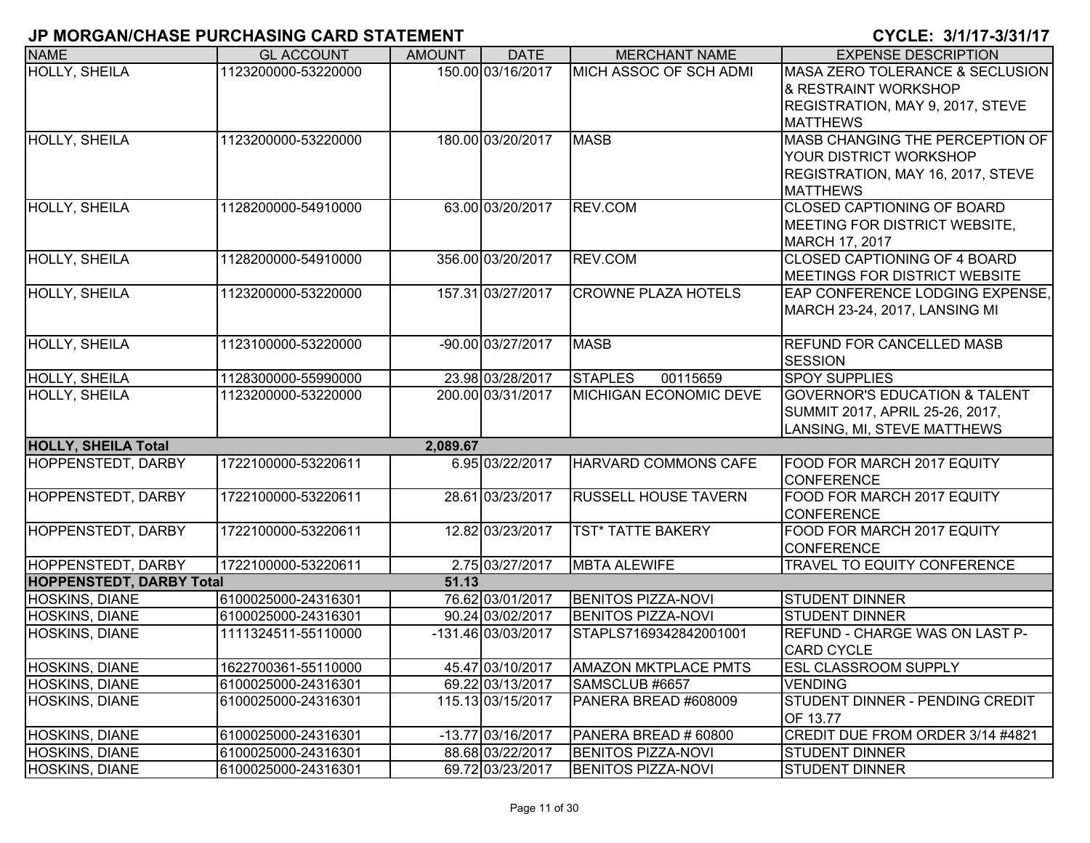| <b>NAME</b>                     | <b>GL ACCOUNT</b>   | <b>AMOUNT</b> | <b>DATE</b>        | <b>MERCHANT NAME</b>          | <b>EXPENSE DESCRIPTION</b>               |
|---------------------------------|---------------------|---------------|--------------------|-------------------------------|------------------------------------------|
| HOLLY, SHEILA                   | 1123200000-53220000 |               | 150.00 03/16/2017  | MICH ASSOC OF SCH ADMI        | MASA ZERO TOLERANCE & SECLUSION          |
|                                 |                     |               |                    |                               | 8 RESTRAINT WORKSHOP                     |
|                                 |                     |               |                    |                               | REGISTRATION, MAY 9, 2017, STEVE         |
|                                 |                     |               |                    |                               | <b>MATTHEWS</b>                          |
| <b>HOLLY, SHEILA</b>            | 1123200000-53220000 |               | 180.00 03/20/2017  | <b>MASB</b>                   | MASB CHANGING THE PERCEPTION OF          |
|                                 |                     |               |                    |                               | YOUR DISTRICT WORKSHOP                   |
|                                 |                     |               |                    |                               | REGISTRATION, MAY 16, 2017, STEVE        |
|                                 |                     |               |                    |                               | <b>MATTHEWS</b>                          |
| HOLLY, SHEILA                   | 1128200000-54910000 |               | 63.00 03/20/2017   | REV.COM                       | <b>CLOSED CAPTIONING OF BOARD</b>        |
|                                 |                     |               |                    |                               | MEETING FOR DISTRICT WEBSITE,            |
|                                 |                     |               |                    |                               | MARCH 17, 2017                           |
| <b>HOLLY, SHEILA</b>            | 1128200000-54910000 |               | 356.00 03/20/2017  | REV.COM                       | <b>CLOSED CAPTIONING OF 4 BOARD</b>      |
|                                 |                     |               |                    |                               | <b>IMEETINGS FOR DISTRICT WEBSITE</b>    |
| <b>HOLLY, SHEILA</b>            | 1123200000-53220000 |               | 157.31 03/27/2017  | <b>CROWNE PLAZA HOTELS</b>    | EAP CONFERENCE LODGING EXPENSE,          |
|                                 |                     |               |                    |                               | MARCH 23-24, 2017, LANSING MI            |
|                                 |                     |               |                    | <b>MASB</b>                   |                                          |
| <b>HOLLY, SHEILA</b>            | 1123100000-53220000 |               | -90.00 03/27/2017  |                               | <b>REFUND FOR CANCELLED MASB</b>         |
| <b>HOLLY, SHEILA</b>            | 1128300000-55990000 |               | 23.98 03/28/2017   | <b>STAPLES</b><br>00115659    | <b>SESSION</b><br><b>SPOY SUPPLIES</b>   |
| <b>HOLLY, SHEILA</b>            | 1123200000-53220000 |               | 200.00 03/31/2017  | <b>MICHIGAN ECONOMIC DEVE</b> | <b>GOVERNOR'S EDUCATION &amp; TALENT</b> |
|                                 |                     |               |                    |                               | SUMMIT 2017, APRIL 25-26, 2017,          |
|                                 |                     |               |                    |                               | LANSING, MI, STEVE MATTHEWS              |
| <b>HOLLY, SHEILA Total</b>      |                     | 2,089.67      |                    |                               |                                          |
| <b>HOPPENSTEDT, DARBY</b>       | 1722100000-53220611 |               | 6.95 03/22/2017    | HARVARD COMMONS CAFE          | FOOD FOR MARCH 2017 EQUITY               |
|                                 |                     |               |                    |                               | <b>CONFERENCE</b>                        |
| <b>HOPPENSTEDT, DARBY</b>       | 1722100000-53220611 |               | 28.61 03/23/2017   | <b>RUSSELL HOUSE TAVERN</b>   | FOOD FOR MARCH 2017 EQUITY               |
|                                 |                     |               |                    |                               | <b>CONFERENCE</b>                        |
| <b>HOPPENSTEDT, DARBY</b>       | 1722100000-53220611 |               | 12.82 03/23/2017   | <b>TST* TATTE BAKERY</b>      | FOOD FOR MARCH 2017 EQUITY               |
|                                 |                     |               |                    |                               | <b>CONFERENCE</b>                        |
| <b>HOPPENSTEDT, DARBY</b>       | 1722100000-53220611 |               | 2.75 03/27/2017    | <b>MBTA ALEWIFE</b>           | TRAVEL TO EQUITY CONFERENCE              |
| <b>HOPPENSTEDT, DARBY Total</b> |                     | 51.13         |                    |                               |                                          |
| HOSKINS, DIANE                  | 6100025000-24316301 |               | 76.62 03/01/2017   | <b>BENITOS PIZZA-NOVI</b>     | <b>STUDENT DINNER</b>                    |
| <b>HOSKINS, DIANE</b>           | 6100025000-24316301 |               | 90.24 03/02/2017   | <b>BENITOS PIZZA-NOVI</b>     | <b>STUDENT DINNER</b>                    |
| <b>HOSKINS, DIANE</b>           | 1111324511-55110000 |               | -131.46 03/03/2017 | STAPLS7169342842001001        | <b>REFUND - CHARGE WAS ON LAST P-</b>    |
|                                 |                     |               |                    |                               | <b>CARD CYCLE</b>                        |
| <b>HOSKINS, DIANE</b>           | 1622700361-55110000 |               | 45.47 03/10/2017   | <b>AMAZON MKTPLACE PMTS</b>   | <b>ESL CLASSROOM SUPPLY</b>              |
| HOSKINS, DIANE                  | 6100025000-24316301 |               | 69.22 03/13/2017   | SAMSCLUB #6657                | <b>VENDING</b>                           |
| <b>HOSKINS, DIANE</b>           | 6100025000-24316301 |               | 115.13 03/15/2017  | PANERA BREAD #608009          | STUDENT DINNER - PENDING CREDIT          |
|                                 |                     |               |                    |                               | OF 13.77                                 |
| HOSKINS, DIANE                  | 6100025000-24316301 |               | -13.77 03/16/2017  | PANERA BREAD # 60800          | CREDIT DUE FROM ORDER 3/14 #4821         |
| <b>HOSKINS, DIANE</b>           | 6100025000-24316301 |               | 88.68 03/22/2017   | <b>BENITOS PIZZA-NOVI</b>     | <b>STUDENT DINNER</b>                    |
| <b>HOSKINS, DIANE</b>           | 6100025000-24316301 |               | 69.72 03/23/2017   | <b>BENITOS PIZZA-NOVI</b>     | <b>STUDENT DINNER</b>                    |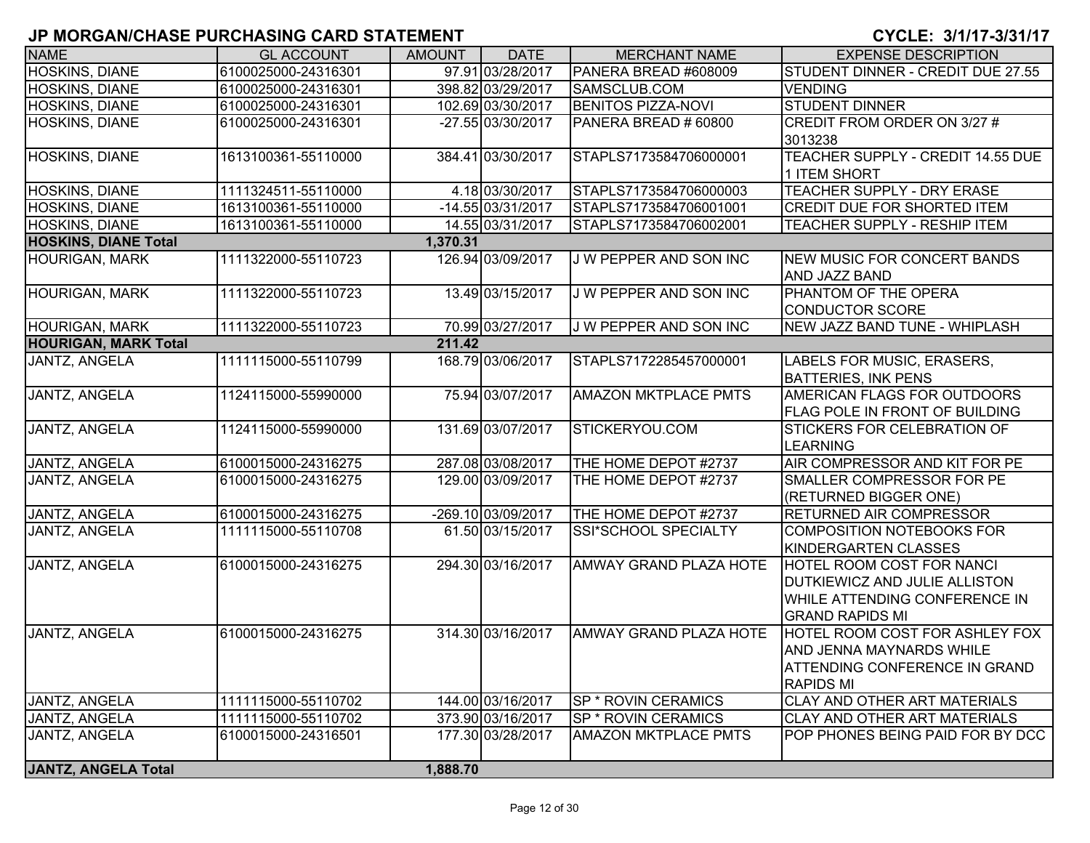| <b>NAME</b>                 | <b>GL ACCOUNT</b>   | <b>AMOUNT</b> | <b>DATE</b>        | <b>MERCHANT NAME</b>        | <b>EXPENSE DESCRIPTION</b>                                                                                                    |
|-----------------------------|---------------------|---------------|--------------------|-----------------------------|-------------------------------------------------------------------------------------------------------------------------------|
| HOSKINS, DIANE              | 6100025000-24316301 |               | 97.91 03/28/2017   | PANERA BREAD #608009        | STUDENT DINNER - CREDIT DUE 27.55                                                                                             |
| <b>HOSKINS, DIANE</b>       | 6100025000-24316301 |               | 398.82 03/29/2017  | SAMSCLUB.COM                | <b>VENDING</b>                                                                                                                |
| <b>HOSKINS, DIANE</b>       | 6100025000-24316301 |               | 102.69 03/30/2017  | <b>BENITOS PIZZA-NOVI</b>   | <b>STUDENT DINNER</b>                                                                                                         |
| HOSKINS, DIANE              | 6100025000-24316301 |               | -27.55 03/30/2017  | PANERA BREAD # 60800        | CREDIT FROM ORDER ON 3/27 #<br>3013238                                                                                        |
| HOSKINS, DIANE              | 1613100361-55110000 |               | 384.41 03/30/2017  | STAPLS7173584706000001      | TEACHER SUPPLY - CREDIT 14.55 DUE<br>1 ITEM SHORT                                                                             |
| HOSKINS, DIANE              | 1111324511-55110000 |               | 4.18 03/30/2017    | STAPLS7173584706000003      | TEACHER SUPPLY - DRY ERASE                                                                                                    |
| HOSKINS, DIANE              | 1613100361-55110000 |               | -14.55 03/31/2017  | STAPLS7173584706001001      | <b>CREDIT DUE FOR SHORTED ITEM</b>                                                                                            |
| HOSKINS, DIANE              | 1613100361-55110000 |               | 14.55 03/31/2017   | STAPLS7173584706002001      | TEACHER SUPPLY - RESHIP ITEM                                                                                                  |
| <b>HOSKINS, DIANE Total</b> |                     | 1,370.31      |                    |                             |                                                                                                                               |
| <b>HOURIGAN, MARK</b>       | 1111322000-55110723 |               | 126.94 03/09/2017  | J W PEPPER AND SON INC      | NEW MUSIC FOR CONCERT BANDS<br>AND JAZZ BAND                                                                                  |
| <b>HOURIGAN, MARK</b>       | 1111322000-55110723 |               | 13.49 03/15/2017   | J W PEPPER AND SON INC      | PHANTOM OF THE OPERA<br><b>CONDUCTOR SCORE</b>                                                                                |
| <b>HOURIGAN, MARK</b>       | 1111322000-55110723 |               | 70.99 03/27/2017   | J W PEPPER AND SON INC      | NEW JAZZ BAND TUNE - WHIPLASH                                                                                                 |
| <b>HOURIGAN, MARK Total</b> |                     | 211.42        |                    |                             |                                                                                                                               |
| <b>JANTZ, ANGELA</b>        | 1111115000-55110799 |               | 168.79 03/06/2017  | STAPLS7172285457000001      | LABELS FOR MUSIC, ERASERS,<br><b>BATTERIES, INK PENS</b>                                                                      |
| <b>JANTZ, ANGELA</b>        | 1124115000-55990000 |               | 75.94 03/07/2017   | <b>AMAZON MKTPLACE PMTS</b> | AMERICAN FLAGS FOR OUTDOORS<br>FLAG POLE IN FRONT OF BUILDING                                                                 |
| JANTZ, ANGELA               | 1124115000-55990000 |               | 131.69 03/07/2017  | STICKERYOU.COM              | <b>STICKERS FOR CELEBRATION OF</b><br><b>LEARNING</b>                                                                         |
| JANTZ, ANGELA               | 6100015000-24316275 |               | 287.08 03/08/2017  | THE HOME DEPOT #2737        | AIR COMPRESSOR AND KIT FOR PE                                                                                                 |
| JANTZ, ANGELA               | 6100015000-24316275 |               | 129.00 03/09/2017  | THE HOME DEPOT #2737        | SMALLER COMPRESSOR FOR PE<br>(RETURNED BIGGER ONE)                                                                            |
| JANTZ, ANGELA               | 6100015000-24316275 |               | -269.10 03/09/2017 | THE HOME DEPOT #2737        | <b>RETURNED AIR COMPRESSOR</b>                                                                                                |
| JANTZ, ANGELA               | 1111115000-55110708 |               | 61.50 03/15/2017   | SSI*SCHOOL SPECIALTY        | <b>COMPOSITION NOTEBOOKS FOR</b><br>KINDERGARTEN CLASSES                                                                      |
| JANTZ, ANGELA               | 6100015000-24316275 |               | 294.30 03/16/2017  | AMWAY GRAND PLAZA HOTE      | HOTEL ROOM COST FOR NANCI<br>DUTKIEWICZ AND JULIE ALLISTON<br>WHILE ATTENDING CONFERENCE IN<br><b>GRAND RAPIDS MI</b>         |
| JANTZ, ANGELA               | 6100015000-24316275 |               | 314.30 03/16/2017  | AMWAY GRAND PLAZA HOTE      | <b>HOTEL ROOM COST FOR ASHLEY FOX</b><br>AND JENNA MAYNARDS WHILE<br><b>ATTENDING CONFERENCE IN GRAND</b><br><b>RAPIDS MI</b> |
| JANTZ, ANGELA               | 1111115000-55110702 |               | 144.00 03/16/2017  | <b>SP * ROVIN CERAMICS</b>  | <b>CLAY AND OTHER ART MATERIALS</b>                                                                                           |
| <b>JANTZ, ANGELA</b>        | 1111115000-55110702 |               | 373.90 03/16/2017  | <b>SP * ROVIN CERAMICS</b>  | <b>CLAY AND OTHER ART MATERIALS</b>                                                                                           |
| JANTZ, ANGELA               | 6100015000-24316501 |               | 177.30 03/28/2017  | <b>AMAZON MKTPLACE PMTS</b> | POP PHONES BEING PAID FOR BY DCC                                                                                              |
| <b>JANTZ, ANGELA Total</b>  |                     | 1,888.70      |                    |                             |                                                                                                                               |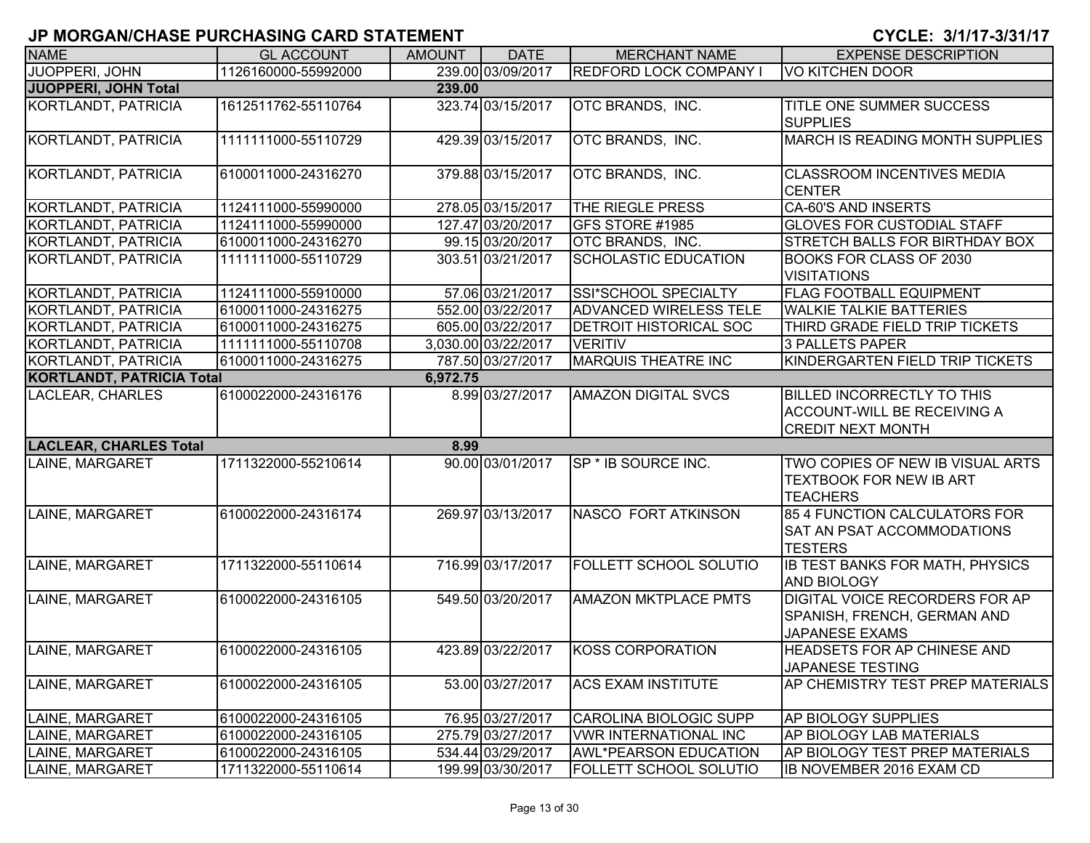| <b>NAME</b>                      | <b>GL ACCOUNT</b>   | <b>AMOUNT</b> | <b>DATE</b>         | <b>MERCHANT NAME</b>           | <b>EXPENSE DESCRIPTION</b>                                                                          |
|----------------------------------|---------------------|---------------|---------------------|--------------------------------|-----------------------------------------------------------------------------------------------------|
| JUOPPERI, JOHN                   | 1126160000-55992000 |               | 239.00 03/09/2017   | <b>REDFORD LOCK COMPANY I</b>  | VO KITCHEN DOOR                                                                                     |
| <b>JUOPPERI, JOHN Total</b>      |                     | 239.00        |                     |                                |                                                                                                     |
| KORTLANDT, PATRICIA              | 1612511762-55110764 |               | 323.74 03/15/2017   | OTC BRANDS, INC.               | TITLE ONE SUMMER SUCCESS<br><b>SUPPLIES</b>                                                         |
| KORTLANDT, PATRICIA              | 1111111000-55110729 |               | 429.39 03/15/2017   | OTC BRANDS, INC.               | <b>MARCH IS READING MONTH SUPPLIES</b>                                                              |
| KORTLANDT, PATRICIA              | 6100011000-24316270 |               | 379.88 03/15/2017   | OTC BRANDS, INC.               | <b>CLASSROOM INCENTIVES MEDIA</b><br><b>CENTER</b>                                                  |
| <b>KORTLANDT, PATRICIA</b>       | 1124111000-55990000 |               | 278.05 03/15/2017   | THE RIEGLE PRESS               | <b>CA-60'S AND INSERTS</b>                                                                          |
| KORTLANDT, PATRICIA              | 1124111000-55990000 |               | 127.47 03/20/2017   | GFS STORE #1985                | <b>GLOVES FOR CUSTODIAL STAFF</b>                                                                   |
| KORTLANDT, PATRICIA              | 6100011000-24316270 |               | 99.15 03/20/2017    | OTC BRANDS, INC.               | STRETCH BALLS FOR BIRTHDAY BOX                                                                      |
| KORTLANDT, PATRICIA              | 1111111000-55110729 |               | 303.51 03/21/2017   | <b>SCHOLASTIC EDUCATION</b>    | <b>BOOKS FOR CLASS OF 2030</b><br><b>VISITATIONS</b>                                                |
| KORTLANDT, PATRICIA              | 1124111000-55910000 |               | 57.06 03/21/2017    | SSI*SCHOOL SPECIALTY           | FLAG FOOTBALL EQUIPMENT                                                                             |
| KORTLANDT, PATRICIA              | 6100011000-24316275 |               | 552.00 03/22/2017   | <b>ADVANCED WIRELESS TELE</b>  | <b>WALKIE TALKIE BATTERIES</b>                                                                      |
| KORTLANDT, PATRICIA              | 6100011000-24316275 |               | 605.00 03/22/2017   | <b>DETROIT HISTORICAL SOC</b>  | THIRD GRADE FIELD TRIP TICKETS                                                                      |
| KORTLANDT, PATRICIA              | 1111111000-55110708 |               | 3,030.00 03/22/2017 | <b>VERITIV</b>                 | 3 PALLETS PAPER                                                                                     |
| KORTLANDT, PATRICIA              | 6100011000-24316275 |               | 787.50 03/27/2017   | <b>MARQUIS THEATRE INC</b>     | KINDERGARTEN FIELD TRIP TICKETS                                                                     |
| <b>KORTLANDT, PATRICIA Total</b> |                     | 6,972.75      |                     |                                |                                                                                                     |
| LACLEAR, CHARLES                 | 6100022000-24316176 |               | 8.99 03/27/2017     | <b>AMAZON DIGITAL SVCS</b>     | <b>BILLED INCORRECTLY TO THIS</b><br><b>ACCOUNT-WILL BE RECEIVING A</b><br><b>CREDIT NEXT MONTH</b> |
| <b>LACLEAR, CHARLES Total</b>    |                     | 8.99          |                     |                                |                                                                                                     |
| LAINE, MARGARET                  | 1711322000-55210614 |               | 90.00 03/01/2017    | SP <sup>*</sup> IB SOURCE INC. | TWO COPIES OF NEW IB VISUAL ARTS<br><b>TEXTBOOK FOR NEW IB ART</b><br><b>TEACHERS</b>               |
| LAINE, MARGARET                  | 6100022000-24316174 |               | 269.97 03/13/2017   | NASCO FORT ATKINSON            | 85 4 FUNCTION CALCULATORS FOR<br>SAT AN PSAT ACCOMMODATIONS<br><b>TESTERS</b>                       |
| LAINE, MARGARET                  | 1711322000-55110614 |               | 716.99 03/17/2017   | FOLLETT SCHOOL SOLUTIO         | IB TEST BANKS FOR MATH, PHYSICS<br><b>AND BIOLOGY</b>                                               |
| LAINE, MARGARET                  | 6100022000-24316105 |               | 549.50 03/20/2017   | <b>AMAZON MKTPLACE PMTS</b>    | <b>DIGITAL VOICE RECORDERS FOR AP</b><br>SPANISH, FRENCH, GERMAN AND<br><b>JAPANESE EXAMS</b>       |
| LAINE, MARGARET                  | 6100022000-24316105 |               | 423.89 03/22/2017   | KOSS CORPORATION               | <b>HEADSETS FOR AP CHINESE AND</b><br>JAPANESE TESTING                                              |
| LAINE, MARGARET                  | 6100022000-24316105 |               | 53.00 03/27/2017    | <b>ACS EXAM INSTITUTE</b>      | AP CHEMISTRY TEST PREP MATERIALS                                                                    |
| LAINE, MARGARET                  | 6100022000-24316105 |               | 76.95 03/27/2017    | CAROLINA BIOLOGIC SUPP         | AP BIOLOGY SUPPLIES                                                                                 |
| LAINE, MARGARET                  | 6100022000-24316105 |               | 275.79 03/27/2017   | <b>VWR INTERNATIONAL INC</b>   | AP BIOLOGY LAB MATERIALS                                                                            |
| LAINE, MARGARET                  | 6100022000-24316105 |               | 534.44 03/29/2017   | <b>AWL*PEARSON EDUCATION</b>   | AP BIOLOGY TEST PREP MATERIALS                                                                      |
| LAINE, MARGARET                  | 1711322000-55110614 |               | 199.99 03/30/2017   | <b>FOLLETT SCHOOL SOLUTIO</b>  | <b>IB NOVEMBER 2016 EXAM CD</b>                                                                     |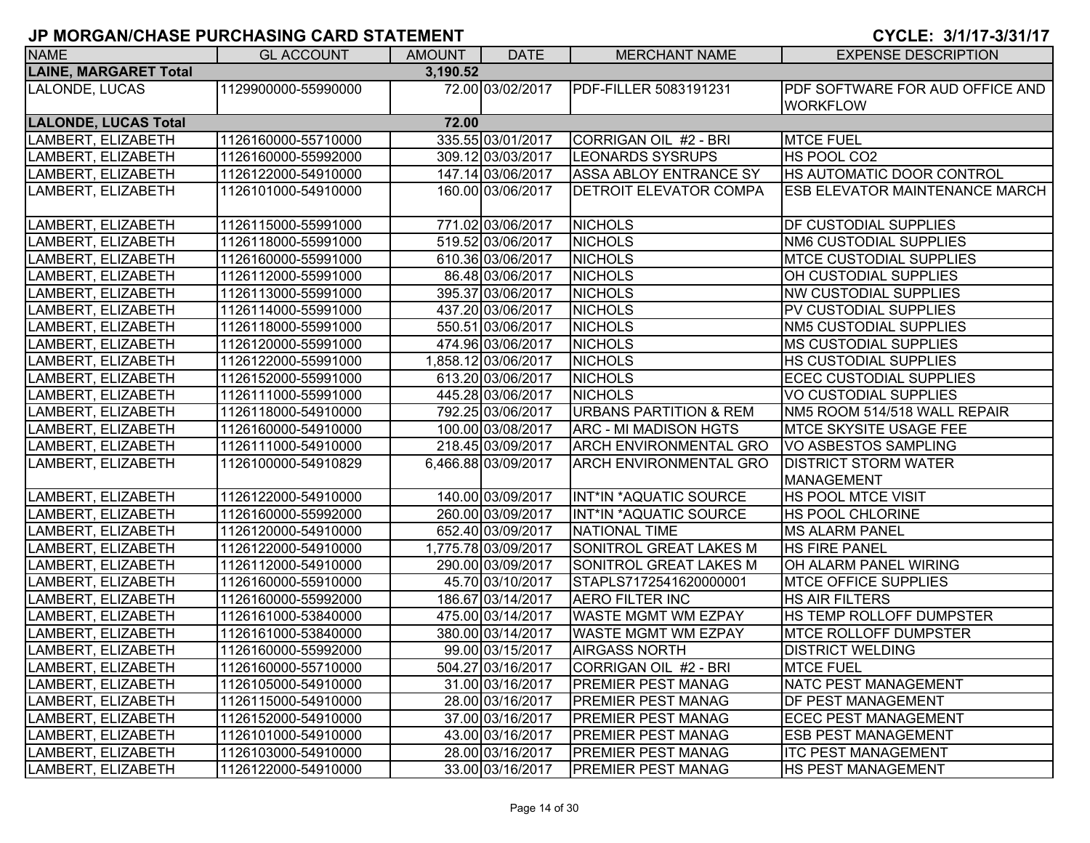| <b>NAME</b>                              | <b>GL ACCOUNT</b>   | <b>AMOUNT</b> | <b>DATE</b>         | <b>MERCHANT NAME</b>              | <b>EXPENSE DESCRIPTION</b>            |  |  |  |
|------------------------------------------|---------------------|---------------|---------------------|-----------------------------------|---------------------------------------|--|--|--|
| <b>LAINE, MARGARET Total</b><br>3,190.52 |                     |               |                     |                                   |                                       |  |  |  |
| LALONDE, LUCAS                           | 1129900000-55990000 |               | 72.00 03/02/2017    | PDF-FILLER 5083191231             | PDF SOFTWARE FOR AUD OFFICE AND       |  |  |  |
|                                          |                     |               |                     |                                   | <b>WORKFLOW</b>                       |  |  |  |
| <b>LALONDE, LUCAS Total</b>              |                     | 72.00         |                     |                                   |                                       |  |  |  |
| LAMBERT, ELIZABETH                       | 1126160000-55710000 |               | 335.55 03/01/2017   | CORRIGAN OIL #2 - BRI             | <b>MTCE FUEL</b>                      |  |  |  |
| LAMBERT, ELIZABETH                       | 1126160000-55992000 |               | 309.12 03/03/2017   | <b>LEONARDS SYSRUPS</b>           | HS POOL CO2                           |  |  |  |
| LAMBERT, ELIZABETH                       | 1126122000-54910000 |               | 147.14 03/06/2017   | ASSA ABLOY ENTRANCE SY            | HS AUTOMATIC DOOR CONTROL             |  |  |  |
| LAMBERT, ELIZABETH                       | 1126101000-54910000 |               | 160.00 03/06/2017   | <b>DETROIT ELEVATOR COMPA</b>     | <b>ESB ELEVATOR MAINTENANCE MARCH</b> |  |  |  |
|                                          |                     |               |                     |                                   |                                       |  |  |  |
| LAMBERT, ELIZABETH                       | 1126115000-55991000 |               | 771.02 03/06/2017   | <b>NICHOLS</b>                    | DF CUSTODIAL SUPPLIES                 |  |  |  |
| LAMBERT, ELIZABETH                       | 1126118000-55991000 |               | 519.52 03/06/2017   | <b>NICHOLS</b>                    | NM6 CUSTODIAL SUPPLIES                |  |  |  |
| LAMBERT, ELIZABETH                       | 1126160000-55991000 |               | 610.36 03/06/2017   | <b>NICHOLS</b>                    | <b>MTCE CUSTODIAL SUPPLIES</b>        |  |  |  |
| LAMBERT, ELIZABETH                       | 1126112000-55991000 |               | 86.48 03/06/2017    | <b>NICHOLS</b>                    | OH CUSTODIAL SUPPLIES                 |  |  |  |
| LAMBERT, ELIZABETH                       | 1126113000-55991000 |               | 395.37 03/06/2017   | <b>NICHOLS</b>                    | <b>NW CUSTODIAL SUPPLIES</b>          |  |  |  |
| LAMBERT, ELIZABETH                       | 1126114000-55991000 |               | 437.20 03/06/2017   | <b>NICHOLS</b>                    | PV CUSTODIAL SUPPLIES                 |  |  |  |
| LAMBERT, ELIZABETH                       | 1126118000-55991000 |               | 550.51 03/06/2017   | <b>NICHOLS</b>                    | NM5 CUSTODIAL SUPPLIES                |  |  |  |
| LAMBERT, ELIZABETH                       | 1126120000-55991000 |               | 474.96 03/06/2017   | <b>NICHOLS</b>                    | <b>MS CUSTODIAL SUPPLIES</b>          |  |  |  |
| LAMBERT, ELIZABETH                       | 1126122000-55991000 |               | 1,858.12 03/06/2017 | <b>NICHOLS</b>                    | HS CUSTODIAL SUPPLIES                 |  |  |  |
| LAMBERT, ELIZABETH                       | 1126152000-55991000 |               | 613.20 03/06/2017   | <b>NICHOLS</b>                    | <b>ECEC CUSTODIAL SUPPLIES</b>        |  |  |  |
| LAMBERT, ELIZABETH                       | 1126111000-55991000 |               | 445.28 03/06/2017   | <b>NICHOLS</b>                    | <b>VO CUSTODIAL SUPPLIES</b>          |  |  |  |
| LAMBERT, ELIZABETH                       | 1126118000-54910000 |               | 792.25 03/06/2017   | <b>URBANS PARTITION &amp; REM</b> | NM5 ROOM 514/518 WALL REPAIR          |  |  |  |
| LAMBERT, ELIZABETH                       | 1126160000-54910000 |               | 100.00 03/08/2017   | <b>ARC - MI MADISON HGTS</b>      | <b>MTCE SKYSITE USAGE FEE</b>         |  |  |  |
| LAMBERT, ELIZABETH                       | 1126111000-54910000 |               | 218.45 03/09/2017   | <b>ARCH ENVIRONMENTAL GRO</b>     | <b>VO ASBESTOS SAMPLING</b>           |  |  |  |
| LAMBERT, ELIZABETH                       | 1126100000-54910829 |               | 6,466.88 03/09/2017 | <b>ARCH ENVIRONMENTAL GRO</b>     | <b>DISTRICT STORM WATER</b>           |  |  |  |
|                                          |                     |               |                     |                                   | <b>MANAGEMENT</b>                     |  |  |  |
| LAMBERT, ELIZABETH                       | 1126122000-54910000 |               | 140.00 03/09/2017   | INT*IN *AQUATIC SOURCE            | HS POOL MTCE VISIT                    |  |  |  |
| LAMBERT, ELIZABETH                       | 1126160000-55992000 |               | 260.00 03/09/2017   | INT*IN *AQUATIC SOURCE            | HS POOL CHLORINE                      |  |  |  |
| LAMBERT, ELIZABETH                       | 1126120000-54910000 |               | 652.40 03/09/2017   | <b>NATIONAL TIME</b>              | <b>MS ALARM PANEL</b>                 |  |  |  |
| LAMBERT, ELIZABETH                       | 1126122000-54910000 |               | 1,775.78 03/09/2017 | <b>SONITROL GREAT LAKES M</b>     | <b>HS FIRE PANEL</b>                  |  |  |  |
| LAMBERT, ELIZABETH                       | 1126112000-54910000 |               | 290.00 03/09/2017   | SONITROL GREAT LAKES M            | OH ALARM PANEL WIRING                 |  |  |  |
| LAMBERT, ELIZABETH                       | 1126160000-55910000 |               | 45.70 03/10/2017    | STAPLS7172541620000001            | <b>MTCE OFFICE SUPPLIES</b>           |  |  |  |
| LAMBERT, ELIZABETH                       | 1126160000-55992000 |               | 186.67 03/14/2017   | <b>AERO FILTER INC</b>            | <b>HS AIR FILTERS</b>                 |  |  |  |
| LAMBERT, ELIZABETH                       | 1126161000-53840000 |               | 475.00 03/14/2017   | <b>WASTE MGMT WM EZPAY</b>        | HS TEMP ROLLOFF DUMPSTER              |  |  |  |
| LAMBERT, ELIZABETH                       | 1126161000-53840000 |               | 380.00 03/14/2017   | <b>WASTE MGMT WM EZPAY</b>        | MTCE ROLLOFF DUMPSTER                 |  |  |  |
| LAMBERT, ELIZABETH                       | 1126160000-55992000 |               | 99.00 03/15/2017    | <b>AIRGASS NORTH</b>              | <b>DISTRICT WELDING</b>               |  |  |  |
| LAMBERT, ELIZABETH                       | 1126160000-55710000 |               | 504.27 03/16/2017   | CORRIGAN OIL #2 - BRI             | <b>MTCE FUEL</b>                      |  |  |  |
| LAMBERT, ELIZABETH                       | 1126105000-54910000 |               | 31.00 03/16/2017    | <b>PREMIER PEST MANAG</b>         | <b>NATC PEST MANAGEMENT</b>           |  |  |  |
| LAMBERT, ELIZABETH                       | 1126115000-54910000 |               | 28.00 03/16/2017    | <b>PREMIER PEST MANAG</b>         | DF PEST MANAGEMENT                    |  |  |  |
| LAMBERT, ELIZABETH                       | 1126152000-54910000 |               | 37.00 03/16/2017    | <b>PREMIER PEST MANAG</b>         | <b>ECEC PEST MANAGEMENT</b>           |  |  |  |
| LAMBERT, ELIZABETH                       | 1126101000-54910000 |               | 43.00 03/16/2017    | <b>PREMIER PEST MANAG</b>         | ESB PEST MANAGEMENT                   |  |  |  |
| LAMBERT, ELIZABETH                       | 1126103000-54910000 |               | 28.00 03/16/2017    | <b>PREMIER PEST MANAG</b>         | <b>ITC PEST MANAGEMENT</b>            |  |  |  |
| LAMBERT, ELIZABETH                       | 1126122000-54910000 |               | 33.00 03/16/2017    | <b>PREMIER PEST MANAG</b>         | <b>HS PEST MANAGEMENT</b>             |  |  |  |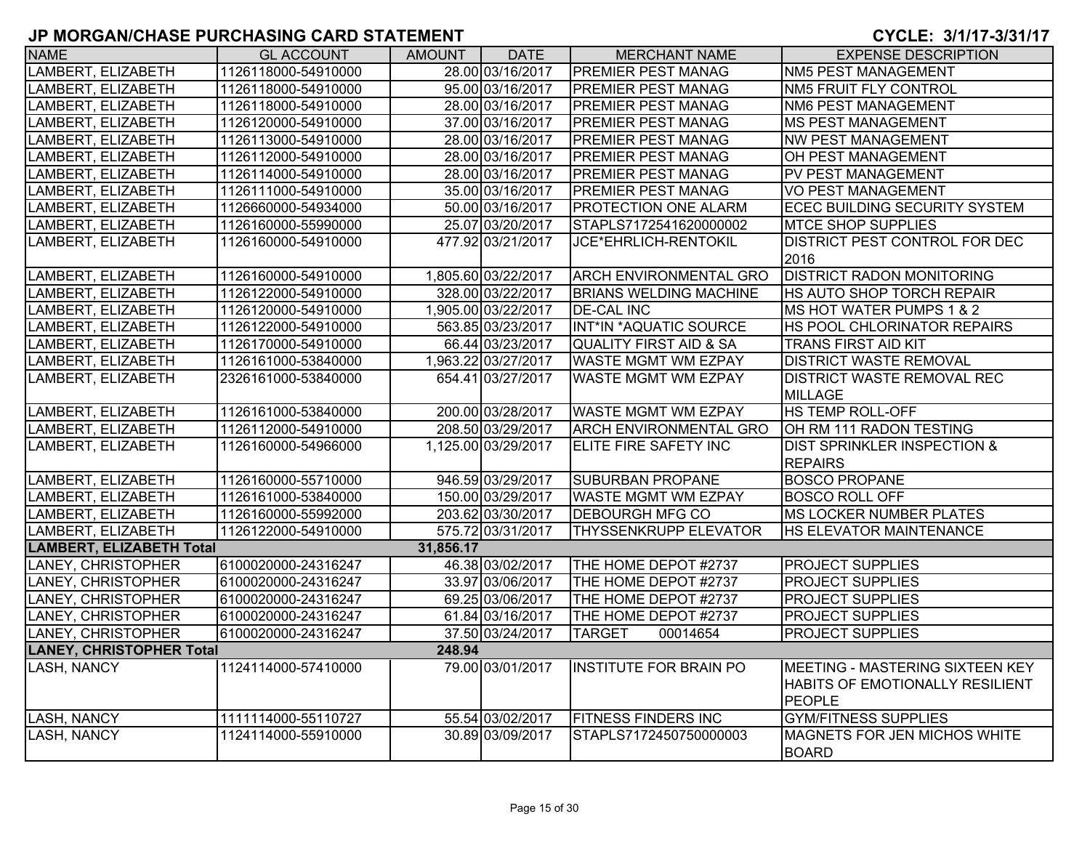| <b>NAME</b>                     | <b>GL ACCOUNT</b>   | <b>AMOUNT</b> | <b>DATE</b>         | <b>MERCHANT NAME</b>              | <b>EXPENSE DESCRIPTION</b>                                                          |
|---------------------------------|---------------------|---------------|---------------------|-----------------------------------|-------------------------------------------------------------------------------------|
| LAMBERT, ELIZABETH              | 1126118000-54910000 |               | 28.00 03/16/2017    | PREMIER PEST MANAG                | <b>NM5 PEST MANAGEMENT</b>                                                          |
| LAMBERT, ELIZABETH              | 1126118000-54910000 |               | 95.00 03/16/2017    | PREMIER PEST MANAG                | NM5 FRUIT FLY CONTROL                                                               |
| LAMBERT, ELIZABETH              | 1126118000-54910000 |               | 28.00 03/16/2017    | PREMIER PEST MANAG                | NM6 PEST MANAGEMENT                                                                 |
| LAMBERT, ELIZABETH              | 1126120000-54910000 |               | 37.00 03/16/2017    | PREMIER PEST MANAG                | <b>MS PEST MANAGEMENT</b>                                                           |
| LAMBERT, ELIZABETH              | 1126113000-54910000 |               | 28.00 03/16/2017    | PREMIER PEST MANAG                | <b>NW PEST MANAGEMENT</b>                                                           |
| LAMBERT, ELIZABETH              | 1126112000-54910000 |               | 28.00 03/16/2017    | PREMIER PEST MANAG                | OH PEST MANAGEMENT                                                                  |
| LAMBERT, ELIZABETH              | 1126114000-54910000 |               | 28.00 03/16/2017    | PREMIER PEST MANAG                | PV PEST MANAGEMENT                                                                  |
| LAMBERT, ELIZABETH              | 1126111000-54910000 |               | 35.00 03/16/2017    | PREMIER PEST MANAG                | <b>VO PEST MANAGEMENT</b>                                                           |
| LAMBERT, ELIZABETH              | 1126660000-54934000 |               | 50.00 03/16/2017    | PROTECTION ONE ALARM              | <b>ECEC BUILDING SECURITY SYSTEM</b>                                                |
| LAMBERT, ELIZABETH              | 1126160000-55990000 |               | 25.07 03/20/2017    | STAPLS7172541620000002            | <b>MTCE SHOP SUPPLIES</b>                                                           |
| LAMBERT, ELIZABETH              | 1126160000-54910000 |               | 477.92 03/21/2017   | JCE*EHRLICH-RENTOKIL              | DISTRICT PEST CONTROL FOR DEC<br>2016                                               |
| LAMBERT, ELIZABETH              | 1126160000-54910000 |               | 1,805.60 03/22/2017 | <b>ARCH ENVIRONMENTAL GRO</b>     | <b>DISTRICT RADON MONITORING</b>                                                    |
| LAMBERT, ELIZABETH              | 1126122000-54910000 |               | 328.00 03/22/2017   | <b>BRIANS WELDING MACHINE</b>     | HS AUTO SHOP TORCH REPAIR                                                           |
| LAMBERT, ELIZABETH              | 1126120000-54910000 |               | 1,905.00 03/22/2017 | <b>DE-CAL INC</b>                 | MS HOT WATER PUMPS 1 & 2                                                            |
| LAMBERT, ELIZABETH              | 1126122000-54910000 |               | 563.85 03/23/2017   | INT*IN *AQUATIC SOURCE            | HS POOL CHLORINATOR REPAIRS                                                         |
| LAMBERT, ELIZABETH              | 1126170000-54910000 |               | 66.44 03/23/2017    | <b>QUALITY FIRST AID &amp; SA</b> | <b>TRANS FIRST AID KIT</b>                                                          |
| LAMBERT, ELIZABETH              | 1126161000-53840000 |               | 1,963.22 03/27/2017 | WASTE MGMT WM EZPAY               | <b>DISTRICT WASTE REMOVAL</b>                                                       |
| LAMBERT, ELIZABETH              | 2326161000-53840000 |               | 654.41 03/27/2017   | WASTE MGMT WM EZPAY               | <b>DISTRICT WASTE REMOVAL REC</b><br><b>MILLAGE</b>                                 |
| LAMBERT, ELIZABETH              | 1126161000-53840000 |               | 200.00 03/28/2017   | <b>WASTE MGMT WM EZPAY</b>        | <b>HS TEMP ROLL-OFF</b>                                                             |
| LAMBERT, ELIZABETH              | 1126112000-54910000 |               | 208.50 03/29/2017   | <b>ARCH ENVIRONMENTAL GRO</b>     | OH RM 111 RADON TESTING                                                             |
| LAMBERT, ELIZABETH              | 1126160000-54966000 |               | 1,125.00 03/29/2017 | ELITE FIRE SAFETY INC             | <b>DIST SPRINKLER INSPECTION &amp;</b>                                              |
|                                 |                     |               |                     |                                   | <b>REPAIRS</b>                                                                      |
| LAMBERT, ELIZABETH              | 1126160000-55710000 |               | 946.59 03/29/2017   | <b>SUBURBAN PROPANE</b>           | <b>BOSCO PROPANE</b>                                                                |
| LAMBERT, ELIZABETH              | 1126161000-53840000 |               | 150.00 03/29/2017   | <b>WASTE MGMT WM EZPAY</b>        | <b>BOSCO ROLL OFF</b>                                                               |
| LAMBERT, ELIZABETH              | 1126160000-55992000 |               | 203.62 03/30/2017   | <b>DEBOURGH MFG CO</b>            | <b>MS LOCKER NUMBER PLATES</b>                                                      |
| LAMBERT, ELIZABETH              | 1126122000-54910000 |               | 575.72 03/31/2017   | THYSSENKRUPP ELEVATOR             | HS ELEVATOR MAINTENANCE                                                             |
| <b>LAMBERT, ELIZABETH Total</b> |                     | 31,856.17     |                     |                                   |                                                                                     |
| LANEY, CHRISTOPHER              | 6100020000-24316247 |               | 46.38 03/02/2017    | THE HOME DEPOT #2737              | <b>PROJECT SUPPLIES</b>                                                             |
| LANEY, CHRISTOPHER              | 6100020000-24316247 |               | 33.97 03/06/2017    | THE HOME DEPOT #2737              | <b>PROJECT SUPPLIES</b>                                                             |
| LANEY, CHRISTOPHER              | 6100020000-24316247 |               | 69.25 03/06/2017    | THE HOME DEPOT #2737              | <b>PROJECT SUPPLIES</b>                                                             |
| LANEY, CHRISTOPHER              | 6100020000-24316247 |               | 61.84 03/16/2017    | THE HOME DEPOT #2737              | <b>PROJECT SUPPLIES</b>                                                             |
| LANEY, CHRISTOPHER              | 6100020000-24316247 |               | 37.50 03/24/2017    | <b>TARGET</b><br>00014654         | <b>PROJECT SUPPLIES</b>                                                             |
| <b>LANEY, CHRISTOPHER Total</b> |                     | 248.94        |                     |                                   |                                                                                     |
| LASH, NANCY                     | 1124114000-57410000 |               | 79.00 03/01/2017    | <b>INSTITUTE FOR BRAIN PO</b>     | <b>MEETING - MASTERING SIXTEEN KEY</b><br>HABITS OF EMOTIONALLY RESILIENT<br>PEOPLE |
| <b>LASH, NANCY</b>              | 1111114000-55110727 |               | 55.54 03/02/2017    | <b>FITNESS FINDERS INC</b>        | <b>GYM/FITNESS SUPPLIES</b>                                                         |
| <b>LASH, NANCY</b>              | 1124114000-55910000 |               | 30.89 03/09/2017    | STAPLS7172450750000003            | <b>MAGNETS FOR JEN MICHOS WHITE</b><br><b>BOARD</b>                                 |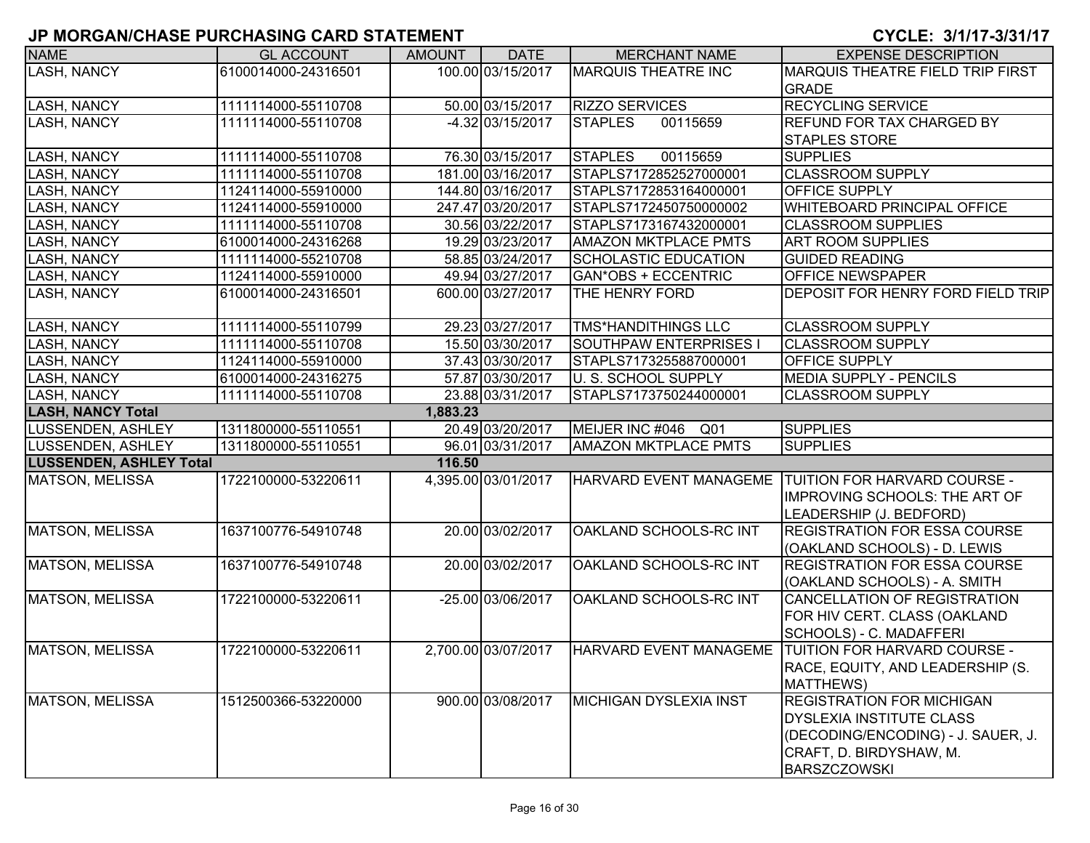| <b>NAME</b>                    | <b>GL ACCOUNT</b>   | <b>AMOUNT</b> | <b>DATE</b>         | <b>MERCHANT NAME</b>               | <b>EXPENSE DESCRIPTION</b>                          |
|--------------------------------|---------------------|---------------|---------------------|------------------------------------|-----------------------------------------------------|
| <b>LASH, NANCY</b>             | 6100014000-24316501 |               | 100.00 03/15/2017   | <b>MARQUIS THEATRE INC</b>         | <b>MARQUIS THEATRE FIELD TRIP FIRST</b>             |
|                                |                     |               |                     |                                    | <b>GRADE</b>                                        |
| <b>LASH, NANCY</b>             | 1111114000-55110708 |               | 50.00 03/15/2017    | <b>RIZZO SERVICES</b>              | <b>RECYCLING SERVICE</b>                            |
| LASH, NANCY                    | 1111114000-55110708 |               | $-4.32 03/15/2017$  | 00115659<br><b>STAPLES</b>         | <b>REFUND FOR TAX CHARGED BY</b>                    |
|                                |                     |               |                     |                                    | <b>STAPLES STORE</b>                                |
| <b>LASH, NANCY</b>             | 1111114000-55110708 |               | 76.30 03/15/2017    | 00115659<br><b>STAPLES</b>         | <b>SUPPLIES</b>                                     |
| <b>LASH, NANCY</b>             | 1111114000-55110708 |               | 181.00 03/16/2017   | STAPLS7172852527000001             | <b>CLASSROOM SUPPLY</b>                             |
| <b>LASH, NANCY</b>             | 1124114000-55910000 |               | 144.80 03/16/2017   | STAPLS7172853164000001             | OFFICE SUPPLY                                       |
| <b>LASH, NANCY</b>             | 1124114000-55910000 |               | 247.47 03/20/2017   | STAPLS7172450750000002             | <b>WHITEBOARD PRINCIPAL OFFICE</b>                  |
| <b>LASH, NANCY</b>             | 1111114000-55110708 |               | 30.56 03/22/2017    | STAPLS7173167432000001             | <b>CLASSROOM SUPPLIES</b>                           |
| <b>LASH, NANCY</b>             | 6100014000-24316268 |               | 19.29 03/23/2017    | <b>AMAZON MKTPLACE PMTS</b>        | <b>ART ROOM SUPPLIES</b>                            |
| LASH, NANCY                    | 1111114000-55210708 |               | 58.85 03/24/2017    | <b>SCHOLASTIC EDUCATION</b>        | <b>GUIDED READING</b>                               |
| LASH, NANCY                    | 1124114000-55910000 |               | 49.94 03/27/2017    | <b>GAN*OBS + ECCENTRIC</b>         | <b>OFFICE NEWSPAPER</b>                             |
| <b>LASH, NANCY</b>             | 6100014000-24316501 |               | 600.00 03/27/2017   | THE HENRY FORD                     | DEPOSIT FOR HENRY FORD FIELD TRIP                   |
|                                |                     |               |                     |                                    |                                                     |
| <b>LASH, NANCY</b>             | 1111114000-55110799 |               | 29.23 03/27/2017    | <b>TMS*HANDITHINGS LLC</b>         | <b>CLASSROOM SUPPLY</b>                             |
| <b>LASH, NANCY</b>             | 1111114000-55110708 |               | 15.50 03/30/2017    | SOUTHPAW ENTERPRISES I             | <b>CLASSROOM SUPPLY</b>                             |
| <b>LASH, NANCY</b>             | 1124114000-55910000 |               | 37.43 03/30/2017    | STAPLS7173255887000001             | <b>OFFICE SUPPLY</b>                                |
| <b>LASH, NANCY</b>             | 6100014000-24316275 |               | 57.87 03/30/2017    | U. S. SCHOOL SUPPLY                | MEDIA SUPPLY - PENCILS                              |
| <b>LASH, NANCY</b>             | 1111114000-55110708 |               | 23.88 03/31/2017    | STAPLS7173750244000001             | <b>CLASSROOM SUPPLY</b>                             |
| <b>LASH, NANCY Total</b>       |                     | 1,883.23      |                     |                                    |                                                     |
| LUSSENDEN, ASHLEY              | 1311800000-55110551 |               | 20.49 03/20/2017    | MEIJER INC #046<br>Q <sub>01</sub> | <b>SUPPLIES</b>                                     |
| LUSSENDEN, ASHLEY              | 1311800000-55110551 |               | 96.01 03/31/2017    | <b>AMAZON MKTPLACE PMTS</b>        | <b>SUPPLIES</b>                                     |
| <b>LUSSENDEN, ASHLEY Total</b> |                     | 116.50        |                     |                                    |                                                     |
| MATSON, MELISSA                | 1722100000-53220611 |               | 4,395.00 03/01/2017 |                                    | HARVARD EVENT MANAGEME TUITION FOR HARVARD COURSE - |
|                                |                     |               |                     |                                    | <b>IMPROVING SCHOOLS: THE ART OF</b>                |
|                                |                     |               |                     |                                    | LEADERSHIP (J. BEDFORD)                             |
| MATSON, MELISSA                | 1637100776-54910748 |               | 20.00 03/02/2017    | OAKLAND SCHOOLS-RC INT             | <b>REGISTRATION FOR ESSA COURSE</b>                 |
|                                |                     |               |                     |                                    | (OAKLAND SCHOOLS) - D. LEWIS                        |
| MATSON, MELISSA                | 1637100776-54910748 |               | 20.00 03/02/2017    | OAKLAND SCHOOLS-RC INT             | <b>REGISTRATION FOR ESSA COURSE</b>                 |
|                                |                     |               |                     |                                    | (OAKLAND SCHOOLS) - A. SMITH                        |
| MATSON, MELISSA                | 1722100000-53220611 |               | -25.00 03/06/2017   | OAKLAND SCHOOLS-RC INT             | CANCELLATION OF REGISTRATION                        |
|                                |                     |               |                     |                                    | FOR HIV CERT. CLASS (OAKLAND                        |
|                                |                     |               |                     |                                    | SCHOOLS) - C. MADAFFERI                             |
| MATSON, MELISSA                | 1722100000-53220611 |               | 2,700.00 03/07/2017 | HARVARD EVENT MANAGEME             | TUITION FOR HARVARD COURSE -                        |
|                                |                     |               |                     |                                    | RACE, EQUITY, AND LEADERSHIP (S.                    |
|                                |                     |               |                     |                                    | MATTHEWS)                                           |
| <b>MATSON, MELISSA</b>         | 1512500366-53220000 |               | 900.00 03/08/2017   | <b>MICHIGAN DYSLEXIA INST</b>      | <b>REGISTRATION FOR MICHIGAN</b>                    |
|                                |                     |               |                     |                                    | <b>DYSLEXIA INSTITUTE CLASS</b>                     |
|                                |                     |               |                     |                                    | (DECODING/ENCODING) - J. SAUER, J.                  |
|                                |                     |               |                     |                                    | CRAFT, D. BIRDYSHAW, M.                             |
|                                |                     |               |                     |                                    | <b>BARSZCZOWSKI</b>                                 |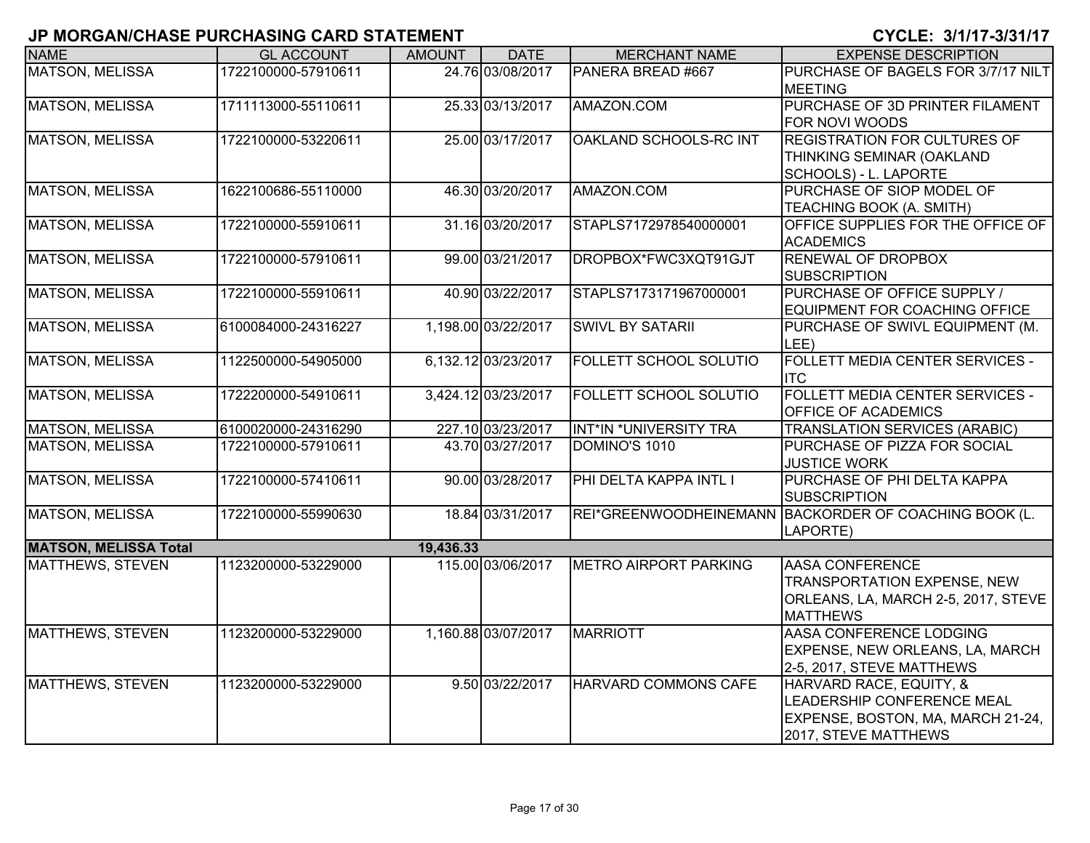| <b>NAME</b>                  | <b>GL ACCOUNT</b>   | <b>AMOUNT</b> | <b>DATE</b>         | <b>MERCHANT NAME</b>          | <b>EXPENSE DESCRIPTION</b>                                       |
|------------------------------|---------------------|---------------|---------------------|-------------------------------|------------------------------------------------------------------|
| <b>MATSON, MELISSA</b>       | 1722100000-57910611 |               | 24.76 03/08/2017    | PANERA BREAD #667             | PURCHASE OF BAGELS FOR 3/7/17 NILT                               |
|                              |                     |               |                     |                               | <b>MEETING</b>                                                   |
| <b>MATSON, MELISSA</b>       | 1711113000-55110611 |               | 25.33 03/13/2017    | AMAZON.COM                    | PURCHASE OF 3D PRINTER FILAMENT                                  |
|                              |                     |               |                     |                               | <b>FOR NOVI WOODS</b>                                            |
| <b>MATSON, MELISSA</b>       | 1722100000-53220611 |               | 25.00 03/17/2017    | OAKLAND SCHOOLS-RC INT        | <b>REGISTRATION FOR CULTURES OF</b>                              |
|                              |                     |               |                     |                               | THINKING SEMINAR (OAKLAND                                        |
|                              |                     |               |                     |                               | SCHOOLS) - L. LAPORTE                                            |
| <b>MATSON, MELISSA</b>       | 1622100686-55110000 |               | 46.30 03/20/2017    | AMAZON.COM                    | PURCHASE OF SIOP MODEL OF                                        |
|                              |                     |               |                     |                               | TEACHING BOOK (A. SMITH)                                         |
| <b>MATSON, MELISSA</b>       | 1722100000-55910611 |               | 31.16 03/20/2017    | STAPLS7172978540000001        | OFFICE SUPPLIES FOR THE OFFICE OF                                |
|                              |                     |               |                     |                               | <b>ACADEMICS</b>                                                 |
| <b>MATSON, MELISSA</b>       | 1722100000-57910611 |               | 99.00 03/21/2017    | DROPBOX*FWC3XQT91GJT          | <b>RENEWAL OF DROPBOX</b>                                        |
|                              |                     |               |                     |                               | <b>SUBSCRIPTION</b>                                              |
| <b>MATSON, MELISSA</b>       | 1722100000-55910611 |               | 40.90 03/22/2017    | STAPLS7173171967000001        | <b>PURCHASE OF OFFICE SUPPLY /</b>                               |
| <b>MATSON, MELISSA</b>       | 6100084000-24316227 |               | 1,198.00 03/22/2017 | <b>SWIVL BY SATARII</b>       | EQUIPMENT FOR COACHING OFFICE<br>PURCHASE OF SWIVL EQUIPMENT (M. |
|                              |                     |               |                     |                               | LEE)                                                             |
| <b>MATSON, MELISSA</b>       | 1122500000-54905000 |               | 6,132.12 03/23/2017 | FOLLETT SCHOOL SOLUTIO        | FOLLETT MEDIA CENTER SERVICES -                                  |
|                              |                     |               |                     |                               | <b>ITC</b>                                                       |
| <b>MATSON, MELISSA</b>       | 1722200000-54910611 |               | 3,424.12 03/23/2017 | <b>FOLLETT SCHOOL SOLUTIO</b> | <b>FOLLETT MEDIA CENTER SERVICES -</b>                           |
|                              |                     |               |                     |                               | <b>OFFICE OF ACADEMICS</b>                                       |
| <b>MATSON, MELISSA</b>       | 6100020000-24316290 |               | 227.10 03/23/2017   | <b>INT*IN *UNIVERSITY TRA</b> | <b>TRANSLATION SERVICES (ARABIC)</b>                             |
| <b>MATSON, MELISSA</b>       | 1722100000-57910611 |               | 43.70 03/27/2017    | DOMINO'S 1010                 | PURCHASE OF PIZZA FOR SOCIAL                                     |
|                              |                     |               |                     |                               | <b>JUSTICE WORK</b>                                              |
| MATSON, MELISSA              | 1722100000-57410611 |               | 90.00 03/28/2017    | PHI DELTA KAPPA INTL I        | PURCHASE OF PHI DELTA KAPPA                                      |
|                              |                     |               |                     |                               | <b>SUBSCRIPTION</b>                                              |
| MATSON, MELISSA              | 1722100000-55990630 |               | 18.84 03/31/2017    |                               | REI*GREENWOODHEINEMANN BACKORDER OF COACHING BOOK (L.            |
|                              |                     |               |                     |                               | LAPORTE)                                                         |
| <b>MATSON, MELISSA Total</b> |                     | 19,436.33     |                     |                               |                                                                  |
| <b>MATTHEWS, STEVEN</b>      | 1123200000-53229000 |               | 115.00 03/06/2017   | METRO AIRPORT PARKING         | <b>AASA CONFERENCE</b>                                           |
|                              |                     |               |                     |                               | <b>TRANSPORTATION EXPENSE, NEW</b>                               |
|                              |                     |               |                     |                               | ORLEANS, LA, MARCH 2-5, 2017, STEVE                              |
|                              |                     |               |                     |                               | <b>MATTHEWS</b>                                                  |
| <b>MATTHEWS, STEVEN</b>      | 1123200000-53229000 |               | 1,160.88 03/07/2017 | <b>MARRIOTT</b>               | AASA CONFERENCE LODGING                                          |
|                              |                     |               |                     |                               | EXPENSE, NEW ORLEANS, LA, MARCH                                  |
|                              |                     |               |                     |                               | 2-5, 2017, STEVE MATTHEWS                                        |
| <b>MATTHEWS, STEVEN</b>      | 1123200000-53229000 |               | 9.50 03/22/2017     | HARVARD COMMONS CAFE          | HARVARD RACE, EQUITY, &                                          |
|                              |                     |               |                     |                               | <b>LEADERSHIP CONFERENCE MEAL</b>                                |
|                              |                     |               |                     |                               | EXPENSE, BOSTON, MA, MARCH 21-24,                                |
|                              |                     |               |                     |                               | 2017, STEVE MATTHEWS                                             |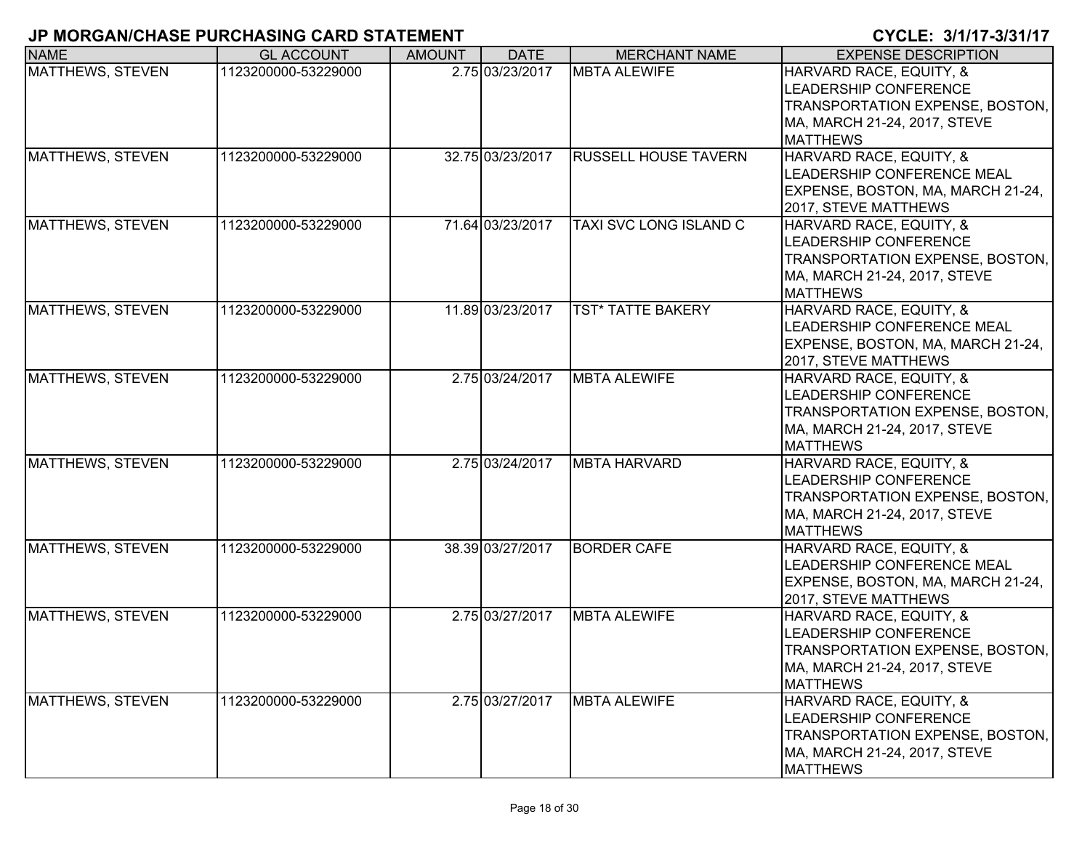| <b>NAME</b>             | <b>GL ACCOUNT</b>   | <b>AMOUNT</b> | <b>DATE</b>      | <b>MERCHANT NAME</b>          | <b>EXPENSE DESCRIPTION</b>                                                                                                             |
|-------------------------|---------------------|---------------|------------------|-------------------------------|----------------------------------------------------------------------------------------------------------------------------------------|
| MATTHEWS, STEVEN        | 1123200000-53229000 |               | 2.75 03/23/2017  | <b>MBTA ALEWIFE</b>           | HARVARD RACE, EQUITY, &<br>LEADERSHIP CONFERENCE<br>TRANSPORTATION EXPENSE, BOSTON,<br>MA, MARCH 21-24, 2017, STEVE<br><b>MATTHEWS</b> |
| MATTHEWS, STEVEN        | 1123200000-53229000 |               | 32.75 03/23/2017 | <b>RUSSELL HOUSE TAVERN</b>   | HARVARD RACE, EQUITY, &<br>LEADERSHIP CONFERENCE MEAL<br>EXPENSE, BOSTON, MA, MARCH 21-24,<br>2017, STEVE MATTHEWS                     |
| <b>MATTHEWS, STEVEN</b> | 1123200000-53229000 |               | 71.64 03/23/2017 | <b>TAXI SVC LONG ISLAND C</b> | HARVARD RACE, EQUITY, &<br>LEADERSHIP CONFERENCE<br>TRANSPORTATION EXPENSE, BOSTON,<br>MA, MARCH 21-24, 2017, STEVE<br><b>MATTHEWS</b> |
| <b>MATTHEWS, STEVEN</b> | 1123200000-53229000 |               | 11.89 03/23/2017 | <b>TST* TATTE BAKERY</b>      | HARVARD RACE, EQUITY, &<br>LEADERSHIP CONFERENCE MEAL<br>EXPENSE, BOSTON, MA, MARCH 21-24,<br>2017, STEVE MATTHEWS                     |
| <b>MATTHEWS, STEVEN</b> | 1123200000-53229000 |               | 2.75 03/24/2017  | <b>MBTA ALEWIFE</b>           | HARVARD RACE, EQUITY, &<br>LEADERSHIP CONFERENCE<br>TRANSPORTATION EXPENSE, BOSTON,<br>MA, MARCH 21-24, 2017, STEVE<br><b>MATTHEWS</b> |
| <b>MATTHEWS, STEVEN</b> | 1123200000-53229000 |               | 2.75 03/24/2017  | <b>MBTA HARVARD</b>           | HARVARD RACE, EQUITY, &<br>LEADERSHIP CONFERENCE<br>TRANSPORTATION EXPENSE, BOSTON,<br>MA, MARCH 21-24, 2017, STEVE<br><b>MATTHEWS</b> |
| MATTHEWS, STEVEN        | 1123200000-53229000 |               | 38.39 03/27/2017 | <b>BORDER CAFE</b>            | HARVARD RACE, EQUITY, &<br>LEADERSHIP CONFERENCE MEAL<br>EXPENSE, BOSTON, MA, MARCH 21-24,<br>2017, STEVE MATTHEWS                     |
| MATTHEWS, STEVEN        | 1123200000-53229000 |               | 2.75 03/27/2017  | <b>MBTA ALEWIFE</b>           | HARVARD RACE, EQUITY, &<br>LEADERSHIP CONFERENCE<br>TRANSPORTATION EXPENSE, BOSTON,<br>MA, MARCH 21-24, 2017, STEVE<br><b>MATTHEWS</b> |
| MATTHEWS, STEVEN        | 1123200000-53229000 |               | 2.75 03/27/2017  | <b>MBTA ALEWIFE</b>           | HARVARD RACE, EQUITY, &<br>LEADERSHIP CONFERENCE<br>TRANSPORTATION EXPENSE, BOSTON,<br>MA, MARCH 21-24, 2017, STEVE<br><b>MATTHEWS</b> |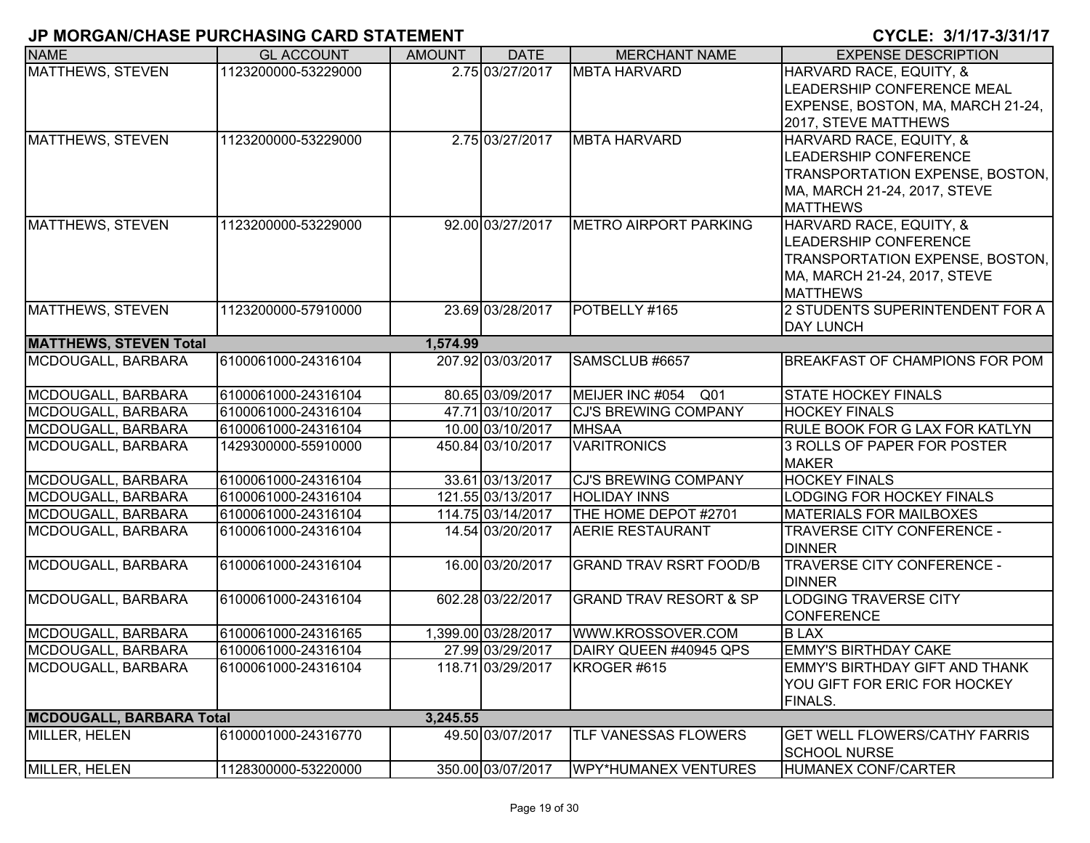| <b>NAME</b>                     | <b>GL ACCOUNT</b>   | <b>AMOUNT</b> | <b>DATE</b>         | <b>MERCHANT NAME</b>              | <b>EXPENSE DESCRIPTION</b>                                  |
|---------------------------------|---------------------|---------------|---------------------|-----------------------------------|-------------------------------------------------------------|
| MATTHEWS, STEVEN                | 1123200000-53229000 |               | 2.75 03/27/2017     | <b>MBTA HARVARD</b>               | HARVARD RACE, EQUITY, &                                     |
|                                 |                     |               |                     |                                   | LEADERSHIP CONFERENCE MEAL                                  |
|                                 |                     |               |                     |                                   | EXPENSE, BOSTON, MA, MARCH 21-24,                           |
|                                 |                     |               |                     |                                   | 2017, STEVE MATTHEWS                                        |
| MATTHEWS, STEVEN                | 1123200000-53229000 |               | 2.75 03/27/2017     | <b>MBTA HARVARD</b>               | HARVARD RACE, EQUITY, &                                     |
|                                 |                     |               |                     |                                   | <b>LEADERSHIP CONFERENCE</b>                                |
|                                 |                     |               |                     |                                   | TRANSPORTATION EXPENSE, BOSTON,                             |
|                                 |                     |               |                     |                                   | MA, MARCH 21-24, 2017, STEVE                                |
|                                 |                     |               |                     |                                   | <b>MATTHEWS</b>                                             |
| MATTHEWS, STEVEN                | 1123200000-53229000 |               | 92.00 03/27/2017    | <b>METRO AIRPORT PARKING</b>      | HARVARD RACE, EQUITY, &                                     |
|                                 |                     |               |                     |                                   | <b>LEADERSHIP CONFERENCE</b>                                |
|                                 |                     |               |                     |                                   | TRANSPORTATION EXPENSE, BOSTON,                             |
|                                 |                     |               |                     |                                   | MA, MARCH 21-24, 2017, STEVE                                |
|                                 |                     |               |                     |                                   | <b>MATTHEWS</b>                                             |
| <b>MATTHEWS, STEVEN</b>         | 1123200000-57910000 |               | 23.69 03/28/2017    | POTBELLY #165                     | 2 STUDENTS SUPERINTENDENT FOR A                             |
|                                 |                     |               |                     |                                   | <b>DAY LUNCH</b>                                            |
| <b>MATTHEWS, STEVEN Total</b>   |                     | 1,574.99      |                     |                                   |                                                             |
| MCDOUGALL, BARBARA              | 6100061000-24316104 |               | 207.92 03/03/2017   | SAMSCLUB #6657                    | <b>BREAKFAST OF CHAMPIONS FOR POM</b>                       |
| MCDOUGALL, BARBARA              | 6100061000-24316104 |               | 80.65 03/09/2017    | MEIJER INC #054 Q01               | <b>STATE HOCKEY FINALS</b>                                  |
| MCDOUGALL, BARBARA              | 6100061000-24316104 |               | 47.71 03/10/2017    | <b>CJ'S BREWING COMPANY</b>       | <b>HOCKEY FINALS</b>                                        |
| MCDOUGALL, BARBARA              | 6100061000-24316104 |               | 10.00 03/10/2017    | <b>MHSAA</b>                      | RULE BOOK FOR G LAX FOR KATLYN                              |
| MCDOUGALL, BARBARA              | 1429300000-55910000 |               | 450.84 03/10/2017   | <b>VARITRONICS</b>                | 3 ROLLS OF PAPER FOR POSTER                                 |
|                                 |                     |               |                     |                                   | <b>MAKER</b>                                                |
| MCDOUGALL, BARBARA              | 6100061000-24316104 |               | 33.61 03/13/2017    | <b>CJ'S BREWING COMPANY</b>       | <b>HOCKEY FINALS</b>                                        |
| MCDOUGALL, BARBARA              | 6100061000-24316104 |               | 121.55 03/13/2017   | <b>HOLIDAY INNS</b>               | LODGING FOR HOCKEY FINALS                                   |
| MCDOUGALL, BARBARA              | 6100061000-24316104 |               | 114.75 03/14/2017   | THE HOME DEPOT #2701              | <b>MATERIALS FOR MAILBOXES</b>                              |
| MCDOUGALL, BARBARA              | 6100061000-24316104 |               | 14.54 03/20/2017    | <b>AERIE RESTAURANT</b>           | TRAVERSE CITY CONFERENCE -                                  |
|                                 |                     |               |                     |                                   | <b>DINNER</b>                                               |
| MCDOUGALL, BARBARA              | 6100061000-24316104 |               | 16.00 03/20/2017    | <b>GRAND TRAV RSRT FOOD/B</b>     | TRAVERSE CITY CONFERENCE -                                  |
|                                 |                     |               |                     |                                   | <b>DINNER</b>                                               |
| MCDOUGALL, BARBARA              | 6100061000-24316104 |               | 602.28 03/22/2017   | <b>GRAND TRAV RESORT &amp; SP</b> | <b>LODGING TRAVERSE CITY</b>                                |
|                                 |                     |               |                     |                                   | <b>CONFERENCE</b>                                           |
| MCDOUGALL, BARBARA              | 6100061000-24316165 |               | 1,399.00 03/28/2017 | WWW.KROSSOVER.COM                 | <b>BLAX</b>                                                 |
| MCDOUGALL, BARBARA              | 6100061000-24316104 |               | 27.99 03/29/2017    | DAIRY QUEEN #40945 QPS            | <b>EMMY'S BIRTHDAY CAKE</b>                                 |
| MCDOUGALL, BARBARA              | 6100061000-24316104 |               | 118.71 03/29/2017   | KROGER #615                       | <b>EMMY'S BIRTHDAY GIFT AND THANK</b>                       |
|                                 |                     |               |                     |                                   | YOU GIFT FOR ERIC FOR HOCKEY                                |
|                                 |                     |               |                     |                                   | <b>FINALS.</b>                                              |
| <b>MCDOUGALL, BARBARA Total</b> |                     | 3,245.55      |                     |                                   |                                                             |
| MILLER, HELEN                   | 6100001000-24316770 |               | 49.50 03/07/2017    | TLF VANESSAS FLOWERS              | <b>GET WELL FLOWERS/CATHY FARRIS</b><br><b>SCHOOL NURSE</b> |
| MILLER, HELEN                   | 1128300000-53220000 |               | 350.00 03/07/2017   | WPY*HUMANEX VENTURES              | HUMANEX CONF/CARTER                                         |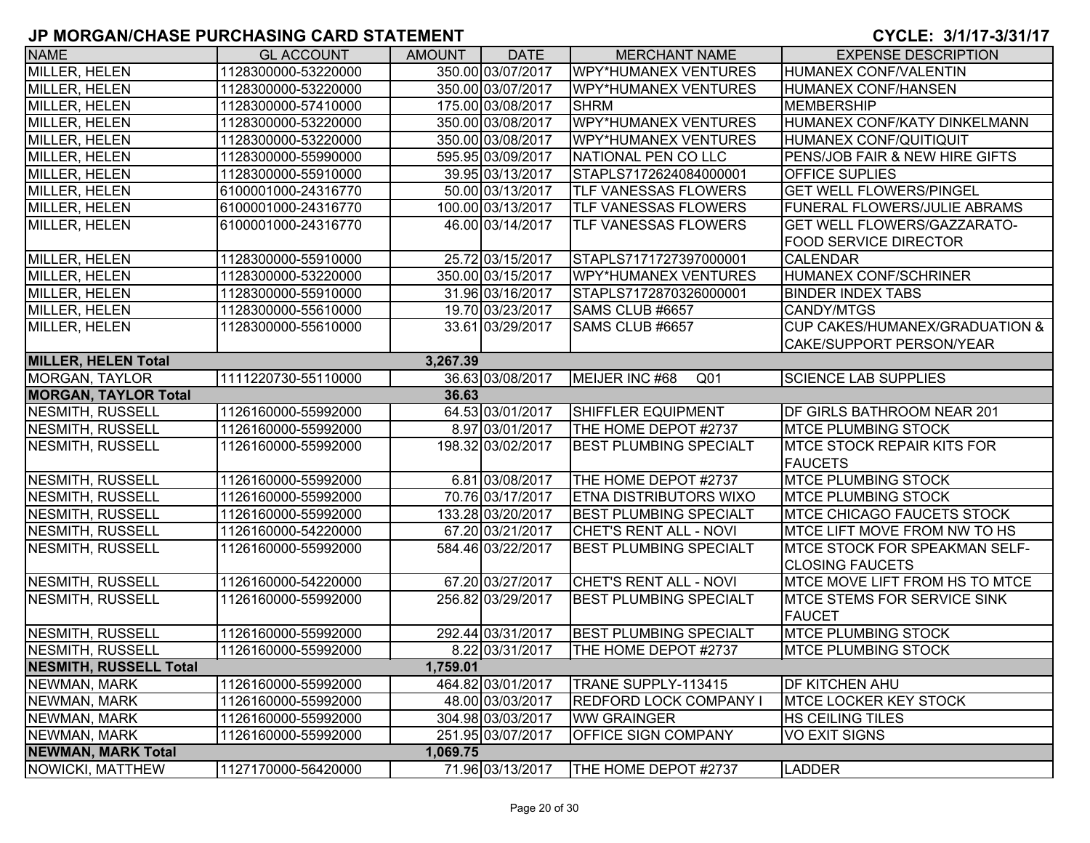| <b>NAME</b>                    | <b>GL ACCOUNT</b>   | <b>AMOUNT</b> | <b>DATE</b>       | <b>MERCHANT NAME</b>              | <b>EXPENSE DESCRIPTION</b>                |
|--------------------------------|---------------------|---------------|-------------------|-----------------------------------|-------------------------------------------|
| MILLER, HELEN                  | 1128300000-53220000 |               | 350.00 03/07/2017 | <b>WPY*HUMANEX VENTURES</b>       | HUMANEX CONF/VALENTIN                     |
| <b>MILLER, HELEN</b>           | 1128300000-53220000 |               | 350.00 03/07/2017 | <b>WPY*HUMANEX VENTURES</b>       | <b>HUMANEX CONF/HANSEN</b>                |
| MILLER, HELEN                  | 1128300000-57410000 |               | 175.00 03/08/2017 | <b>SHRM</b>                       | <b>MEMBERSHIP</b>                         |
| MILLER, HELEN                  | 1128300000-53220000 |               | 350.00 03/08/2017 | <b>WPY*HUMANEX VENTURES</b>       | HUMANEX CONF/KATY DINKELMANN              |
| MILLER, HELEN                  | 1128300000-53220000 |               | 350.00 03/08/2017 | <b>WPY*HUMANEX VENTURES</b>       | HUMANEX CONF/QUITIQUIT                    |
| MILLER, HELEN                  | 1128300000-55990000 |               | 595.95 03/09/2017 | NATIONAL PEN CO LLC               | <b>PENS/JOB FAIR &amp; NEW HIRE GIFTS</b> |
| MILLER, HELEN                  | 1128300000-55910000 |               | 39.95 03/13/2017  | STAPLS7172624084000001            | <b>OFFICE SUPLIES</b>                     |
| MILLER, HELEN                  | 6100001000-24316770 |               | 50.00 03/13/2017  | <b>TLF VANESSAS FLOWERS</b>       | <b>GET WELL FLOWERS/PINGEL</b>            |
| MILLER, HELEN                  | 6100001000-24316770 |               | 100.00 03/13/2017 | <b>TLF VANESSAS FLOWERS</b>       | <b>FUNERAL FLOWERS/JULIE ABRAMS</b>       |
| MILLER, HELEN                  | 6100001000-24316770 |               | 46.00 03/14/2017  | <b>TLF VANESSAS FLOWERS</b>       | <b>GET WELL FLOWERS/GAZZARATO-</b>        |
|                                |                     |               |                   |                                   | <b>FOOD SERVICE DIRECTOR</b>              |
| MILLER, HELEN                  | 1128300000-55910000 |               | 25.72 03/15/2017  | STAPLS7171727397000001            | <b>CALENDAR</b>                           |
| MILLER, HELEN                  | 1128300000-53220000 |               | 350.00 03/15/2017 | <b>WPY*HUMANEX VENTURES</b>       | HUMANEX CONF/SCHRINER                     |
| <b>MILLER, HELEN</b>           | 1128300000-55910000 |               | 31.96 03/16/2017  | STAPLS7172870326000001            | <b>BINDER INDEX TABS</b>                  |
| MILLER, HELEN                  | 1128300000-55610000 |               | 19.70 03/23/2017  | SAMS CLUB #6657                   | <b>CANDY/MTGS</b>                         |
| <b>MILLER, HELEN</b>           | 1128300000-55610000 |               | 33.61 03/29/2017  | SAMS CLUB #6657                   | <b>CUP CAKES/HUMANEX/GRADUATION &amp;</b> |
|                                |                     |               |                   |                                   | CAKE/SUPPORT PERSON/YEAR                  |
| <b>MILLER, HELEN Total</b>     |                     | 3,267.39      |                   |                                   |                                           |
| <b>MORGAN, TAYLOR</b>          | 1111220730-55110000 |               | 36.63 03/08/2017  | MEIJER INC #68<br>Q <sub>01</sub> | <b>SCIENCE LAB SUPPLIES</b>               |
| <b>MORGAN, TAYLOR Total</b>    |                     | 36.63         |                   |                                   |                                           |
| <b>NESMITH, RUSSELL</b>        | 1126160000-55992000 |               | 64.53 03/01/2017  | SHIFFLER EQUIPMENT                | <b>DF GIRLS BATHROOM NEAR 201</b>         |
| <b>NESMITH, RUSSELL</b>        | 1126160000-55992000 |               | 8.97 03/01/2017   | THE HOME DEPOT #2737              | <b>MTCE PLUMBING STOCK</b>                |
| <b>NESMITH, RUSSELL</b>        | 1126160000-55992000 |               | 198.32 03/02/2017 | <b>BEST PLUMBING SPECIALT</b>     | <b>MTCE STOCK REPAIR KITS FOR</b>         |
|                                |                     |               |                   |                                   | <b>FAUCETS</b>                            |
| <b>NESMITH, RUSSELL</b>        | 1126160000-55992000 |               | 6.81 03/08/2017   | THE HOME DEPOT #2737              | <b>MTCE PLUMBING STOCK</b>                |
| <b>NESMITH, RUSSELL</b>        | 1126160000-55992000 |               | 70.76 03/17/2017  | <b>ETNA DISTRIBUTORS WIXO</b>     | <b>MTCE PLUMBING STOCK</b>                |
| <b>NESMITH, RUSSELL</b>        | 1126160000-55992000 |               | 133.28 03/20/2017 | <b>BEST PLUMBING SPECIALT</b>     | <b>IMTCE CHICAGO FAUCETS STOCK</b>        |
| <b>NESMITH, RUSSELL</b>        | 1126160000-54220000 |               | 67.20 03/21/2017  | CHET'S RENT ALL - NOVI            | MTCE LIFT MOVE FROM NW TO HS              |
| <b>NESMITH, RUSSELL</b>        | 1126160000-55992000 |               | 584.46 03/22/2017 | <b>BEST PLUMBING SPECIALT</b>     | <b>IMTCE STOCK FOR SPEAKMAN SELF-</b>     |
|                                |                     |               |                   |                                   | <b>CLOSING FAUCETS</b>                    |
| <b>NESMITH, RUSSELL</b>        | 1126160000-54220000 |               | 67.20 03/27/2017  | <b>CHET'S RENT ALL - NOVI</b>     | MTCE MOVE LIFT FROM HS TO MTCE            |
| <b>NESMITH, RUSSELL</b>        | 1126160000-55992000 |               | 256.82 03/29/2017 | <b>BEST PLUMBING SPECIALT</b>     | <b>IMTCE STEMS FOR SERVICE SINK</b>       |
|                                |                     |               |                   |                                   | <b>FAUCET</b>                             |
| <b>NESMITH, RUSSELL</b>        | 1126160000-55992000 |               | 292.44 03/31/2017 | <b>BEST PLUMBING SPECIALT</b>     | <b>MTCE PLUMBING STOCK</b>                |
| <b>NESMITH, RUSSELL</b>        | 1126160000-55992000 |               | 8.22 03/31/2017   | THE HOME DEPOT #2737              | <b>MTCE PLUMBING STOCK</b>                |
| <b>INESMITH, RUSSELL Total</b> |                     | 1,759.01      |                   |                                   |                                           |
| NEWMAN, MARK                   | 1126160000-55992000 |               | 464.82 03/01/2017 | TRANE SUPPLY-113415               | <b>DF KITCHEN AHU</b>                     |
| NEWMAN, MARK                   | 1126160000-55992000 |               | 48.00 03/03/2017  | <b>REDFORD LOCK COMPANY I</b>     | <b>MTCE LOCKER KEY STOCK</b>              |
| NEWMAN, MARK                   | 1126160000-55992000 |               | 304.98 03/03/2017 | <b>WW GRAINGER</b>                | <b>HS CEILING TILES</b>                   |
| NEWMAN, MARK                   | 1126160000-55992000 |               | 251.95 03/07/2017 | <b>OFFICE SIGN COMPANY</b>        | <b>VO EXIT SIGNS</b>                      |
| <b>NEWMAN, MARK Total</b>      |                     | 1,069.75      |                   |                                   |                                           |
| NOWICKI, MATTHEW               | 1127170000-56420000 |               | 71.96 03/13/2017  | THE HOME DEPOT #2737              | <b>LADDER</b>                             |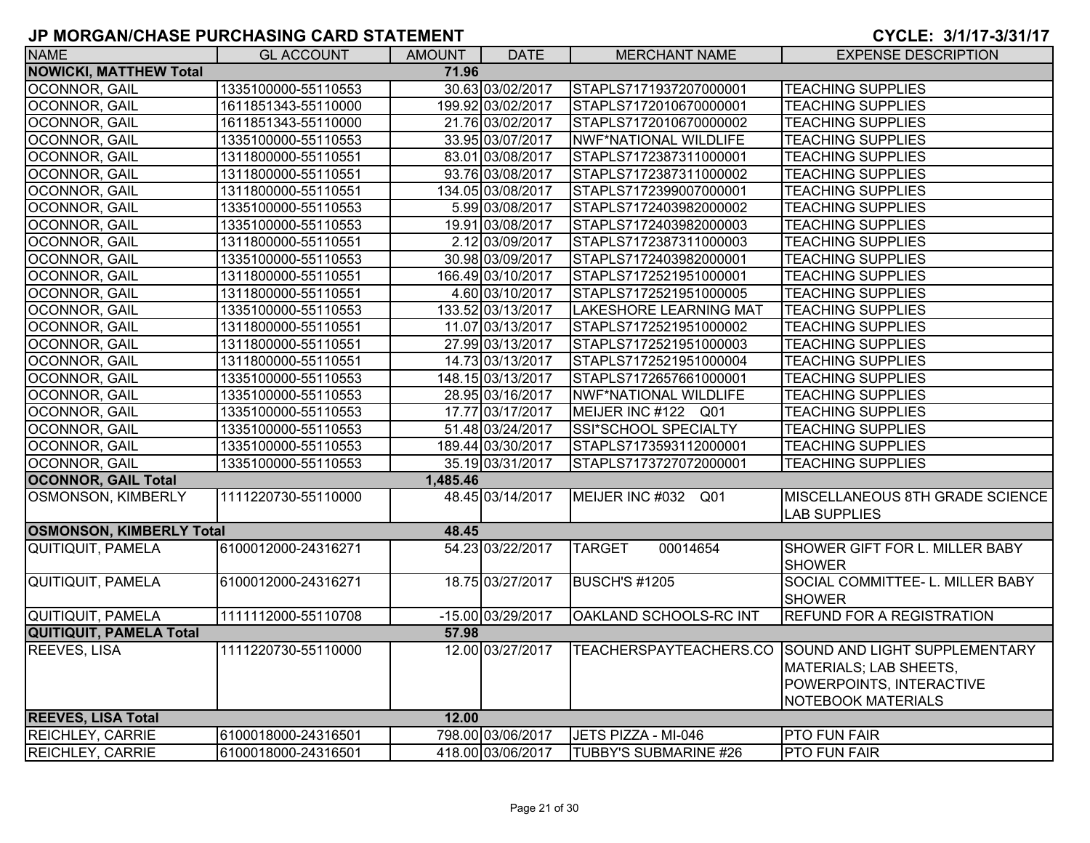| <b>NAME</b>                     | <b>GL ACCOUNT</b>   | AMOUNT   | <b>DATE</b>       | <b>MERCHANT NAME</b>          | <b>EXPENSE DESCRIPTION</b>                                                                                                              |
|---------------------------------|---------------------|----------|-------------------|-------------------------------|-----------------------------------------------------------------------------------------------------------------------------------------|
| <b>NOWICKI, MATTHEW Total</b>   |                     | 71.96    |                   |                               |                                                                                                                                         |
| <b>OCONNOR, GAIL</b>            | 1335100000-55110553 |          | 30.63 03/02/2017  | STAPLS7171937207000001        | <b>TEACHING SUPPLIES</b>                                                                                                                |
| <b>OCONNOR, GAIL</b>            | 1611851343-55110000 |          | 199.92 03/02/2017 | STAPLS7172010670000001        | <b>TEACHING SUPPLIES</b>                                                                                                                |
| OCONNOR, GAIL                   | 1611851343-55110000 |          | 21.76 03/02/2017  | STAPLS7172010670000002        | <b>TEACHING SUPPLIES</b>                                                                                                                |
| OCONNOR, GAIL                   | 1335100000-55110553 |          | 33.95 03/07/2017  | NWF*NATIONAL WILDLIFE         | <b>TEACHING SUPPLIES</b>                                                                                                                |
| OCONNOR, GAIL                   | 1311800000-55110551 |          | 83.01 03/08/2017  | STAPLS7172387311000001        | <b>TEACHING SUPPLIES</b>                                                                                                                |
| OCONNOR, GAIL                   | 1311800000-55110551 |          | 93.76 03/08/2017  | STAPLS7172387311000002        | <b>TEACHING SUPPLIES</b>                                                                                                                |
| OCONNOR, GAIL                   | 1311800000-55110551 |          | 134.05 03/08/2017 | STAPLS7172399007000001        | <b>TEACHING SUPPLIES</b>                                                                                                                |
| OCONNOR, GAIL                   | 1335100000-55110553 |          | 5.99 03/08/2017   | STAPLS7172403982000002        | <b>TEACHING SUPPLIES</b>                                                                                                                |
| <b>OCONNOR, GAIL</b>            | 1335100000-55110553 |          | 19.91 03/08/2017  | STAPLS7172403982000003        | <b>TEACHING SUPPLIES</b>                                                                                                                |
| OCONNOR, GAIL                   | 1311800000-55110551 |          | 2.12 03/09/2017   | STAPLS7172387311000003        | <b>TEACHING SUPPLIES</b>                                                                                                                |
| OCONNOR, GAIL                   | 1335100000-55110553 |          | 30.98 03/09/2017  | STAPLS7172403982000001        | <b>TEACHING SUPPLIES</b>                                                                                                                |
| OCONNOR, GAIL                   | 1311800000-55110551 |          | 166.49 03/10/2017 | STAPLS7172521951000001        | <b>TEACHING SUPPLIES</b>                                                                                                                |
| OCONNOR, GAIL                   | 1311800000-55110551 |          | 4.60 03/10/2017   | STAPLS7172521951000005        | <b>TEACHING SUPPLIES</b>                                                                                                                |
| <b>OCONNOR, GAIL</b>            | 1335100000-55110553 |          | 133.52 03/13/2017 | <b>LAKESHORE LEARNING MAT</b> | <b>TEACHING SUPPLIES</b>                                                                                                                |
| <b>OCONNOR, GAIL</b>            | 1311800000-55110551 |          | 11.07 03/13/2017  | STAPLS7172521951000002        | <b>TEACHING SUPPLIES</b>                                                                                                                |
| OCONNOR, GAIL                   | 1311800000-55110551 |          | 27.99 03/13/2017  | STAPLS7172521951000003        | <b>TEACHING SUPPLIES</b>                                                                                                                |
| OCONNOR, GAIL                   | 1311800000-55110551 |          | 14.73 03/13/2017  | STAPLS7172521951000004        | <b>TEACHING SUPPLIES</b>                                                                                                                |
| OCONNOR, GAIL                   | 1335100000-55110553 |          | 148.15 03/13/2017 | STAPLS7172657661000001        | <b>TEACHING SUPPLIES</b>                                                                                                                |
| OCONNOR, GAIL                   | 1335100000-55110553 |          | 28.95 03/16/2017  | NWF*NATIONAL WILDLIFE         | <b>TEACHING SUPPLIES</b>                                                                                                                |
| OCONNOR, GAIL                   | 1335100000-55110553 |          | 17.77 03/17/2017  | MEIJER INC #122 Q01           | <b>TEACHING SUPPLIES</b>                                                                                                                |
| OCONNOR, GAIL                   | 1335100000-55110553 |          | 51.48 03/24/2017  | SSI*SCHOOL SPECIALTY          | <b>TEACHING SUPPLIES</b>                                                                                                                |
| OCONNOR, GAIL                   | 1335100000-55110553 |          | 189.44 03/30/2017 | STAPLS7173593112000001        | <b>TEACHING SUPPLIES</b>                                                                                                                |
| OCONNOR, GAIL                   | 1335100000-55110553 |          | 35.19 03/31/2017  | STAPLS7173727072000001        | <b>TEACHING SUPPLIES</b>                                                                                                                |
| <b>OCONNOR, GAIL Total</b>      |                     | 1,485.46 |                   |                               |                                                                                                                                         |
| <b>OSMONSON, KIMBERLY</b>       | 1111220730-55110000 |          | 48.45 03/14/2017  | MEIJER INC #032 Q01           | MISCELLANEOUS 8TH GRADE SCIENCE<br><b>LAB SUPPLIES</b>                                                                                  |
| <b>OSMONSON, KIMBERLY Total</b> |                     | 48.45    |                   |                               |                                                                                                                                         |
| QUITIQUIT, PAMELA               | 6100012000-24316271 |          | 54.23 03/22/2017  | 00014654<br><b>TARGET</b>     | SHOWER GIFT FOR L. MILLER BABY<br><b>SHOWER</b>                                                                                         |
| QUITIQUIT, PAMELA               | 6100012000-24316271 |          | 18.75 03/27/2017  | <b>BUSCH'S #1205</b>          | SOCIAL COMMITTEE- L. MILLER BABY<br><b>SHOWER</b>                                                                                       |
| <b>QUITIQUIT, PAMELA</b>        | 1111112000-55110708 |          | -15.00 03/29/2017 | OAKLAND SCHOOLS-RC INT        | <b>REFUND FOR A REGISTRATION</b>                                                                                                        |
| <b>QUITIQUIT, PAMELA Total</b>  |                     | 57.98    |                   |                               |                                                                                                                                         |
| <b>REEVES, LISA</b>             | 1111220730-55110000 |          | 12.00 03/27/2017  |                               | TEACHERSPAYTEACHERS.CO SOUND AND LIGHT SUPPLEMENTARY<br>MATERIALS; LAB SHEETS,<br>POWERPOINTS, INTERACTIVE<br><b>NOTEBOOK MATERIALS</b> |
| <b>REEVES, LISA Total</b>       |                     | 12.00    |                   |                               |                                                                                                                                         |
| <b>REICHLEY, CARRIE</b>         | 6100018000-24316501 |          | 798.00 03/06/2017 | JETS PIZZA - MI-046           | <b>PTO FUN FAIR</b>                                                                                                                     |
| <b>REICHLEY, CARRIE</b>         | 6100018000-24316501 |          | 418.00 03/06/2017 | <b>TUBBY'S SUBMARINE #26</b>  | <b>PTO FUN FAIR</b>                                                                                                                     |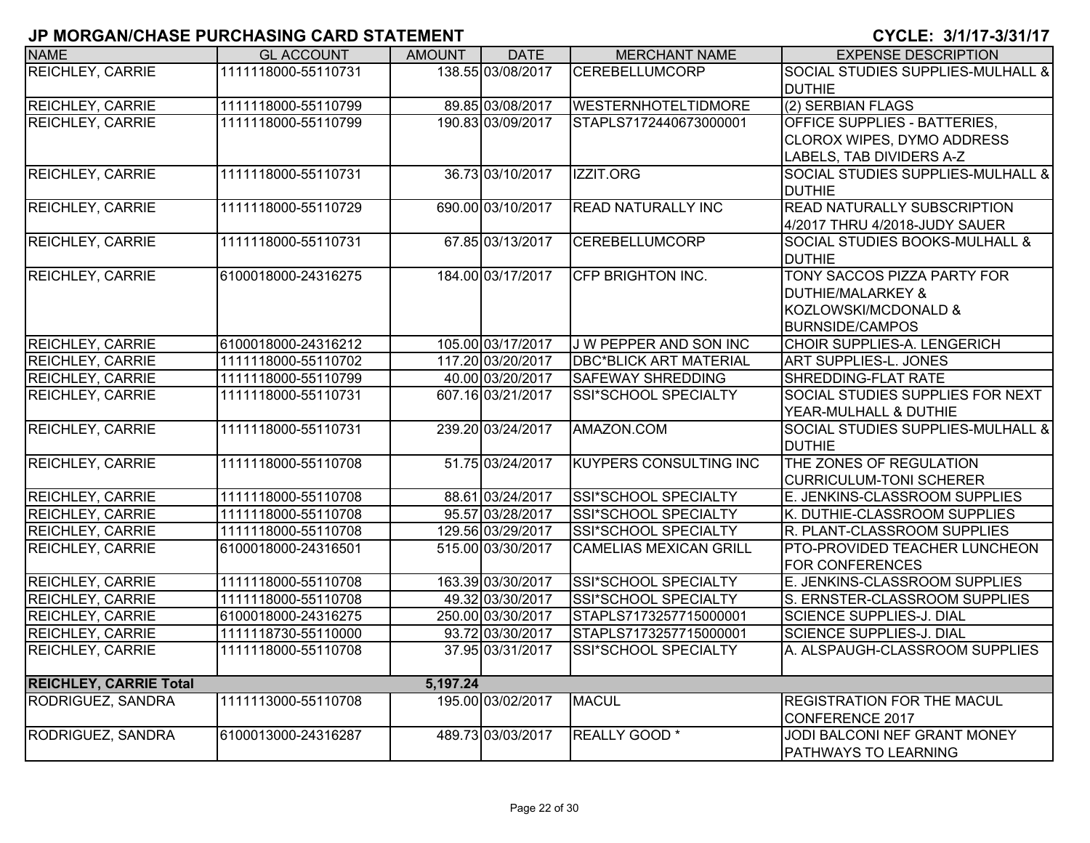| <b>NAME</b>                   | <b>GL ACCOUNT</b>   | <b>AMOUNT</b> | <b>DATE</b>       | <b>MERCHANT NAME</b>          | <b>EXPENSE DESCRIPTION</b>                   |
|-------------------------------|---------------------|---------------|-------------------|-------------------------------|----------------------------------------------|
| REICHLEY, CARRIE              | 1111118000-55110731 |               | 138.55 03/08/2017 | <b>CEREBELLUMCORP</b>         | SOCIAL STUDIES SUPPLIES-MULHALL &            |
|                               |                     |               |                   |                               | <b>DUTHIE</b>                                |
| REICHLEY, CARRIE              | 1111118000-55110799 |               | 89.85 03/08/2017  | <b>WESTERNHOTELTIDMORE</b>    | (2) SERBIAN FLAGS                            |
| <b>REICHLEY, CARRIE</b>       | 1111118000-55110799 |               | 190.83 03/09/2017 | STAPLS7172440673000001        | OFFICE SUPPLIES - BATTERIES,                 |
|                               |                     |               |                   |                               | CLOROX WIPES, DYMO ADDRESS                   |
|                               |                     |               |                   |                               | LABELS, TAB DIVIDERS A-Z                     |
| REICHLEY, CARRIE              | 1111118000-55110731 |               | 36.73 03/10/2017  | IZZIT.ORG                     | <b>SOCIAL STUDIES SUPPLIES-MULHALL &amp;</b> |
|                               |                     |               |                   |                               | <b>DUTHIE</b>                                |
| REICHLEY, CARRIE              | 1111118000-55110729 |               | 690.00 03/10/2017 | <b>READ NATURALLY INC</b>     | <b>READ NATURALLY SUBSCRIPTION</b>           |
|                               |                     |               |                   |                               | 4/2017 THRU 4/2018-JUDY SAUER                |
| REICHLEY, CARRIE              | 1111118000-55110731 |               | 67.85 03/13/2017  | <b>CEREBELLUMCORP</b>         | <b>SOCIAL STUDIES BOOKS-MULHALL &amp;</b>    |
|                               |                     |               |                   |                               | <b>DUTHIE</b>                                |
| <b>REICHLEY, CARRIE</b>       | 6100018000-24316275 |               | 184.00 03/17/2017 | <b>CFP BRIGHTON INC.</b>      | TONY SACCOS PIZZA PARTY FOR                  |
|                               |                     |               |                   |                               | <b>DUTHIE/MALARKEY &amp;</b>                 |
|                               |                     |               |                   |                               | KOZLOWSKI/MCDONALD &                         |
|                               |                     |               |                   |                               | <b>BURNSIDE/CAMPOS</b>                       |
| <b>REICHLEY, CARRIE</b>       | 6100018000-24316212 |               | 105.00 03/17/2017 | J W PEPPER AND SON INC        | CHOIR SUPPLIES-A. LENGERICH                  |
| <b>REICHLEY, CARRIE</b>       | 1111118000-55110702 |               | 117.20 03/20/2017 | <b>DBC*BLICK ART MATERIAL</b> | <b>ART SUPPLIES-L. JONES</b>                 |
| <b>REICHLEY, CARRIE</b>       | 1111118000-55110799 |               | 40.00 03/20/2017  | <b>SAFEWAY SHREDDING</b>      | SHREDDING-FLAT RATE                          |
| <b>REICHLEY, CARRIE</b>       | 1111118000-55110731 |               | 607.16 03/21/2017 | SSI*SCHOOL SPECIALTY          | SOCIAL STUDIES SUPPLIES FOR NEXT             |
|                               |                     |               |                   |                               | YEAR-MULHALL & DUTHIE                        |
| <b>REICHLEY, CARRIE</b>       | 1111118000-55110731 |               | 239.20 03/24/2017 | AMAZON.COM                    | <b>SOCIAL STUDIES SUPPLIES-MULHALL &amp;</b> |
|                               |                     |               |                   |                               | <b>DUTHIE</b>                                |
| REICHLEY, CARRIE              | 1111118000-55110708 |               | 51.75 03/24/2017  | <b>KUYPERS CONSULTING INC</b> | THE ZONES OF REGULATION                      |
|                               |                     |               |                   |                               | <b>CURRICULUM-TONI SCHERER</b>               |
| REICHLEY, CARRIE              | 1111118000-55110708 |               | 88.61 03/24/2017  | SSI*SCHOOL SPECIALTY          | E. JENKINS-CLASSROOM SUPPLIES                |
| REICHLEY, CARRIE              | 1111118000-55110708 |               | 95.57 03/28/2017  | SSI*SCHOOL SPECIALTY          | K. DUTHIE-CLASSROOM SUPPLIES                 |
| REICHLEY, CARRIE              | 1111118000-55110708 |               | 129.56 03/29/2017 | SSI*SCHOOL SPECIALTY          | R. PLANT-CLASSROOM SUPPLIES                  |
| <b>REICHLEY, CARRIE</b>       | 6100018000-24316501 |               | 515.00 03/30/2017 | <b>CAMELIAS MEXICAN GRILL</b> | PTO-PROVIDED TEACHER LUNCHEON                |
|                               |                     |               |                   |                               | <b>FOR CONFERENCES</b>                       |
| REICHLEY, CARRIE              | 1111118000-55110708 |               | 163.39 03/30/2017 | SSI*SCHOOL SPECIALTY          | E. JENKINS-CLASSROOM SUPPLIES                |
| REICHLEY, CARRIE              | 1111118000-55110708 |               | 49.32 03/30/2017  | SSI*SCHOOL SPECIALTY          | S. ERNSTER-CLASSROOM SUPPLIES                |
| REICHLEY, CARRIE              | 6100018000-24316275 |               | 250.00 03/30/2017 | STAPLS7173257715000001        | <b>SCIENCE SUPPLIES-J. DIAL</b>              |
| <b>REICHLEY, CARRIE</b>       | 1111118730-55110000 |               | 93.72 03/30/2017  | STAPLS7173257715000001        | <b>SCIENCE SUPPLIES-J. DIAL</b>              |
| <b>REICHLEY, CARRIE</b>       | 1111118000-55110708 |               | 37.95 03/31/2017  | <b>SSI*SCHOOL SPECIALTY</b>   | A. ALSPAUGH-CLASSROOM SUPPLIES               |
| <b>REICHLEY, CARRIE Total</b> |                     | 5,197.24      |                   |                               |                                              |
| RODRIGUEZ, SANDRA             | 1111113000-55110708 |               | 195.00 03/02/2017 | <b>MACUL</b>                  | <b>REGISTRATION FOR THE MACUL</b>            |
|                               |                     |               |                   |                               | <b>CONFERENCE 2017</b>                       |
| RODRIGUEZ, SANDRA             | 6100013000-24316287 |               | 489.73 03/03/2017 | <b>REALLY GOOD</b> *          | JODI BALCONI NEF GRANT MONEY                 |
|                               |                     |               |                   |                               | PATHWAYS TO LEARNING                         |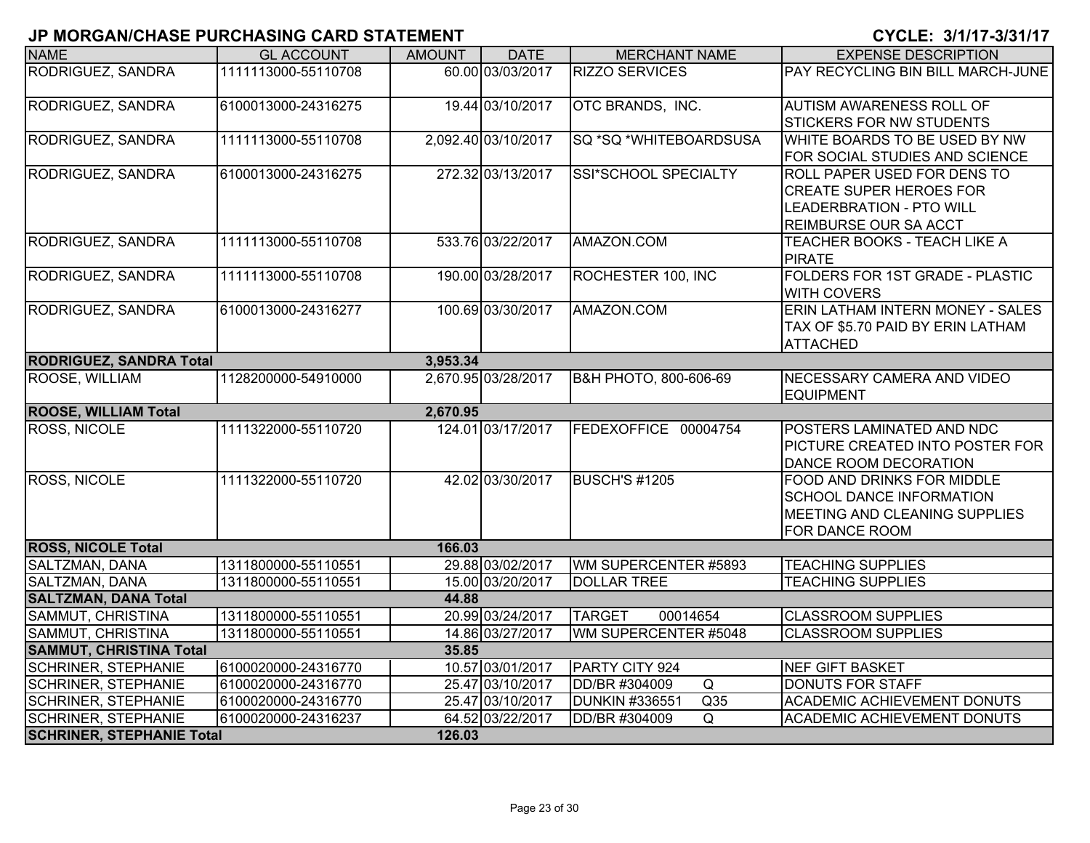| <b>NAME</b>                      | <b>GL ACCOUNT</b>   | <b>AMOUNT</b> | <b>DATE</b>         | <b>MERCHANT NAME</b>         | <b>EXPENSE DESCRIPTION</b>                     |
|----------------------------------|---------------------|---------------|---------------------|------------------------------|------------------------------------------------|
| RODRIGUEZ, SANDRA                | 1111113000-55110708 |               | 60.00 03/03/2017    | <b>RIZZO SERVICES</b>        | PAY RECYCLING BIN BILL MARCH-JUNE              |
| RODRIGUEZ, SANDRA                | 6100013000-24316275 |               | 19.44 03/10/2017    | OTC BRANDS, INC.             | <b>AUTISM AWARENESS ROLL OF</b>                |
|                                  |                     |               |                     |                              | <b>STICKERS FOR NW STUDENTS</b>                |
| RODRIGUEZ, SANDRA                | 1111113000-55110708 |               | 2,092.40 03/10/2017 | SQ *SQ *WHITEBOARDSUSA       | WHITE BOARDS TO BE USED BY NW                  |
|                                  |                     |               |                     |                              | FOR SOCIAL STUDIES AND SCIENCE                 |
| RODRIGUEZ, SANDRA                | 6100013000-24316275 |               | 272.32 03/13/2017   | SSI*SCHOOL SPECIALTY         | ROLL PAPER USED FOR DENS TO                    |
|                                  |                     |               |                     |                              | <b>CREATE SUPER HEROES FOR</b>                 |
|                                  |                     |               |                     |                              | <b>LEADERBRATION - PTO WILL</b>                |
|                                  |                     |               |                     |                              | <b>REIMBURSE OUR SA ACCT</b>                   |
| RODRIGUEZ, SANDRA                | 1111113000-55110708 |               | 533.76 03/22/2017   | AMAZON.COM                   | <b>TEACHER BOOKS - TEACH LIKE A</b>            |
|                                  |                     |               |                     |                              | <b>PIRATE</b>                                  |
| RODRIGUEZ, SANDRA                | 1111113000-55110708 |               | 190.00 03/28/2017   | ROCHESTER 100, INC           | FOLDERS FOR 1ST GRADE - PLASTIC                |
|                                  |                     |               |                     |                              | <b>WITH COVERS</b>                             |
| RODRIGUEZ, SANDRA                | 6100013000-24316277 |               | 100.69 03/30/2017   | AMAZON.COM                   | ERIN LATHAM INTERN MONEY - SALES               |
|                                  |                     |               |                     |                              | TAX OF \$5.70 PAID BY ERIN LATHAM              |
|                                  |                     |               |                     |                              | <b>ATTACHED</b>                                |
| <b>RODRIGUEZ, SANDRA Total</b>   |                     | 3,953.34      |                     |                              |                                                |
| ROOSE, WILLIAM                   | 1128200000-54910000 |               | 2,670.95 03/28/2017 | B&H PHOTO, 800-606-69        | NECESSARY CAMERA AND VIDEO<br><b>EQUIPMENT</b> |
| <b>ROOSE, WILLIAM Total</b>      |                     | 2,670.95      |                     |                              |                                                |
| <b>ROSS, NICOLE</b>              | 1111322000-55110720 |               | 124.01 03/17/2017   | FEDEXOFFICE 00004754         | POSTERS LAMINATED AND NDC                      |
|                                  |                     |               |                     |                              | PICTURE CREATED INTO POSTER FOR                |
|                                  |                     |               |                     |                              | DANCE ROOM DECORATION                          |
| <b>ROSS, NICOLE</b>              | 1111322000-55110720 |               | 42.02 03/30/2017    | <b>BUSCH'S #1205</b>         | FOOD AND DRINKS FOR MIDDLE                     |
|                                  |                     |               |                     |                              | <b>SCHOOL DANCE INFORMATION</b>                |
|                                  |                     |               |                     |                              | MEETING AND CLEANING SUPPLIES                  |
|                                  |                     |               |                     |                              | FOR DANCE ROOM                                 |
| <b>ROSS, NICOLE Total</b>        |                     | 166.03        |                     |                              |                                                |
| SALTZMAN, DANA                   | 1311800000-55110551 |               | 29.88 03/02/2017    | WM SUPERCENTER #5893         | <b>TEACHING SUPPLIES</b>                       |
| SALTZMAN, DANA                   | 1311800000-55110551 |               | 15.00 03/20/2017    | <b>DOLLAR TREE</b>           | <b>TEACHING SUPPLIES</b>                       |
| <b>SALTZMAN, DANA Total</b>      |                     | 44.88         |                     |                              |                                                |
| SAMMUT, CHRISTINA                | 1311800000-55110551 |               | 20.99 03/24/2017    | <b>TARGET</b><br>00014654    | <b>CLASSROOM SUPPLIES</b>                      |
| SAMMUT, CHRISTINA                | 1311800000-55110551 |               | 14.86 03/27/2017    | WM SUPERCENTER #5048         | <b>CLASSROOM SUPPLIES</b>                      |
| <b>SAMMUT, CHRISTINA Total</b>   |                     | 35.85         |                     |                              |                                                |
| <b>SCHRINER, STEPHANIE</b>       | 6100020000-24316770 |               | 10.57 03/01/2017    | PARTY CITY 924               | <b>NEF GIFT BASKET</b>                         |
| <b>SCHRINER, STEPHANIE</b>       | 6100020000-24316770 |               | 25.47 03/10/2017    | DD/BR #304009<br>Q           | <b>DONUTS FOR STAFF</b>                        |
| <b>SCHRINER, STEPHANIE</b>       | 6100020000-24316770 |               | 25.47 03/10/2017    | <b>DUNKIN #336551</b><br>Q35 | <b>ACADEMIC ACHIEVEMENT DONUTS</b>             |
| <b>SCHRINER, STEPHANIE</b>       | 6100020000-24316237 |               | 64.52 03/22/2017    | DD/BR #304009<br>Q           | <b>ACADEMIC ACHIEVEMENT DONUTS</b>             |
| <b>SCHRINER, STEPHANIE Total</b> |                     | 126.03        |                     |                              |                                                |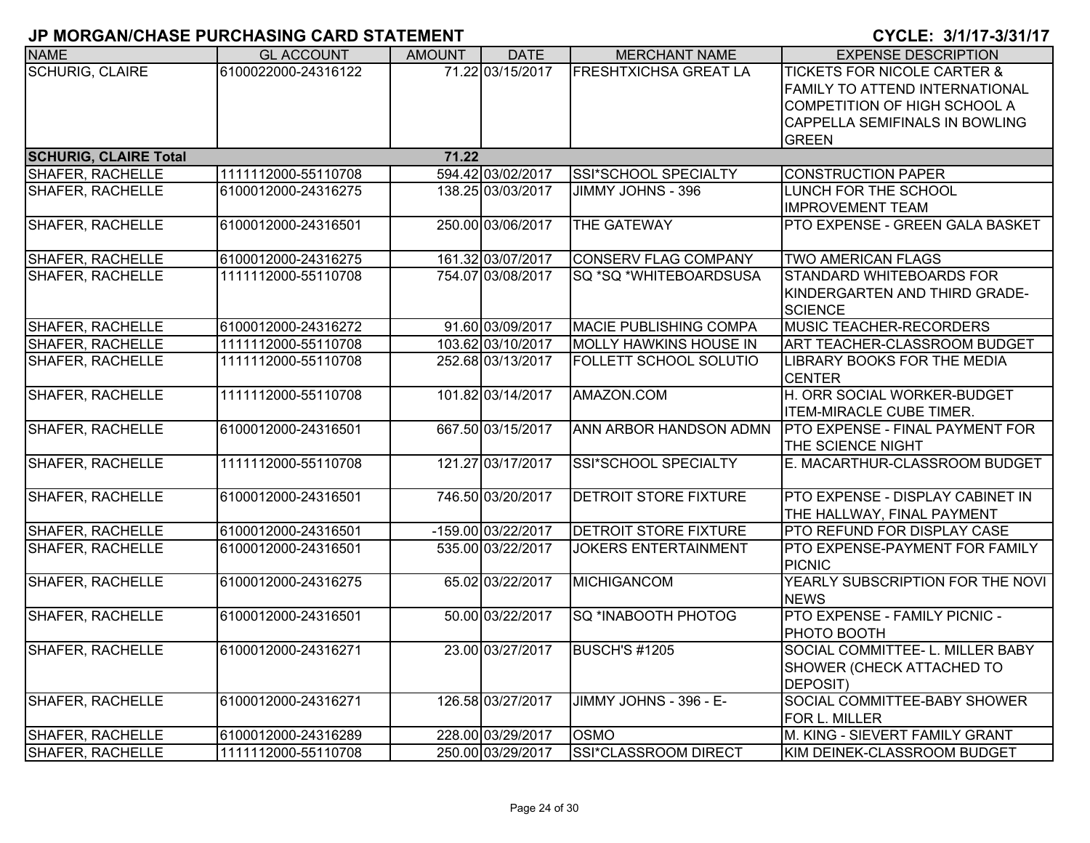|                              | וובומומולוט שווו של היא היה היה היה היה היה שווי שווי השירושות |               |                    |                               |                                                                                                                                                                   |
|------------------------------|----------------------------------------------------------------|---------------|--------------------|-------------------------------|-------------------------------------------------------------------------------------------------------------------------------------------------------------------|
| <b>NAME</b>                  | <b>GL ACCOUNT</b>                                              | <b>AMOUNT</b> | <b>DATE</b>        | <b>MERCHANT NAME</b>          | <b>EXPENSE DESCRIPTION</b>                                                                                                                                        |
| <b>SCHURIG, CLAIRE</b>       | 6100022000-24316122                                            |               | 71.22 03/15/2017   | <b>FRESHTXICHSA GREAT LA</b>  | <b>TICKETS FOR NICOLE CARTER &amp;</b><br>FAMILY TO ATTEND INTERNATIONAL<br>COMPETITION OF HIGH SCHOOL A<br><b>CAPPELLA SEMIFINALS IN BOWLING</b><br><b>GREEN</b> |
| <b>SCHURIG, CLAIRE Total</b> |                                                                | 71.22         |                    |                               |                                                                                                                                                                   |
| <b>SHAFER, RACHELLE</b>      | 1111112000-55110708                                            |               | 594.42 03/02/2017  | SSI*SCHOOL SPECIALTY          | <b>CONSTRUCTION PAPER</b>                                                                                                                                         |
| SHAFER, RACHELLE             | 6100012000-24316275                                            |               | 138.25 03/03/2017  | JIMMY JOHNS - 396             | LUNCH FOR THE SCHOOL<br><b>IMPROVEMENT TEAM</b>                                                                                                                   |
| <b>SHAFER, RACHELLE</b>      | 6100012000-24316501                                            |               | 250.00 03/06/2017  | THE GATEWAY                   | PTO EXPENSE - GREEN GALA BASKET                                                                                                                                   |
| <b>SHAFER, RACHELLE</b>      | 6100012000-24316275                                            |               | 161.32 03/07/2017  | <b>CONSERV FLAG COMPANY</b>   | <b>TWO AMERICAN FLAGS</b>                                                                                                                                         |
| <b>SHAFER, RACHELLE</b>      | 1111112000-55110708                                            |               | 754.07 03/08/2017  | SQ *SQ *WHITEBOARDSUSA        | STANDARD WHITEBOARDS FOR<br>KINDERGARTEN AND THIRD GRADE-<br><b>SCIENCE</b>                                                                                       |
| <b>SHAFER, RACHELLE</b>      | 6100012000-24316272                                            |               | 91.60 03/09/2017   | <b>MACIE PUBLISHING COMPA</b> | <b>MUSIC TEACHER-RECORDERS</b>                                                                                                                                    |
| <b>SHAFER, RACHELLE</b>      | 1111112000-55110708                                            |               | 103.62 03/10/2017  | <b>MOLLY HAWKINS HOUSE IN</b> | ART TEACHER-CLASSROOM BUDGET                                                                                                                                      |
| SHAFER, RACHELLE             | 1111112000-55110708                                            |               | 252.68 03/13/2017  | <b>FOLLETT SCHOOL SOLUTIO</b> | LIBRARY BOOKS FOR THE MEDIA<br><b>CENTER</b>                                                                                                                      |
| <b>SHAFER, RACHELLE</b>      | 1111112000-55110708                                            |               | 101.82 03/14/2017  | AMAZON.COM                    | H. ORR SOCIAL WORKER-BUDGET<br><b>ITEM-MIRACLE CUBE TIMER.</b>                                                                                                    |
| <b>SHAFER, RACHELLE</b>      | 6100012000-24316501                                            |               | 667.50 03/15/2017  | ANN ARBOR HANDSON ADMN        | <b>PTO EXPENSE - FINAL PAYMENT FOR</b><br>THE SCIENCE NIGHT                                                                                                       |
| <b>SHAFER, RACHELLE</b>      | 1111112000-55110708                                            |               | 121.27 03/17/2017  | SSI*SCHOOL SPECIALTY          | E. MACARTHUR-CLASSROOM BUDGET                                                                                                                                     |
| <b>SHAFER, RACHELLE</b>      | 6100012000-24316501                                            |               | 746.50 03/20/2017  | <b>DETROIT STORE FIXTURE</b>  | PTO EXPENSE - DISPLAY CABINET IN<br>THE HALLWAY, FINAL PAYMENT                                                                                                    |
| SHAFER, RACHELLE             | 6100012000-24316501                                            |               | -159.00 03/22/2017 | <b>DETROIT STORE FIXTURE</b>  | PTO REFUND FOR DISPLAY CASE                                                                                                                                       |
| <b>SHAFER, RACHELLE</b>      | 6100012000-24316501                                            |               | 535.00 03/22/2017  | <b>JOKERS ENTERTAINMENT</b>   | PTO EXPENSE-PAYMENT FOR FAMILY<br><b>PICNIC</b>                                                                                                                   |
| SHAFER, RACHELLE             | 6100012000-24316275                                            |               | 65.02 03/22/2017   | MICHIGANCOM                   | YEARLY SUBSCRIPTION FOR THE NOVI<br><b>NEWS</b>                                                                                                                   |
| <b>SHAFER, RACHELLE</b>      | 6100012000-24316501                                            |               | 50.00 03/22/2017   | SQ *INABOOTH PHOTOG           | PTO EXPENSE - FAMILY PICNIC -<br>PHOTO BOOTH                                                                                                                      |
| <b>SHAFER, RACHELLE</b>      | 6100012000-24316271                                            |               | 23.00 03/27/2017   | BUSCH'S #1205                 | SOCIAL COMMITTEE- L. MILLER BABY<br>SHOWER (CHECK ATTACHED TO<br>DEPOSIT)                                                                                         |
| <b>SHAFER, RACHELLE</b>      | 6100012000-24316271                                            |               | 126.58 03/27/2017  | JIMMY JOHNS - 396 - E-        | SOCIAL COMMITTEE-BABY SHOWER<br>FOR L. MILLER                                                                                                                     |
| <b>SHAFER, RACHELLE</b>      | 6100012000-24316289                                            |               | 228.00 03/29/2017  | <b>OSMO</b>                   | M. KING - SIEVERT FAMILY GRANT                                                                                                                                    |
| <b>SHAFER, RACHELLE</b>      | 1111112000-55110708                                            |               | 250.00 03/29/2017  | SSI*CLASSROOM DIRECT          | KIM DEINEK-CLASSROOM BUDGET                                                                                                                                       |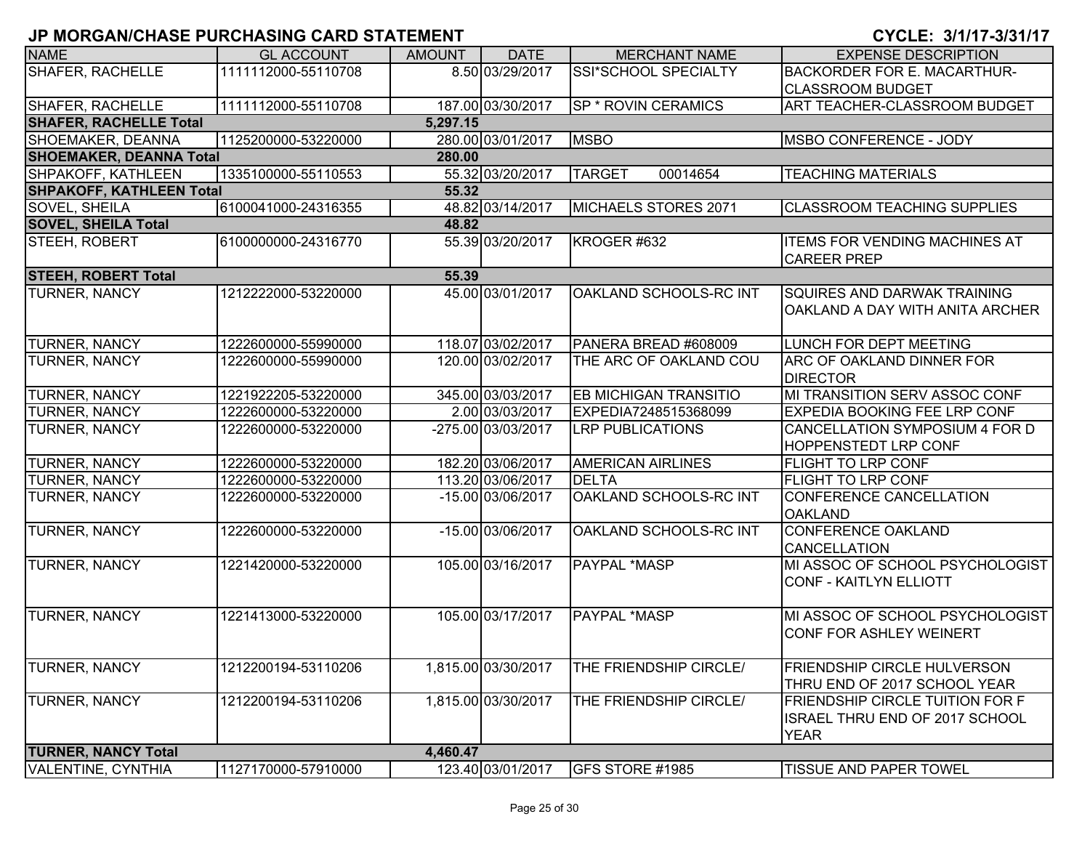| 8.50 03/29/2017<br><b>SHAFER, RACHELLE</b><br>SSI*SCHOOL SPECIALTY<br>1111112000-55110708<br><b>BACKORDER FOR E. MACARTHUR-</b><br><b>CLASSROOM BUDGET</b><br>187.00 03/30/2017<br>ART TEACHER-CLASSROOM BUDGET<br>SHAFER, RACHELLE<br>1111112000-55110708<br><b>SP * ROVIN CERAMICS</b><br><b>SHAFER, RACHELLE Total</b><br>5,297.15<br>280.00 03/01/2017<br>SHOEMAKER, DEANNA<br>1125200000-53220000<br><b>MSBO</b><br>MSBO CONFERENCE - JODY<br><b>SHOEMAKER, DEANNA Total</b><br>280.00<br>55.32 03/20/2017<br>SHPAKOFF, KATHLEEN<br>1335100000-55110553<br><b>TARGET</b><br>00014654<br><b>TEACHING MATERIALS</b><br><b>SHPAKOFF, KATHLEEN Total</b><br>55.32<br>48.82 03/14/2017<br>6100041000-24316355<br>SOVEL, SHEILA<br>MICHAELS STORES 2071<br><b>CLASSROOM TEACHING SUPPLIES</b><br><b>SOVEL, SHEILA Total</b><br>48.82<br>55.39 03/20/2017<br>KROGER #632<br>STEEH, ROBERT<br>6100000000-24316770<br><b>ITEMS FOR VENDING MACHINES AT</b><br><b>CAREER PREP</b><br><b>STEEH, ROBERT Total</b><br>55.39<br>45.00 03/01/2017<br>OAKLAND SCHOOLS-RC INT<br><b>TURNER, NANCY</b><br>1212222000-53220000<br>SQUIRES AND DARWAK TRAINING<br>OAKLAND A DAY WITH ANITA ARCHER<br>118.07 03/02/2017<br><b>TURNER, NANCY</b><br>PANERA BREAD #608009<br>LUNCH FOR DEPT MEETING<br>1222600000-55990000<br>120.00 03/02/2017<br><b>TURNER, NANCY</b><br>1222600000-55990000<br>THE ARC OF OAKLAND COU<br>ARC OF OAKLAND DINNER FOR<br><b>DIRECTOR</b><br>345.00 03/03/2017<br><b>EB MICHIGAN TRANSITIO</b><br>MI TRANSITION SERV ASSOC CONF<br><b>TURNER, NANCY</b><br>1221922205-53220000<br>TURNER, NANCY<br>1222600000-53220000<br>2.00 03/03/2017<br>EXPEDIA7248515368099<br>EXPEDIA BOOKING FEE LRP CONF<br>CANCELLATION SYMPOSIUM 4 FOR D<br><b>TURNER, NANCY</b><br>1222600000-53220000<br>-275.00 03/03/2017<br><b>LRP PUBLICATIONS</b><br>HOPPENSTEDT LRP CONF<br>182.20 03/06/2017<br><b>TURNER, NANCY</b><br>1222600000-53220000<br><b>AMERICAN AIRLINES</b><br>FLIGHT TO LRP CONF<br>113.20 03/06/2017<br><b>TURNER, NANCY</b><br>1222600000-53220000<br><b>DELTA</b><br>FLIGHT TO LRP CONF<br>-15.00 03/06/2017<br>OAKLAND SCHOOLS-RC INT<br><b>TURNER, NANCY</b><br>CONFERENCE CANCELLATION<br>1222600000-53220000<br><b>OAKLAND</b><br>TURNER, NANCY<br>-15.00 03/06/2017<br>OAKLAND SCHOOLS-RC INT<br><b>CONFERENCE OAKLAND</b><br>1222600000-53220000<br>CANCELLATION<br>105.00 03/16/2017<br><b>PAYPAL *MASP</b><br>MI ASSOC OF SCHOOL PSYCHOLOGIST<br><b>TURNER, NANCY</b><br>1221420000-53220000<br>CONF - KAITLYN ELLIOTT<br>105.00 03/17/2017<br><b>TURNER, NANCY</b><br><b>PAYPAL *MASP</b><br>MI ASSOC OF SCHOOL PSYCHOLOGIST<br>1221413000-53220000<br><b>CONF FOR ASHLEY WEINERT</b><br><b>TURNER, NANCY</b><br>1,815.00 03/30/2017<br>THE FRIENDSHIP CIRCLE/<br><b>FRIENDSHIP CIRCLE HULVERSON</b><br>1212200194-53110206<br>THRU END OF 2017 SCHOOL YEAR<br><b>TURNER, NANCY</b><br>1,815.00 03/30/2017<br>1212200194-53110206<br>THE FRIENDSHIP CIRCLE/<br>FRIENDSHIP CIRCLE TUITION FOR F<br>ISRAEL THRU END OF 2017 SCHOOL<br><b>YEAR</b><br><b>TURNER, NANCY Total</b><br>4,460.47<br><b>VALENTINE, CYNTHIA</b><br>123.40 03/01/2017<br>1127170000-57910000<br>GFS STORE #1985<br><b>TISSUE AND PAPER TOWEL</b> |             |                   |               |             |                      |                            |
|--------------------------------------------------------------------------------------------------------------------------------------------------------------------------------------------------------------------------------------------------------------------------------------------------------------------------------------------------------------------------------------------------------------------------------------------------------------------------------------------------------------------------------------------------------------------------------------------------------------------------------------------------------------------------------------------------------------------------------------------------------------------------------------------------------------------------------------------------------------------------------------------------------------------------------------------------------------------------------------------------------------------------------------------------------------------------------------------------------------------------------------------------------------------------------------------------------------------------------------------------------------------------------------------------------------------------------------------------------------------------------------------------------------------------------------------------------------------------------------------------------------------------------------------------------------------------------------------------------------------------------------------------------------------------------------------------------------------------------------------------------------------------------------------------------------------------------------------------------------------------------------------------------------------------------------------------------------------------------------------------------------------------------------------------------------------------------------------------------------------------------------------------------------------------------------------------------------------------------------------------------------------------------------------------------------------------------------------------------------------------------------------------------------------------------------------------------------------------------------------------------------------------------------------------------------------------------------------------------------------------------------------------------------------------------------------------------------------------------------------------------------------------------------------------------------------------------------------------------------------------------------------------------------------------------------------------------------------------------------------------------------------------------------------------------------------------------------------------------------------------------------------------------------------------------------------------------------------------------------------------|-------------|-------------------|---------------|-------------|----------------------|----------------------------|
|                                                                                                                                                                                                                                                                                                                                                                                                                                                                                                                                                                                                                                                                                                                                                                                                                                                                                                                                                                                                                                                                                                                                                                                                                                                                                                                                                                                                                                                                                                                                                                                                                                                                                                                                                                                                                                                                                                                                                                                                                                                                                                                                                                                                                                                                                                                                                                                                                                                                                                                                                                                                                                                                                                                                                                                                                                                                                                                                                                                                                                                                                                                                                                                                                                                  | <b>NAME</b> | <b>GL ACCOUNT</b> | <b>AMOUNT</b> | <b>DATE</b> | <b>MERCHANT NAME</b> | <b>EXPENSE DESCRIPTION</b> |
|                                                                                                                                                                                                                                                                                                                                                                                                                                                                                                                                                                                                                                                                                                                                                                                                                                                                                                                                                                                                                                                                                                                                                                                                                                                                                                                                                                                                                                                                                                                                                                                                                                                                                                                                                                                                                                                                                                                                                                                                                                                                                                                                                                                                                                                                                                                                                                                                                                                                                                                                                                                                                                                                                                                                                                                                                                                                                                                                                                                                                                                                                                                                                                                                                                                  |             |                   |               |             |                      |                            |
|                                                                                                                                                                                                                                                                                                                                                                                                                                                                                                                                                                                                                                                                                                                                                                                                                                                                                                                                                                                                                                                                                                                                                                                                                                                                                                                                                                                                                                                                                                                                                                                                                                                                                                                                                                                                                                                                                                                                                                                                                                                                                                                                                                                                                                                                                                                                                                                                                                                                                                                                                                                                                                                                                                                                                                                                                                                                                                                                                                                                                                                                                                                                                                                                                                                  |             |                   |               |             |                      |                            |
|                                                                                                                                                                                                                                                                                                                                                                                                                                                                                                                                                                                                                                                                                                                                                                                                                                                                                                                                                                                                                                                                                                                                                                                                                                                                                                                                                                                                                                                                                                                                                                                                                                                                                                                                                                                                                                                                                                                                                                                                                                                                                                                                                                                                                                                                                                                                                                                                                                                                                                                                                                                                                                                                                                                                                                                                                                                                                                                                                                                                                                                                                                                                                                                                                                                  |             |                   |               |             |                      |                            |
|                                                                                                                                                                                                                                                                                                                                                                                                                                                                                                                                                                                                                                                                                                                                                                                                                                                                                                                                                                                                                                                                                                                                                                                                                                                                                                                                                                                                                                                                                                                                                                                                                                                                                                                                                                                                                                                                                                                                                                                                                                                                                                                                                                                                                                                                                                                                                                                                                                                                                                                                                                                                                                                                                                                                                                                                                                                                                                                                                                                                                                                                                                                                                                                                                                                  |             |                   |               |             |                      |                            |
|                                                                                                                                                                                                                                                                                                                                                                                                                                                                                                                                                                                                                                                                                                                                                                                                                                                                                                                                                                                                                                                                                                                                                                                                                                                                                                                                                                                                                                                                                                                                                                                                                                                                                                                                                                                                                                                                                                                                                                                                                                                                                                                                                                                                                                                                                                                                                                                                                                                                                                                                                                                                                                                                                                                                                                                                                                                                                                                                                                                                                                                                                                                                                                                                                                                  |             |                   |               |             |                      |                            |
|                                                                                                                                                                                                                                                                                                                                                                                                                                                                                                                                                                                                                                                                                                                                                                                                                                                                                                                                                                                                                                                                                                                                                                                                                                                                                                                                                                                                                                                                                                                                                                                                                                                                                                                                                                                                                                                                                                                                                                                                                                                                                                                                                                                                                                                                                                                                                                                                                                                                                                                                                                                                                                                                                                                                                                                                                                                                                                                                                                                                                                                                                                                                                                                                                                                  |             |                   |               |             |                      |                            |
|                                                                                                                                                                                                                                                                                                                                                                                                                                                                                                                                                                                                                                                                                                                                                                                                                                                                                                                                                                                                                                                                                                                                                                                                                                                                                                                                                                                                                                                                                                                                                                                                                                                                                                                                                                                                                                                                                                                                                                                                                                                                                                                                                                                                                                                                                                                                                                                                                                                                                                                                                                                                                                                                                                                                                                                                                                                                                                                                                                                                                                                                                                                                                                                                                                                  |             |                   |               |             |                      |                            |
|                                                                                                                                                                                                                                                                                                                                                                                                                                                                                                                                                                                                                                                                                                                                                                                                                                                                                                                                                                                                                                                                                                                                                                                                                                                                                                                                                                                                                                                                                                                                                                                                                                                                                                                                                                                                                                                                                                                                                                                                                                                                                                                                                                                                                                                                                                                                                                                                                                                                                                                                                                                                                                                                                                                                                                                                                                                                                                                                                                                                                                                                                                                                                                                                                                                  |             |                   |               |             |                      |                            |
|                                                                                                                                                                                                                                                                                                                                                                                                                                                                                                                                                                                                                                                                                                                                                                                                                                                                                                                                                                                                                                                                                                                                                                                                                                                                                                                                                                                                                                                                                                                                                                                                                                                                                                                                                                                                                                                                                                                                                                                                                                                                                                                                                                                                                                                                                                                                                                                                                                                                                                                                                                                                                                                                                                                                                                                                                                                                                                                                                                                                                                                                                                                                                                                                                                                  |             |                   |               |             |                      |                            |
|                                                                                                                                                                                                                                                                                                                                                                                                                                                                                                                                                                                                                                                                                                                                                                                                                                                                                                                                                                                                                                                                                                                                                                                                                                                                                                                                                                                                                                                                                                                                                                                                                                                                                                                                                                                                                                                                                                                                                                                                                                                                                                                                                                                                                                                                                                                                                                                                                                                                                                                                                                                                                                                                                                                                                                                                                                                                                                                                                                                                                                                                                                                                                                                                                                                  |             |                   |               |             |                      |                            |
|                                                                                                                                                                                                                                                                                                                                                                                                                                                                                                                                                                                                                                                                                                                                                                                                                                                                                                                                                                                                                                                                                                                                                                                                                                                                                                                                                                                                                                                                                                                                                                                                                                                                                                                                                                                                                                                                                                                                                                                                                                                                                                                                                                                                                                                                                                                                                                                                                                                                                                                                                                                                                                                                                                                                                                                                                                                                                                                                                                                                                                                                                                                                                                                                                                                  |             |                   |               |             |                      |                            |
|                                                                                                                                                                                                                                                                                                                                                                                                                                                                                                                                                                                                                                                                                                                                                                                                                                                                                                                                                                                                                                                                                                                                                                                                                                                                                                                                                                                                                                                                                                                                                                                                                                                                                                                                                                                                                                                                                                                                                                                                                                                                                                                                                                                                                                                                                                                                                                                                                                                                                                                                                                                                                                                                                                                                                                                                                                                                                                                                                                                                                                                                                                                                                                                                                                                  |             |                   |               |             |                      |                            |
|                                                                                                                                                                                                                                                                                                                                                                                                                                                                                                                                                                                                                                                                                                                                                                                                                                                                                                                                                                                                                                                                                                                                                                                                                                                                                                                                                                                                                                                                                                                                                                                                                                                                                                                                                                                                                                                                                                                                                                                                                                                                                                                                                                                                                                                                                                                                                                                                                                                                                                                                                                                                                                                                                                                                                                                                                                                                                                                                                                                                                                                                                                                                                                                                                                                  |             |                   |               |             |                      |                            |
|                                                                                                                                                                                                                                                                                                                                                                                                                                                                                                                                                                                                                                                                                                                                                                                                                                                                                                                                                                                                                                                                                                                                                                                                                                                                                                                                                                                                                                                                                                                                                                                                                                                                                                                                                                                                                                                                                                                                                                                                                                                                                                                                                                                                                                                                                                                                                                                                                                                                                                                                                                                                                                                                                                                                                                                                                                                                                                                                                                                                                                                                                                                                                                                                                                                  |             |                   |               |             |                      |                            |
|                                                                                                                                                                                                                                                                                                                                                                                                                                                                                                                                                                                                                                                                                                                                                                                                                                                                                                                                                                                                                                                                                                                                                                                                                                                                                                                                                                                                                                                                                                                                                                                                                                                                                                                                                                                                                                                                                                                                                                                                                                                                                                                                                                                                                                                                                                                                                                                                                                                                                                                                                                                                                                                                                                                                                                                                                                                                                                                                                                                                                                                                                                                                                                                                                                                  |             |                   |               |             |                      |                            |
|                                                                                                                                                                                                                                                                                                                                                                                                                                                                                                                                                                                                                                                                                                                                                                                                                                                                                                                                                                                                                                                                                                                                                                                                                                                                                                                                                                                                                                                                                                                                                                                                                                                                                                                                                                                                                                                                                                                                                                                                                                                                                                                                                                                                                                                                                                                                                                                                                                                                                                                                                                                                                                                                                                                                                                                                                                                                                                                                                                                                                                                                                                                                                                                                                                                  |             |                   |               |             |                      |                            |
|                                                                                                                                                                                                                                                                                                                                                                                                                                                                                                                                                                                                                                                                                                                                                                                                                                                                                                                                                                                                                                                                                                                                                                                                                                                                                                                                                                                                                                                                                                                                                                                                                                                                                                                                                                                                                                                                                                                                                                                                                                                                                                                                                                                                                                                                                                                                                                                                                                                                                                                                                                                                                                                                                                                                                                                                                                                                                                                                                                                                                                                                                                                                                                                                                                                  |             |                   |               |             |                      |                            |
|                                                                                                                                                                                                                                                                                                                                                                                                                                                                                                                                                                                                                                                                                                                                                                                                                                                                                                                                                                                                                                                                                                                                                                                                                                                                                                                                                                                                                                                                                                                                                                                                                                                                                                                                                                                                                                                                                                                                                                                                                                                                                                                                                                                                                                                                                                                                                                                                                                                                                                                                                                                                                                                                                                                                                                                                                                                                                                                                                                                                                                                                                                                                                                                                                                                  |             |                   |               |             |                      |                            |
|                                                                                                                                                                                                                                                                                                                                                                                                                                                                                                                                                                                                                                                                                                                                                                                                                                                                                                                                                                                                                                                                                                                                                                                                                                                                                                                                                                                                                                                                                                                                                                                                                                                                                                                                                                                                                                                                                                                                                                                                                                                                                                                                                                                                                                                                                                                                                                                                                                                                                                                                                                                                                                                                                                                                                                                                                                                                                                                                                                                                                                                                                                                                                                                                                                                  |             |                   |               |             |                      |                            |
|                                                                                                                                                                                                                                                                                                                                                                                                                                                                                                                                                                                                                                                                                                                                                                                                                                                                                                                                                                                                                                                                                                                                                                                                                                                                                                                                                                                                                                                                                                                                                                                                                                                                                                                                                                                                                                                                                                                                                                                                                                                                                                                                                                                                                                                                                                                                                                                                                                                                                                                                                                                                                                                                                                                                                                                                                                                                                                                                                                                                                                                                                                                                                                                                                                                  |             |                   |               |             |                      |                            |
|                                                                                                                                                                                                                                                                                                                                                                                                                                                                                                                                                                                                                                                                                                                                                                                                                                                                                                                                                                                                                                                                                                                                                                                                                                                                                                                                                                                                                                                                                                                                                                                                                                                                                                                                                                                                                                                                                                                                                                                                                                                                                                                                                                                                                                                                                                                                                                                                                                                                                                                                                                                                                                                                                                                                                                                                                                                                                                                                                                                                                                                                                                                                                                                                                                                  |             |                   |               |             |                      |                            |
|                                                                                                                                                                                                                                                                                                                                                                                                                                                                                                                                                                                                                                                                                                                                                                                                                                                                                                                                                                                                                                                                                                                                                                                                                                                                                                                                                                                                                                                                                                                                                                                                                                                                                                                                                                                                                                                                                                                                                                                                                                                                                                                                                                                                                                                                                                                                                                                                                                                                                                                                                                                                                                                                                                                                                                                                                                                                                                                                                                                                                                                                                                                                                                                                                                                  |             |                   |               |             |                      |                            |
|                                                                                                                                                                                                                                                                                                                                                                                                                                                                                                                                                                                                                                                                                                                                                                                                                                                                                                                                                                                                                                                                                                                                                                                                                                                                                                                                                                                                                                                                                                                                                                                                                                                                                                                                                                                                                                                                                                                                                                                                                                                                                                                                                                                                                                                                                                                                                                                                                                                                                                                                                                                                                                                                                                                                                                                                                                                                                                                                                                                                                                                                                                                                                                                                                                                  |             |                   |               |             |                      |                            |
|                                                                                                                                                                                                                                                                                                                                                                                                                                                                                                                                                                                                                                                                                                                                                                                                                                                                                                                                                                                                                                                                                                                                                                                                                                                                                                                                                                                                                                                                                                                                                                                                                                                                                                                                                                                                                                                                                                                                                                                                                                                                                                                                                                                                                                                                                                                                                                                                                                                                                                                                                                                                                                                                                                                                                                                                                                                                                                                                                                                                                                                                                                                                                                                                                                                  |             |                   |               |             |                      |                            |
|                                                                                                                                                                                                                                                                                                                                                                                                                                                                                                                                                                                                                                                                                                                                                                                                                                                                                                                                                                                                                                                                                                                                                                                                                                                                                                                                                                                                                                                                                                                                                                                                                                                                                                                                                                                                                                                                                                                                                                                                                                                                                                                                                                                                                                                                                                                                                                                                                                                                                                                                                                                                                                                                                                                                                                                                                                                                                                                                                                                                                                                                                                                                                                                                                                                  |             |                   |               |             |                      |                            |
|                                                                                                                                                                                                                                                                                                                                                                                                                                                                                                                                                                                                                                                                                                                                                                                                                                                                                                                                                                                                                                                                                                                                                                                                                                                                                                                                                                                                                                                                                                                                                                                                                                                                                                                                                                                                                                                                                                                                                                                                                                                                                                                                                                                                                                                                                                                                                                                                                                                                                                                                                                                                                                                                                                                                                                                                                                                                                                                                                                                                                                                                                                                                                                                                                                                  |             |                   |               |             |                      |                            |
|                                                                                                                                                                                                                                                                                                                                                                                                                                                                                                                                                                                                                                                                                                                                                                                                                                                                                                                                                                                                                                                                                                                                                                                                                                                                                                                                                                                                                                                                                                                                                                                                                                                                                                                                                                                                                                                                                                                                                                                                                                                                                                                                                                                                                                                                                                                                                                                                                                                                                                                                                                                                                                                                                                                                                                                                                                                                                                                                                                                                                                                                                                                                                                                                                                                  |             |                   |               |             |                      |                            |
|                                                                                                                                                                                                                                                                                                                                                                                                                                                                                                                                                                                                                                                                                                                                                                                                                                                                                                                                                                                                                                                                                                                                                                                                                                                                                                                                                                                                                                                                                                                                                                                                                                                                                                                                                                                                                                                                                                                                                                                                                                                                                                                                                                                                                                                                                                                                                                                                                                                                                                                                                                                                                                                                                                                                                                                                                                                                                                                                                                                                                                                                                                                                                                                                                                                  |             |                   |               |             |                      |                            |
|                                                                                                                                                                                                                                                                                                                                                                                                                                                                                                                                                                                                                                                                                                                                                                                                                                                                                                                                                                                                                                                                                                                                                                                                                                                                                                                                                                                                                                                                                                                                                                                                                                                                                                                                                                                                                                                                                                                                                                                                                                                                                                                                                                                                                                                                                                                                                                                                                                                                                                                                                                                                                                                                                                                                                                                                                                                                                                                                                                                                                                                                                                                                                                                                                                                  |             |                   |               |             |                      |                            |
|                                                                                                                                                                                                                                                                                                                                                                                                                                                                                                                                                                                                                                                                                                                                                                                                                                                                                                                                                                                                                                                                                                                                                                                                                                                                                                                                                                                                                                                                                                                                                                                                                                                                                                                                                                                                                                                                                                                                                                                                                                                                                                                                                                                                                                                                                                                                                                                                                                                                                                                                                                                                                                                                                                                                                                                                                                                                                                                                                                                                                                                                                                                                                                                                                                                  |             |                   |               |             |                      |                            |
|                                                                                                                                                                                                                                                                                                                                                                                                                                                                                                                                                                                                                                                                                                                                                                                                                                                                                                                                                                                                                                                                                                                                                                                                                                                                                                                                                                                                                                                                                                                                                                                                                                                                                                                                                                                                                                                                                                                                                                                                                                                                                                                                                                                                                                                                                                                                                                                                                                                                                                                                                                                                                                                                                                                                                                                                                                                                                                                                                                                                                                                                                                                                                                                                                                                  |             |                   |               |             |                      |                            |
|                                                                                                                                                                                                                                                                                                                                                                                                                                                                                                                                                                                                                                                                                                                                                                                                                                                                                                                                                                                                                                                                                                                                                                                                                                                                                                                                                                                                                                                                                                                                                                                                                                                                                                                                                                                                                                                                                                                                                                                                                                                                                                                                                                                                                                                                                                                                                                                                                                                                                                                                                                                                                                                                                                                                                                                                                                                                                                                                                                                                                                                                                                                                                                                                                                                  |             |                   |               |             |                      |                            |
|                                                                                                                                                                                                                                                                                                                                                                                                                                                                                                                                                                                                                                                                                                                                                                                                                                                                                                                                                                                                                                                                                                                                                                                                                                                                                                                                                                                                                                                                                                                                                                                                                                                                                                                                                                                                                                                                                                                                                                                                                                                                                                                                                                                                                                                                                                                                                                                                                                                                                                                                                                                                                                                                                                                                                                                                                                                                                                                                                                                                                                                                                                                                                                                                                                                  |             |                   |               |             |                      |                            |
|                                                                                                                                                                                                                                                                                                                                                                                                                                                                                                                                                                                                                                                                                                                                                                                                                                                                                                                                                                                                                                                                                                                                                                                                                                                                                                                                                                                                                                                                                                                                                                                                                                                                                                                                                                                                                                                                                                                                                                                                                                                                                                                                                                                                                                                                                                                                                                                                                                                                                                                                                                                                                                                                                                                                                                                                                                                                                                                                                                                                                                                                                                                                                                                                                                                  |             |                   |               |             |                      |                            |
|                                                                                                                                                                                                                                                                                                                                                                                                                                                                                                                                                                                                                                                                                                                                                                                                                                                                                                                                                                                                                                                                                                                                                                                                                                                                                                                                                                                                                                                                                                                                                                                                                                                                                                                                                                                                                                                                                                                                                                                                                                                                                                                                                                                                                                                                                                                                                                                                                                                                                                                                                                                                                                                                                                                                                                                                                                                                                                                                                                                                                                                                                                                                                                                                                                                  |             |                   |               |             |                      |                            |
|                                                                                                                                                                                                                                                                                                                                                                                                                                                                                                                                                                                                                                                                                                                                                                                                                                                                                                                                                                                                                                                                                                                                                                                                                                                                                                                                                                                                                                                                                                                                                                                                                                                                                                                                                                                                                                                                                                                                                                                                                                                                                                                                                                                                                                                                                                                                                                                                                                                                                                                                                                                                                                                                                                                                                                                                                                                                                                                                                                                                                                                                                                                                                                                                                                                  |             |                   |               |             |                      |                            |
|                                                                                                                                                                                                                                                                                                                                                                                                                                                                                                                                                                                                                                                                                                                                                                                                                                                                                                                                                                                                                                                                                                                                                                                                                                                                                                                                                                                                                                                                                                                                                                                                                                                                                                                                                                                                                                                                                                                                                                                                                                                                                                                                                                                                                                                                                                                                                                                                                                                                                                                                                                                                                                                                                                                                                                                                                                                                                                                                                                                                                                                                                                                                                                                                                                                  |             |                   |               |             |                      |                            |
|                                                                                                                                                                                                                                                                                                                                                                                                                                                                                                                                                                                                                                                                                                                                                                                                                                                                                                                                                                                                                                                                                                                                                                                                                                                                                                                                                                                                                                                                                                                                                                                                                                                                                                                                                                                                                                                                                                                                                                                                                                                                                                                                                                                                                                                                                                                                                                                                                                                                                                                                                                                                                                                                                                                                                                                                                                                                                                                                                                                                                                                                                                                                                                                                                                                  |             |                   |               |             |                      |                            |
|                                                                                                                                                                                                                                                                                                                                                                                                                                                                                                                                                                                                                                                                                                                                                                                                                                                                                                                                                                                                                                                                                                                                                                                                                                                                                                                                                                                                                                                                                                                                                                                                                                                                                                                                                                                                                                                                                                                                                                                                                                                                                                                                                                                                                                                                                                                                                                                                                                                                                                                                                                                                                                                                                                                                                                                                                                                                                                                                                                                                                                                                                                                                                                                                                                                  |             |                   |               |             |                      |                            |
|                                                                                                                                                                                                                                                                                                                                                                                                                                                                                                                                                                                                                                                                                                                                                                                                                                                                                                                                                                                                                                                                                                                                                                                                                                                                                                                                                                                                                                                                                                                                                                                                                                                                                                                                                                                                                                                                                                                                                                                                                                                                                                                                                                                                                                                                                                                                                                                                                                                                                                                                                                                                                                                                                                                                                                                                                                                                                                                                                                                                                                                                                                                                                                                                                                                  |             |                   |               |             |                      |                            |
|                                                                                                                                                                                                                                                                                                                                                                                                                                                                                                                                                                                                                                                                                                                                                                                                                                                                                                                                                                                                                                                                                                                                                                                                                                                                                                                                                                                                                                                                                                                                                                                                                                                                                                                                                                                                                                                                                                                                                                                                                                                                                                                                                                                                                                                                                                                                                                                                                                                                                                                                                                                                                                                                                                                                                                                                                                                                                                                                                                                                                                                                                                                                                                                                                                                  |             |                   |               |             |                      |                            |
|                                                                                                                                                                                                                                                                                                                                                                                                                                                                                                                                                                                                                                                                                                                                                                                                                                                                                                                                                                                                                                                                                                                                                                                                                                                                                                                                                                                                                                                                                                                                                                                                                                                                                                                                                                                                                                                                                                                                                                                                                                                                                                                                                                                                                                                                                                                                                                                                                                                                                                                                                                                                                                                                                                                                                                                                                                                                                                                                                                                                                                                                                                                                                                                                                                                  |             |                   |               |             |                      |                            |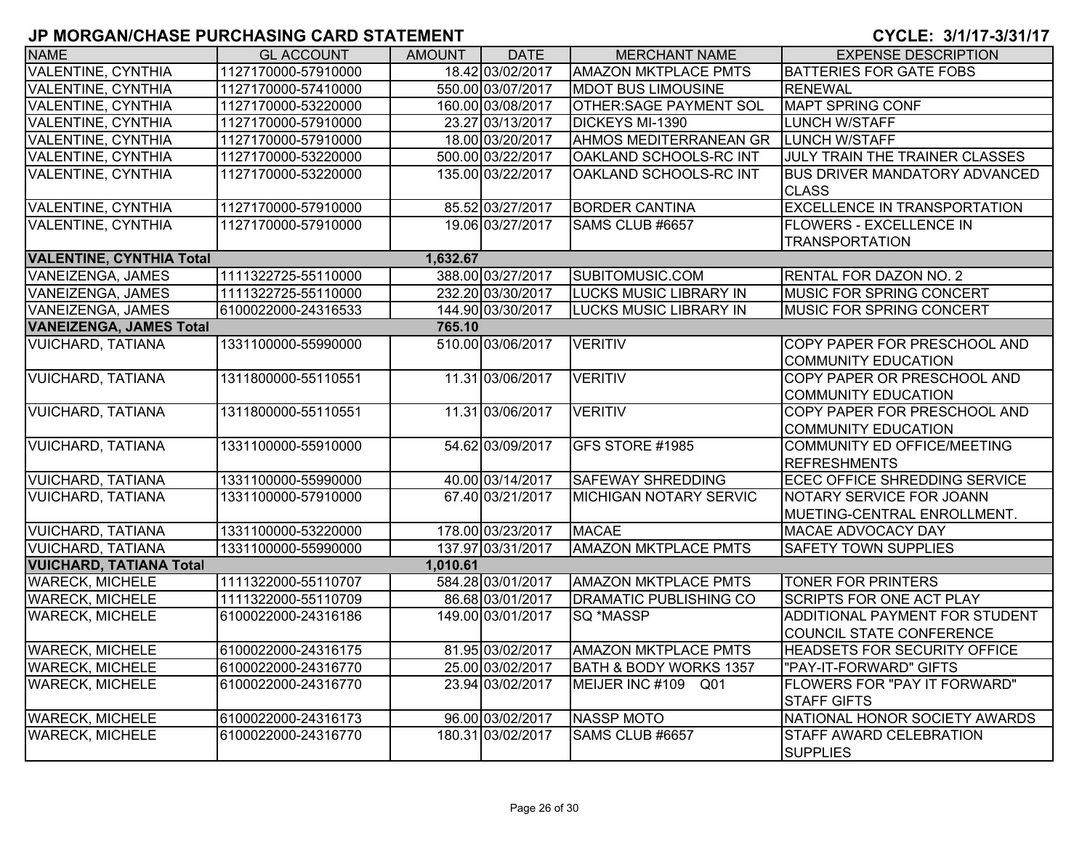| <b>NAME</b>                                | <b>GL ACCOUNT</b>   | AMOUNT   | <b>DATE</b>       | <b>MERCHANT NAME</b>              | <b>EXPENSE DESCRIPTION</b>                                        |  |  |
|--------------------------------------------|---------------------|----------|-------------------|-----------------------------------|-------------------------------------------------------------------|--|--|
| <b>VALENTINE, CYNTHIA</b>                  | 1127170000-57910000 |          | 18.42 03/02/2017  | <b>AMAZON MKTPLACE PMTS</b>       | <b>BATTERIES FOR GATE FOBS</b>                                    |  |  |
| <b>VALENTINE, CYNTHIA</b>                  | 1127170000-57410000 |          | 550.00 03/07/2017 | <b>MDOT BUS LIMOUSINE</b>         | <b>RENEWAL</b>                                                    |  |  |
| <b>VALENTINE, CYNTHIA</b>                  | 1127170000-53220000 |          | 160.00 03/08/2017 | <b>OTHER:SAGE PAYMENT SOL</b>     | <b>MAPT SPRING CONF</b>                                           |  |  |
| <b>VALENTINE, CYNTHIA</b>                  | 1127170000-57910000 |          | 23.27 03/13/2017  | DICKEYS MI-1390                   | <b>LUNCH W/STAFF</b>                                              |  |  |
| <b>VALENTINE, CYNTHIA</b>                  | 1127170000-57910000 |          | 18.00 03/20/2017  | AHMOS MEDITERRANEAN GR            | LUNCH W/STAFF                                                     |  |  |
| <b>VALENTINE, CYNTHIA</b>                  | 1127170000-53220000 |          | 500.00 03/22/2017 | OAKLAND SCHOOLS-RC INT            | JULY TRAIN THE TRAINER CLASSES                                    |  |  |
| <b>VALENTINE, CYNTHIA</b>                  | 1127170000-53220000 |          | 135.00 03/22/2017 | OAKLAND SCHOOLS-RC INT            | <b>BUS DRIVER MANDATORY ADVANCED</b><br><b>CLASS</b>              |  |  |
| <b>VALENTINE, CYNTHIA</b>                  | 1127170000-57910000 |          | 85.52 03/27/2017  | <b>BORDER CANTINA</b>             | <b>EXCELLENCE IN TRANSPORTATION</b>                               |  |  |
| <b>VALENTINE, CYNTHIA</b>                  | 1127170000-57910000 |          | 19.06 03/27/2017  | SAMS CLUB #6657                   | <b>FLOWERS - EXCELLENCE IN</b><br><b>TRANSPORTATION</b>           |  |  |
| <b>VALENTINE, CYNTHIA Total</b>            |                     | 1,632.67 |                   |                                   |                                                                   |  |  |
| <b>VANEIZENGA, JAMES</b>                   | 1111322725-55110000 |          | 388.00 03/27/2017 | SUBITOMUSIC.COM                   | <b>RENTAL FOR DAZON NO. 2</b>                                     |  |  |
| <b>VANEIZENGA, JAMES</b>                   | 1111322725-55110000 |          | 232.20 03/30/2017 | <b>LUCKS MUSIC LIBRARY IN</b>     | MUSIC FOR SPRING CONCERT                                          |  |  |
| <b>VANEIZENGA, JAMES</b>                   | 6100022000-24316533 |          | 144.90 03/30/2017 | <b>LUCKS MUSIC LIBRARY IN</b>     | MUSIC FOR SPRING CONCERT                                          |  |  |
| <b>VANEIZENGA, JAMES Total</b>             |                     | 765.10   |                   |                                   |                                                                   |  |  |
| <b>VUICHARD, TATIANA</b>                   | 1331100000-55990000 |          | 510.00 03/06/2017 | <b>VERITIV</b>                    | COPY PAPER FOR PRESCHOOL AND<br><b>COMMUNITY EDUCATION</b>        |  |  |
| <b>VUICHARD, TATIANA</b>                   | 1311800000-55110551 |          | 11.31 03/06/2017  | <b>VERITIV</b>                    | COPY PAPER OR PRESCHOOL AND<br><b>COMMUNITY EDUCATION</b>         |  |  |
| <b>VUICHARD, TATIANA</b>                   | 1311800000-55110551 |          | 11.31 03/06/2017  | <b>VERITIV</b>                    | COPY PAPER FOR PRESCHOOL AND<br><b>COMMUNITY EDUCATION</b>        |  |  |
| <b>VUICHARD, TATIANA</b>                   | 1331100000-55910000 |          | 54.62 03/09/2017  | GFS STORE #1985                   | COMMUNITY ED OFFICE/MEETING<br><b>REFRESHMENTS</b>                |  |  |
| <b>VUICHARD, TATIANA</b>                   | 1331100000-55990000 |          | 40.00 03/14/2017  | <b>SAFEWAY SHREDDING</b>          | <b>ECEC OFFICE SHREDDING SERVICE</b>                              |  |  |
| <b>VUICHARD, TATIANA</b>                   | 1331100000-57910000 |          | 67.40 03/21/2017  | <b>MICHIGAN NOTARY SERVIC</b>     | NOTARY SERVICE FOR JOANN<br>MUETING-CENTRAL ENROLLMENT.           |  |  |
| <b>VUICHARD, TATIANA</b>                   | 1331100000-53220000 |          | 178.00 03/23/2017 | <b>MACAE</b>                      | MACAE ADVOCACY DAY                                                |  |  |
| <b>VUICHARD, TATIANA</b>                   | 1331100000-55990000 |          | 137.97 03/31/2017 | <b>AMAZON MKTPLACE PMTS</b>       | <b>SAFETY TOWN SUPPLIES</b>                                       |  |  |
| <b>VUICHARD, TATIANA Total</b><br>1,010.61 |                     |          |                   |                                   |                                                                   |  |  |
| <b>WARECK, MICHELE</b>                     | 1111322000-55110707 |          | 584.28 03/01/2017 | <b>AMAZON MKTPLACE PMTS</b>       | <b>TONER FOR PRINTERS</b>                                         |  |  |
| <b>WARECK, MICHELE</b>                     | 1111322000-55110709 |          | 86.68 03/01/2017  | <b>DRAMATIC PUBLISHING CO</b>     | <b>SCRIPTS FOR ONE ACT PLAY</b>                                   |  |  |
| <b>WARECK, MICHELE</b>                     | 6100022000-24316186 |          | 149.00 03/01/2017 | SQ *MASSP                         | ADDITIONAL PAYMENT FOR STUDENT<br><b>COUNCIL STATE CONFERENCE</b> |  |  |
| <b>WARECK, MICHELE</b>                     | 6100022000-24316175 |          | 81.95 03/02/2017  | <b>AMAZON MKTPLACE PMTS</b>       | HEADSETS FOR SECURITY OFFICE                                      |  |  |
| <b>WARECK, MICHELE</b>                     | 6100022000-24316770 |          | 25.00 03/02/2017  | <b>BATH &amp; BODY WORKS 1357</b> | "PAY-IT-FORWARD" GIFTS                                            |  |  |
| <b>WARECK, MICHELE</b>                     | 6100022000-24316770 |          | 23.94 03/02/2017  | MEIJER INC #109 Q01               | FLOWERS FOR "PAY IT FORWARD"<br><b>STAFF GIFTS</b>                |  |  |
| <b>WARECK, MICHELE</b>                     | 6100022000-24316173 |          | 96.00 03/02/2017  | <b>NASSP MOTO</b>                 | NATIONAL HONOR SOCIETY AWARDS                                     |  |  |
| <b>WARECK, MICHELE</b>                     | 6100022000-24316770 |          | 180.31 03/02/2017 | SAMS CLUB #6657                   | <b>STAFF AWARD CELEBRATION</b><br><b>SUPPLIES</b>                 |  |  |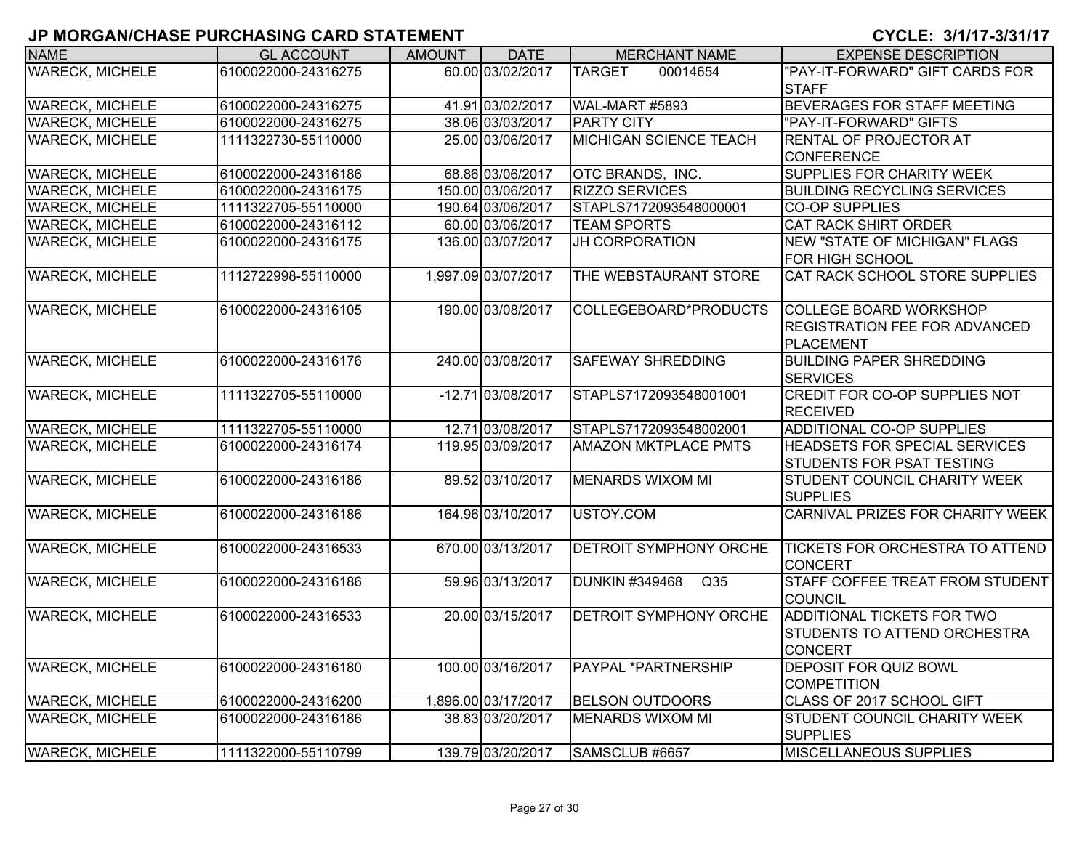| <b>NAME</b>            | <b>GL ACCOUNT</b>   | <b>AMOUNT</b> | <b>DATE</b>         | <b>MERCHANT NAME</b>                     | <b>EXPENSE DESCRIPTION</b>             |
|------------------------|---------------------|---------------|---------------------|------------------------------------------|----------------------------------------|
| <b>WARECK, MICHELE</b> | 6100022000-24316275 |               | 60.00 03/02/2017    | <b>TARGET</b><br>00014654                | "PAY-IT-FORWARD" GIFT CARDS FOR        |
|                        |                     |               |                     |                                          | <b>STAFF</b>                           |
| <b>WARECK, MICHELE</b> | 6100022000-24316275 |               | 41.91 03/02/2017    | WAL-MART #5893                           | BEVERAGES FOR STAFF MEETING            |
| <b>WARECK, MICHELE</b> | 6100022000-24316275 |               | 38.06 03/03/2017    | <b>PARTY CITY</b>                        | "PAY-IT-FORWARD" GIFTS                 |
| <b>WARECK, MICHELE</b> | 1111322730-55110000 |               | 25.00 03/06/2017    | <b>MICHIGAN SCIENCE TEACH</b>            | <b>RENTAL OF PROJECTOR AT</b>          |
|                        |                     |               |                     |                                          | <b>CONFERENCE</b>                      |
| <b>WARECK, MICHELE</b> | 6100022000-24316186 |               | 68.86 03/06/2017    | OTC BRANDS, INC.                         | <b>SUPPLIES FOR CHARITY WEEK</b>       |
| <b>WARECK, MICHELE</b> | 6100022000-24316175 |               | 150.00 03/06/2017   | <b>RIZZO SERVICES</b>                    | <b>BUILDING RECYCLING SERVICES</b>     |
| <b>WARECK, MICHELE</b> | 1111322705-55110000 |               | 190.64 03/06/2017   | STAPLS7172093548000001                   | <b>CO-OP SUPPLIES</b>                  |
| <b>WARECK, MICHELE</b> | 6100022000-24316112 |               | 60.00 03/06/2017    | <b>TEAM SPORTS</b>                       | <b>CAT RACK SHIRT ORDER</b>            |
| <b>WARECK, MICHELE</b> | 6100022000-24316175 |               | 136.00 03/07/2017   | <b>JH CORPORATION</b>                    | <b>NEW "STATE OF MICHIGAN" FLAGS</b>   |
|                        |                     |               |                     |                                          | FOR HIGH SCHOOL                        |
| <b>WARECK, MICHELE</b> | 1112722998-55110000 |               | 1,997.09 03/07/2017 | THE WEBSTAURANT STORE                    | CAT RACK SCHOOL STORE SUPPLIES         |
| <b>WARECK, MICHELE</b> | 6100022000-24316105 |               | 190.00 03/08/2017   | COLLEGEBOARD*PRODUCTS                    | <b>COLLEGE BOARD WORKSHOP</b>          |
|                        |                     |               |                     |                                          | <b>REGISTRATION FEE FOR ADVANCED</b>   |
|                        |                     |               |                     |                                          | <b>PLACEMENT</b>                       |
| <b>WARECK, MICHELE</b> | 6100022000-24316176 |               | 240.00 03/08/2017   | <b>SAFEWAY SHREDDING</b>                 | <b>BUILDING PAPER SHREDDING</b>        |
|                        |                     |               |                     |                                          | <b>SERVICES</b>                        |
| <b>WARECK, MICHELE</b> | 1111322705-55110000 |               | -12.71 03/08/2017   | STAPLS7172093548001001                   | <b>CREDIT FOR CO-OP SUPPLIES NOT</b>   |
|                        |                     |               |                     |                                          | <b>RECEIVED</b>                        |
| <b>WARECK, MICHELE</b> | 1111322705-55110000 |               | 12.71 03/08/2017    | STAPLS7172093548002001                   | <b>ADDITIONAL CO-OP SUPPLIES</b>       |
| <b>WARECK, MICHELE</b> | 6100022000-24316174 |               | 119.95 03/09/2017   | <b>AMAZON MKTPLACE PMTS</b>              | HEADSETS FOR SPECIAL SERVICES          |
|                        |                     |               |                     |                                          | <b>STUDENTS FOR PSAT TESTING</b>       |
| <b>WARECK, MICHELE</b> | 6100022000-24316186 |               | 89.52 03/10/2017    | <b>MENARDS WIXOM MI</b>                  | STUDENT COUNCIL CHARITY WEEK           |
|                        |                     |               |                     |                                          | <b>SUPPLIES</b>                        |
| <b>WARECK, MICHELE</b> | 6100022000-24316186 |               | 164.96 03/10/2017   | USTOY.COM                                | CARNIVAL PRIZES FOR CHARITY WEEK       |
| <b>WARECK, MICHELE</b> | 6100022000-24316533 |               | 670.00 03/13/2017   | <b>DETROIT SYMPHONY ORCHE</b>            | <b>TICKETS FOR ORCHESTRA TO ATTEND</b> |
|                        |                     |               |                     |                                          | <b>CONCERT</b>                         |
| <b>WARECK, MICHELE</b> | 6100022000-24316186 |               | 59.96 03/13/2017    | <b>DUNKIN #349468</b><br>Q <sub>35</sub> | STAFF COFFEE TREAT FROM STUDENT        |
|                        |                     |               |                     |                                          | <b>COUNCIL</b>                         |
| <b>WARECK, MICHELE</b> | 6100022000-24316533 |               | 20.00 03/15/2017    | <b>DETROIT SYMPHONY ORCHE</b>            | ADDITIONAL TICKETS FOR TWO             |
|                        |                     |               |                     |                                          | <b>STUDENTS TO ATTEND ORCHESTRA</b>    |
|                        |                     |               |                     |                                          | <b>CONCERT</b>                         |
| <b>WARECK, MICHELE</b> | 6100022000-24316180 |               | 100.00 03/16/2017   | <b>PAYPAL *PARTNERSHIP</b>               | <b>DEPOSIT FOR QUIZ BOWL</b>           |
|                        |                     |               |                     |                                          | <b>COMPETITION</b>                     |
| <b>WARECK, MICHELE</b> | 6100022000-24316200 |               | 1,896.00 03/17/2017 | <b>BELSON OUTDOORS</b>                   | CLASS OF 2017 SCHOOL GIFT              |
| <b>WARECK, MICHELE</b> | 6100022000-24316186 |               | 38.83 03/20/2017    | <b>MENARDS WIXOM MI</b>                  | <b>STUDENT COUNCIL CHARITY WEEK</b>    |
|                        |                     |               |                     |                                          | <b>SUPPLIES</b>                        |
| <b>WARECK, MICHELE</b> | 1111322000-55110799 |               | 139.79 03/20/2017   | SAMSCLUB #6657                           | <b>MISCELLANEOUS SUPPLIES</b>          |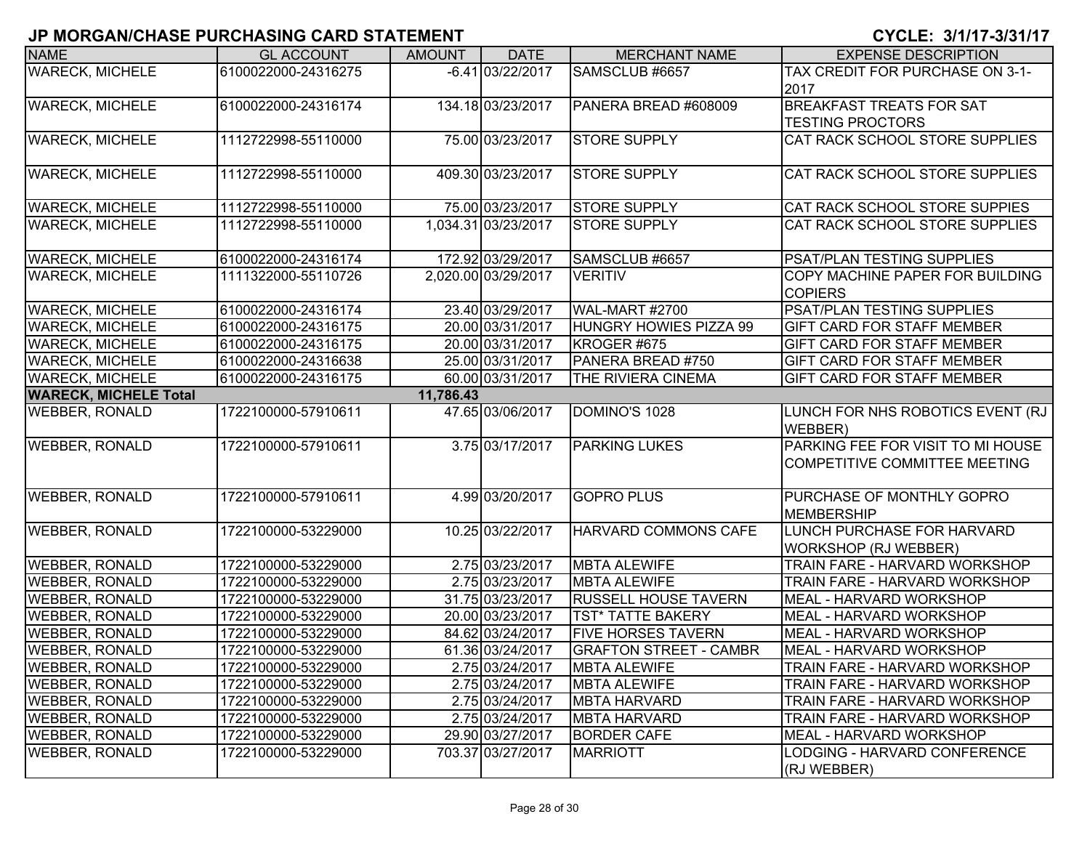| <b>NAME</b>                  | <b>GL ACCOUNT</b>   | <b>AMOUNT</b> | <b>DATE</b>         | <b>MERCHANT NAME</b>          | <b>EXPENSE DESCRIPTION</b>                                         |
|------------------------------|---------------------|---------------|---------------------|-------------------------------|--------------------------------------------------------------------|
| <b>WARECK, MICHELE</b>       | 6100022000-24316275 |               | $-6.41$ 03/22/2017  | SAMSCLUB #6657                | TAX CREDIT FOR PURCHASE ON 3-1-<br>2017                            |
| <b>WARECK, MICHELE</b>       | 6100022000-24316174 |               | 134.18 03/23/2017   | PANERA BREAD #608009          | <b>BREAKFAST TREATS FOR SAT</b><br><b>TESTING PROCTORS</b>         |
| <b>WARECK, MICHELE</b>       | 1112722998-55110000 |               | 75.00 03/23/2017    | <b>STORE SUPPLY</b>           | CAT RACK SCHOOL STORE SUPPLIES                                     |
| <b>WARECK, MICHELE</b>       | 1112722998-55110000 |               | 409.30 03/23/2017   | <b>STORE SUPPLY</b>           | CAT RACK SCHOOL STORE SUPPLIES                                     |
| <b>WARECK, MICHELE</b>       | 1112722998-55110000 |               | 75.00 03/23/2017    | <b>STORE SUPPLY</b>           | CAT RACK SCHOOL STORE SUPPIES                                      |
| <b>WARECK, MICHELE</b>       | 1112722998-55110000 |               | 1,034.31 03/23/2017 | <b>STORE SUPPLY</b>           | <b>CAT RACK SCHOOL STORE SUPPLIES</b>                              |
| <b>WARECK, MICHELE</b>       | 6100022000-24316174 |               | 172.92 03/29/2017   | SAMSCLUB #6657                | <b>PSAT/PLAN TESTING SUPPLIES</b>                                  |
| <b>WARECK, MICHELE</b>       | 1111322000-55110726 |               | 2,020.00 03/29/2017 | <b>VERITIV</b>                | COPY MACHINE PAPER FOR BUILDING<br><b>COPIERS</b>                  |
| <b>WARECK, MICHELE</b>       | 6100022000-24316174 |               | 23.40 03/29/2017    | <b>WAL-MART #2700</b>         | <b>PSAT/PLAN TESTING SUPPLIES</b>                                  |
| <b>WARECK, MICHELE</b>       | 6100022000-24316175 |               | 20.00 03/31/2017    | HUNGRY HOWIES PIZZA 99        | <b>GIFT CARD FOR STAFF MEMBER</b>                                  |
| <b>WARECK, MICHELE</b>       | 6100022000-24316175 |               | 20.00 03/31/2017    | KROGER #675                   | <b>GIFT CARD FOR STAFF MEMBER</b>                                  |
| <b>WARECK, MICHELE</b>       | 6100022000-24316638 |               | 25.00 03/31/2017    | PANERA BREAD #750             | <b>GIFT CARD FOR STAFF MEMBER</b>                                  |
| <b>WARECK, MICHELE</b>       | 6100022000-24316175 |               | 60.00 03/31/2017    | THE RIVIERA CINEMA            | <b>GIFT CARD FOR STAFF MEMBER</b>                                  |
| <b>WARECK, MICHELE Total</b> |                     | 11,786.43     |                     |                               |                                                                    |
| <b>WEBBER, RONALD</b>        | 1722100000-57910611 |               | 47.65 03/06/2017    | DOMINO'S 1028                 | LUNCH FOR NHS ROBOTICS EVENT (RJ<br>WEBBER)                        |
| <b>WEBBER, RONALD</b>        | 1722100000-57910611 |               | 3.75 03/17/2017     | <b>PARKING LUKES</b>          | PARKING FEE FOR VISIT TO MI HOUSE<br>COMPETITIVE COMMITTEE MEETING |
| <b>WEBBER, RONALD</b>        | 1722100000-57910611 |               | 4.99 03/20/2017     | <b>GOPRO PLUS</b>             | PURCHASE OF MONTHLY GOPRO<br><b>MEMBERSHIP</b>                     |
| <b>WEBBER, RONALD</b>        | 1722100000-53229000 |               | 10.25 03/22/2017    | HARVARD COMMONS CAFE          | LUNCH PURCHASE FOR HARVARD<br><b>WORKSHOP (RJ WEBBER)</b>          |
| <b>WEBBER, RONALD</b>        | 1722100000-53229000 |               | 2.75 03/23/2017     | <b>MBTA ALEWIFE</b>           | TRAIN FARE - HARVARD WORKSHOP                                      |
| <b>WEBBER, RONALD</b>        | 1722100000-53229000 |               | 2.75 03/23/2017     | <b>MBTA ALEWIFE</b>           | <b>TRAIN FARE - HARVARD WORKSHOP</b>                               |
| <b>WEBBER, RONALD</b>        | 1722100000-53229000 |               | 31.75 03/23/2017    | <b>RUSSELL HOUSE TAVERN</b>   | MEAL - HARVARD WORKSHOP                                            |
| <b>WEBBER, RONALD</b>        | 1722100000-53229000 |               | 20.00 03/23/2017    | <b>TST* TATTE BAKERY</b>      | MEAL - HARVARD WORKSHOP                                            |
| <b>WEBBER, RONALD</b>        | 1722100000-53229000 |               | 84.62 03/24/2017    | <b>FIVE HORSES TAVERN</b>     | MEAL - HARVARD WORKSHOP                                            |
| <b>WEBBER, RONALD</b>        | 1722100000-53229000 |               | 61.36 03/24/2017    | <b>GRAFTON STREET - CAMBR</b> | MEAL - HARVARD WORKSHOP                                            |
| <b>WEBBER, RONALD</b>        | 1722100000-53229000 |               | 2.75 03/24/2017     | <b>MBTA ALEWIFE</b>           | TRAIN FARE - HARVARD WORKSHOP                                      |
| <b>WEBBER, RONALD</b>        | 1722100000-53229000 |               | 2.75 03/24/2017     | <b>MBTA ALEWIFE</b>           | TRAIN FARE - HARVARD WORKSHOP                                      |
| <b>WEBBER, RONALD</b>        | 1722100000-53229000 |               | 2.75 03/24/2017     | <b>MBTA HARVARD</b>           | TRAIN FARE - HARVARD WORKSHOP                                      |
| <b>WEBBER, RONALD</b>        | 1722100000-53229000 |               | 2.75 03/24/2017     | <b>MBTA HARVARD</b>           | TRAIN FARE - HARVARD WORKSHOP                                      |
| <b>WEBBER, RONALD</b>        | 1722100000-53229000 |               | 29.90 03/27/2017    | <b>BORDER CAFE</b>            | MEAL - HARVARD WORKSHOP                                            |
| <b>WEBBER, RONALD</b>        | 1722100000-53229000 |               | 703.37 03/27/2017   | <b>MARRIOTT</b>               | LODGING - HARVARD CONFERENCE<br>(RJ WEBBER)                        |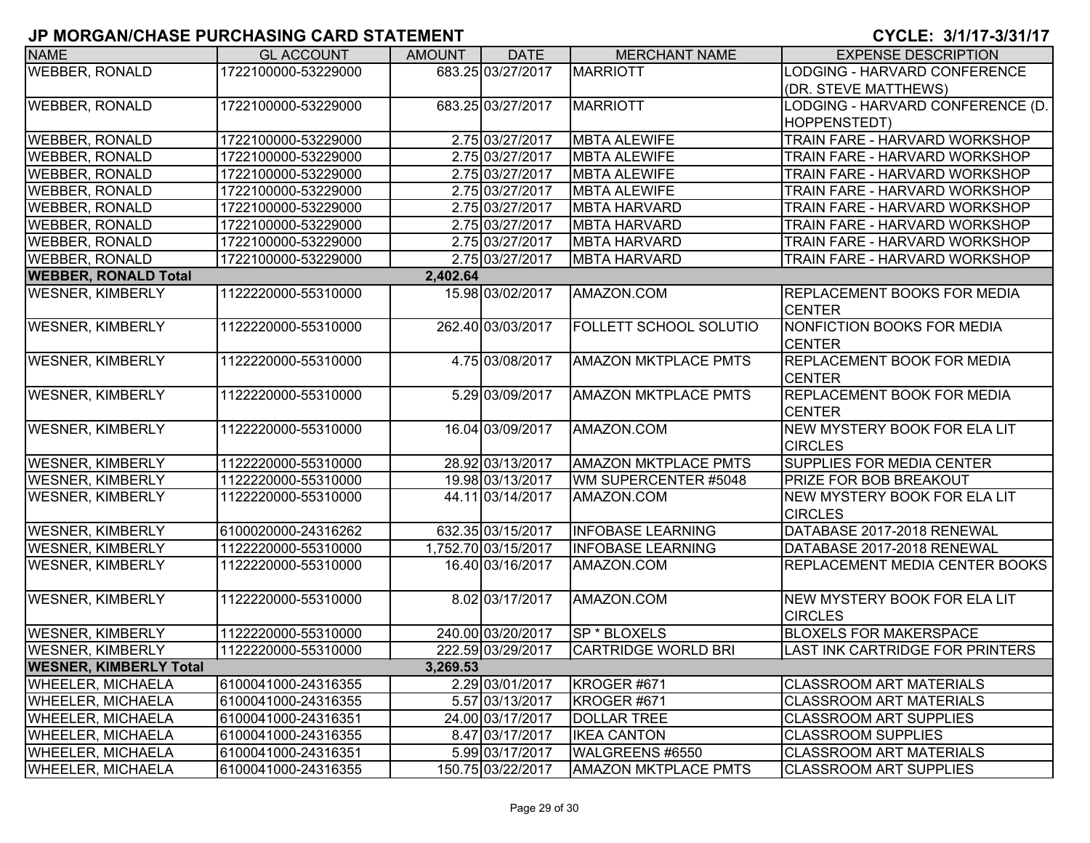| <b>NAME</b>                   | <b>GL ACCOUNT</b>   | <b>AMOUNT</b> | <b>DATE</b>         | <b>MERCHANT NAME</b>          | <b>EXPENSE DESCRIPTION</b>                            |
|-------------------------------|---------------------|---------------|---------------------|-------------------------------|-------------------------------------------------------|
| <b>WEBBER, RONALD</b>         | 1722100000-53229000 |               | 683.25 03/27/2017   | <b>MARRIOTT</b>               | <b>LODGING - HARVARD CONFERENCE</b>                   |
|                               |                     |               |                     |                               | (DR. STEVE MATTHEWS)                                  |
| <b>WEBBER, RONALD</b>         | 1722100000-53229000 |               | 683.25 03/27/2017   | <b>MARRIOTT</b>               | LODGING - HARVARD CONFERENCE (D.                      |
|                               |                     |               |                     |                               | HOPPENSTEDT)                                          |
| <b>WEBBER, RONALD</b>         | 1722100000-53229000 |               | 2.75 03/27/2017     | <b>MBTA ALEWIFE</b>           | TRAIN FARE - HARVARD WORKSHOP                         |
| <b>WEBBER, RONALD</b>         | 1722100000-53229000 |               | 2.75 03/27/2017     | <b>MBTA ALEWIFE</b>           | TRAIN FARE - HARVARD WORKSHOP                         |
| <b>WEBBER, RONALD</b>         | 1722100000-53229000 |               | 2.75 03/27/2017     | <b>MBTA ALEWIFE</b>           | TRAIN FARE - HARVARD WORKSHOP                         |
| <b>WEBBER, RONALD</b>         | 1722100000-53229000 |               | 2.75 03/27/2017     | <b>MBTA ALEWIFE</b>           | TRAIN FARE - HARVARD WORKSHOP                         |
| <b>WEBBER, RONALD</b>         | 1722100000-53229000 |               | 2.75 03/27/2017     | <b>MBTA HARVARD</b>           | TRAIN FARE - HARVARD WORKSHOP                         |
| <b>WEBBER, RONALD</b>         | 1722100000-53229000 |               | 2.75 03/27/2017     | <b>MBTA HARVARD</b>           | TRAIN FARE - HARVARD WORKSHOP                         |
| <b>WEBBER, RONALD</b>         | 1722100000-53229000 |               | 2.75 03/27/2017     | <b>MBTA HARVARD</b>           | TRAIN FARE - HARVARD WORKSHOP                         |
| <b>WEBBER, RONALD</b>         | 1722100000-53229000 |               | 2.75 03/27/2017     | <b>MBTA HARVARD</b>           | TRAIN FARE - HARVARD WORKSHOP                         |
| <b>WEBBER, RONALD Total</b>   |                     | 2,402.64      |                     |                               |                                                       |
| <b>WESNER, KIMBERLY</b>       | 1122220000-55310000 |               | 15.98 03/02/2017    | AMAZON.COM                    | <b>REPLACEMENT BOOKS FOR MEDIA</b><br><b>CENTER</b>   |
| <b>WESNER, KIMBERLY</b>       | 1122220000-55310000 |               | 262.40 03/03/2017   | <b>FOLLETT SCHOOL SOLUTIO</b> | <b>NONFICTION BOOKS FOR MEDIA</b><br><b>CENTER</b>    |
| <b>WESNER, KIMBERLY</b>       | 1122220000-55310000 |               | 4.75 03/08/2017     | <b>AMAZON MKTPLACE PMTS</b>   | <b>REPLACEMENT BOOK FOR MEDIA</b><br><b>CENTER</b>    |
| <b>WESNER, KIMBERLY</b>       | 1122220000-55310000 |               | 5.29 03/09/2017     | <b>AMAZON MKTPLACE PMTS</b>   | <b>REPLACEMENT BOOK FOR MEDIA</b><br><b>CENTER</b>    |
| <b>WESNER, KIMBERLY</b>       | 1122220000-55310000 |               | 16.04 03/09/2017    | AMAZON.COM                    | NEW MYSTERY BOOK FOR ELA LIT<br><b>CIRCLES</b>        |
| <b>WESNER, KIMBERLY</b>       | 1122220000-55310000 |               | 28.92 03/13/2017    | <b>AMAZON MKTPLACE PMTS</b>   | <b>SUPPLIES FOR MEDIA CENTER</b>                      |
| <b>WESNER, KIMBERLY</b>       | 1122220000-55310000 |               | 19.98 03/13/2017    | WM SUPERCENTER #5048          | PRIZE FOR BOB BREAKOUT                                |
| <b>WESNER, KIMBERLY</b>       | 1122220000-55310000 |               | 44.11 03/14/2017    | AMAZON.COM                    | <b>NEW MYSTERY BOOK FOR ELA LIT</b><br><b>CIRCLES</b> |
| <b>WESNER, KIMBERLY</b>       | 6100020000-24316262 |               | 632.35 03/15/2017   | <b>INFOBASE LEARNING</b>      | DATABASE 2017-2018 RENEWAL                            |
| <b>WESNER, KIMBERLY</b>       | 1122220000-55310000 |               | 1,752.70 03/15/2017 | <b>INFOBASE LEARNING</b>      | DATABASE 2017-2018 RENEWAL                            |
| <b>WESNER, KIMBERLY</b>       | 1122220000-55310000 |               | 16.40 03/16/2017    | AMAZON.COM                    | <b>REPLACEMENT MEDIA CENTER BOOKS</b>                 |
| <b>WESNER, KIMBERLY</b>       | 1122220000-55310000 |               | 8.02 03/17/2017     | AMAZON.COM                    | <b>NEW MYSTERY BOOK FOR ELA LIT</b><br><b>CIRCLES</b> |
| <b>WESNER, KIMBERLY</b>       | 1122220000-55310000 |               | 240.00 03/20/2017   | <b>SP * BLOXELS</b>           | <b>BLOXELS FOR MAKERSPACE</b>                         |
| <b>WESNER, KIMBERLY</b>       | 1122220000-55310000 |               | 222.59 03/29/2017   | <b>CARTRIDGE WORLD BRI</b>    | <b>LAST INK CARTRIDGE FOR PRINTERS</b>                |
| <b>WESNER, KIMBERLY Total</b> |                     | 3,269.53      |                     |                               |                                                       |
| <b>WHEELER, MICHAELA</b>      | 6100041000-24316355 |               | 2.29 03/01/2017     | KROGER#671                    | <b>CLASSROOM ART MATERIALS</b>                        |
| <b>WHEELER, MICHAELA</b>      | 6100041000-24316355 |               | 5.57 03/13/2017     | KROGER #671                   | <b>CLASSROOM ART MATERIALS</b>                        |
| <b>WHEELER, MICHAELA</b>      | 6100041000-24316351 |               | 24.00 03/17/2017    | <b>DOLLAR TREE</b>            | <b>CLASSROOM ART SUPPLIES</b>                         |
| <b>WHEELER, MICHAELA</b>      | 6100041000-24316355 |               | 8.47 03/17/2017     | <b>IKEA CANTON</b>            | <b>CLASSROOM SUPPLIES</b>                             |
| <b>WHEELER, MICHAELA</b>      | 6100041000-24316351 |               | 5.99 03/17/2017     | WALGREENS #6550               | <b>CLASSROOM ART MATERIALS</b>                        |
| <b>WHEELER, MICHAELA</b>      | 6100041000-24316355 |               | 150.75 03/22/2017   | <b>AMAZON MKTPLACE PMTS</b>   | <b>CLASSROOM ART SUPPLIES</b>                         |